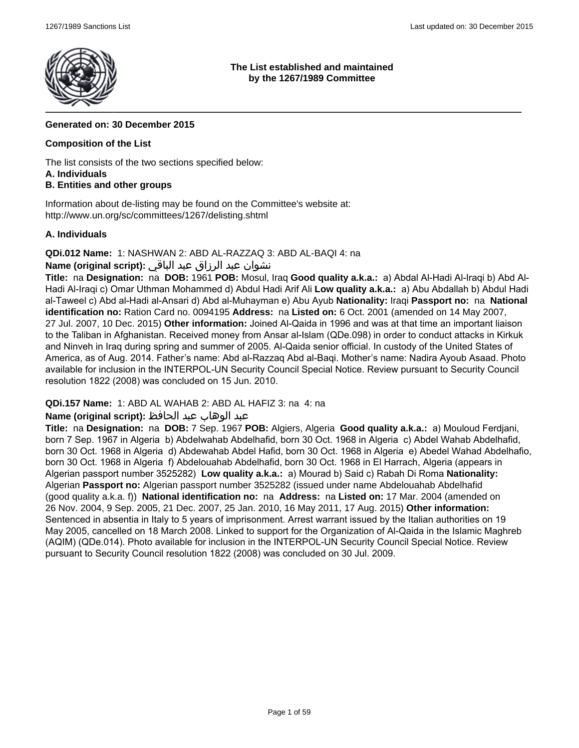

### **The List established and maintained by the 1267/1989 Committee**

# **Generated on: 30 December 2015**

### **Composition of the List**

The list consists of the two sections specified below:

#### **A. Individuals**

# **B. Entities and other groups**

Information about de-listing may be found on the Committee's website at: http://www.un.org/sc/committees/1267/delisting.shtml

# **A. Individuals**

**QDi.012 Name:** 1: NASHWAN 2: ABD AL-RAZZAQ 3: ABD AL-BAQI 4: na

# نشوان عبد الرزاق عبد الباقي **:(script original (Name**

**Title:** na **Designation:** na **DOB:** 1961 **POB:** Mosul, Iraq **Good quality a.k.a.:** a) Abdal Al-Hadi Al-Iraqi b) Abd Al-Hadi Al-Iraqi c) Omar Uthman Mohammed d) Abdul Hadi Arif Ali **Low quality a.k.a.:** a) Abu Abdallah b) Abdul Hadi al-Taweel c) Abd al-Hadi al-Ansari d) Abd al-Muhayman e) Abu Ayub **Nationality:** Iraqi **Passport no:** na **National identification no:** Ration Card no. 0094195 **Address:** na **Listed on:** 6 Oct. 2001 (amended on 14 May 2007, 27 Jul. 2007, 10 Dec. 2015) **Other information:** Joined Al-Qaida in 1996 and was at that time an important liaison to the Taliban in Afghanistan. Received money from Ansar al-Islam (QDe.098) in order to conduct attacks in Kirkuk and Ninveh in Iraq during spring and summer of 2005. Al-Qaida senior official. In custody of the United States of America, as of Aug. 2014. Father's name: Abd al-Razzaq Abd al-Baqi. Mother's name: Nadira Ayoub Asaad. Photo available for inclusion in the INTERPOL-UN Security Council Special Notice. Review pursuant to Security Council resolution 1822 (2008) was concluded on 15 Jun. 2010.

**QDi.157 Name:** 1: ABD AL WAHAB 2: ABD AL HAFIZ 3: na 4: na

# عبد الوهاب عبد الحافظ **:(script original (Name**

**Title:** na **Designation:** na **DOB:** 7 Sep. 1967 **POB:** Algiers, Algeria **Good quality a.k.a.:** a) Mouloud Ferdjani, born 7 Sep. 1967 in Algeria b) Abdelwahab Abdelhafid, born 30 Oct. 1968 in Algeria c) Abdel Wahab Abdelhafid, born 30 Oct. 1968 in Algeria d) Abdewahab Abdel Hafid, born 30 Oct. 1968 in Algeria e) Abedel Wahad Abdelhafio, born 30 Oct. 1968 in Algeria f) Abdelouahab Abdelhafid, born 30 Oct. 1968 in El Harrach, Algeria (appears in Algerian passport number 3525282) **Low quality a.k.a.:** a) Mourad b) Said c) Rabah Di Roma **Nationality:** Algerian **Passport no:** Algerian passport number 3525282 (issued under name Abdelouahab Abdelhafid (good quality a.k.a. f)) **National identification no:** na **Address:** na **Listed on:** 17 Mar. 2004 (amended on 26 Nov. 2004, 9 Sep. 2005, 21 Dec. 2007, 25 Jan. 2010, 16 May 2011, 17 Aug. 2015) **Other information:** Sentenced in absentia in Italy to 5 years of imprisonment. Arrest warrant issued by the Italian authorities on 19 May 2005, cancelled on 18 March 2008. Linked to support for the Organization of Al-Qaida in the Islamic Maghreb (AQIM) (QDe.014). Photo available for inclusion in the INTERPOL-UN Security Council Special Notice. Review pursuant to Security Council resolution 1822 (2008) was concluded on 30 Jul. 2009.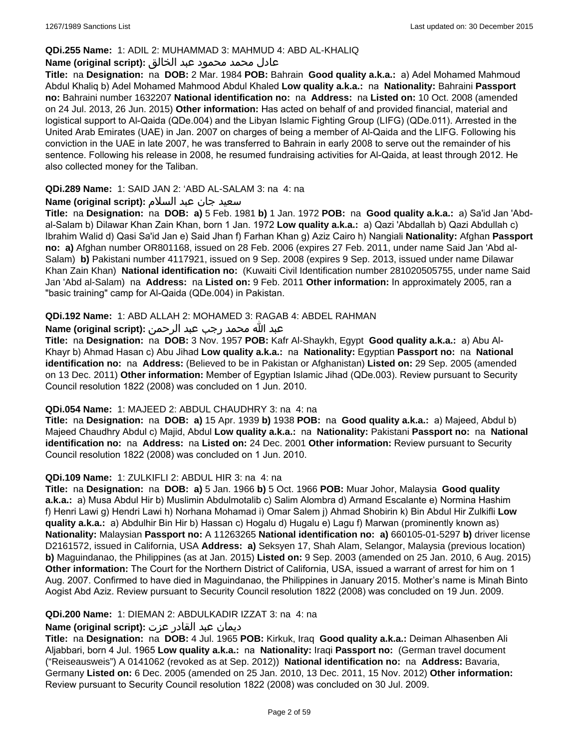### **QDi.255 Name:** 1: ADIL 2: MUHAMMAD 3: MAHMUD 4: ABD AL-KHALIQ

### عادل محمد محمود عبد الخالق **:(script original (Name**

**Title:** na **Designation:** na **DOB:** 2 Mar. 1984 **POB:** Bahrain **Good quality a.k.a.:** a) Adel Mohamed Mahmoud Abdul Khaliq b) Adel Mohamed Mahmood Abdul Khaled **Low quality a.k.a.:** na **Nationality:** Bahraini **Passport no:** Bahraini number 1632207 **National identification no:** na **Address:** na **Listed on:** 10 Oct. 2008 (amended on 24 Jul. 2013, 26 Jun. 2015) **Other information:** Has acted on behalf of and provided financial, material and logistical support to Al-Qaida (QDe.004) and the Libyan Islamic Fighting Group (LIFG) (QDe.011). Arrested in the United Arab Emirates (UAE) in Jan. 2007 on charges of being a member of Al-Qaida and the LIFG. Following his conviction in the UAE in late 2007, he was transferred to Bahrain in early 2008 to serve out the remainder of his sentence. Following his release in 2008, he resumed fundraising activities for Al-Qaida, at least through 2012. He also collected money for the Taliban.

### **QDi.289 Name:** 1: SAID JAN 2: 'ABD AL-SALAM 3: na 4: na

### سعید جان عبد السلام **:(script original (Name**

**Title:** na **Designation:** na **DOB: a)** 5 Feb. 1981 **b)** 1 Jan. 1972 **POB:** na **Good quality a.k.a.:** a) Sa'id Jan 'Abdal-Salam b) Dilawar Khan Zain Khan, born 1 Jan. 1972 **Low quality a.k.a.:** a) Qazi 'Abdallah b) Qazi Abdullah c) Ibrahim Walid d) Qasi Sa'id Jan e) Said Jhan f) Farhan Khan g) Aziz Cairo h) Nangiali **Nationality:** Afghan **Passport no: a)** Afghan number OR801168, issued on 28 Feb. 2006 (expires 27 Feb. 2011, under name Said Jan 'Abd al-Salam) **b)** Pakistani number 4117921, issued on 9 Sep. 2008 (expires 9 Sep. 2013, issued under name Dilawar Khan Zain Khan) **National identification no:** (Kuwaiti Civil Identification number 281020505755, under name Said Jan 'Abd al-Salam) na **Address:** na **Listed on:** 9 Feb. 2011 **Other information:** In approximately 2005, ran a "basic training" camp for Al-Qaida (QDe.004) in Pakistan.

### **QDi.192 Name:** 1: ABD ALLAH 2: MOHAMED 3: RAGAB 4: ABDEL RAHMAN

### عبد الله محمد رجب عبد الرحمن **:(script original (Name**

**Title:** na **Designation:** na **DOB:** 3 Nov. 1957 **POB:** Kafr Al-Shaykh, Egypt **Good quality a.k.a.:** a) Abu Al-Khayr b) Ahmad Hasan c) Abu Jihad **Low quality a.k.a.:** na **Nationality:** Egyptian **Passport no:** na **National identification no:** na **Address:** (Believed to be in Pakistan or Afghanistan) **Listed on:** 29 Sep. 2005 (amended on 13 Dec. 2011) **Other information:** Member of Egyptian Islamic Jihad (QDe.003). Review pursuant to Security Council resolution 1822 (2008) was concluded on 1 Jun. 2010.

#### **QDi.054 Name:** 1: MAJEED 2: ABDUL CHAUDHRY 3: na 4: na

**Title:** na **Designation:** na **DOB: a)** 15 Apr. 1939 **b)** 1938 **POB:** na **Good quality a.k.a.:** a) Majeed, Abdul b) Majeed Chaudhry Abdul c) Majid, Abdul **Low quality a.k.a.:** na **Nationality:** Pakistani **Passport no:** na **National identification no:** na **Address:** na **Listed on:** 24 Dec. 2001 **Other information:** Review pursuant to Security Council resolution 1822 (2008) was concluded on 1 Jun. 2010.

#### **QDi.109 Name:** 1: ZULKIFLI 2: ABDUL HIR 3: na 4: na

**Title:** na **Designation:** na **DOB: a)** 5 Jan. 1966 **b)** 5 Oct. 1966 **POB:** Muar Johor, Malaysia **Good quality a.k.a.:** a) Musa Abdul Hir b) Muslimin Abdulmotalib c) Salim Alombra d) Armand Escalante e) Normina Hashim f) Henri Lawi g) Hendri Lawi h) Norhana Mohamad i) Omar Salem j) Ahmad Shobirin k) Bin Abdul Hir Zulkifli **Low quality a.k.a.:** a) Abdulhir Bin Hir b) Hassan c) Hogalu d) Hugalu e) Lagu f) Marwan (prominently known as) **Nationality:** Malaysian **Passport no:** A 11263265 **National identification no: a)** 660105-01-5297 **b)** driver license D2161572, issued in California, USA **Address: a)** Seksyen 17, Shah Alam, Selangor, Malaysia (previous location) **b)** Maguindanao, the Philippines (as at Jan. 2015) **Listed on:** 9 Sep. 2003 (amended on 25 Jan. 2010, 6 Aug. 2015) **Other information:** The Court for the Northern District of California, USA, issued a warrant of arrest for him on 1 Aug. 2007. Confirmed to have died in Maguindanao, the Philippines in January 2015. Mother's name is Minah Binto Aogist Abd Aziz. Review pursuant to Security Council resolution 1822 (2008) was concluded on 19 Jun. 2009.

#### **QDi.200 Name:** 1: DIEMAN 2: ABDULKADIR IZZAT 3: na 4: na

### ديمان عبد القادر عزت **:(script original (Name**

**Title:** na **Designation:** na **DOB:** 4 Jul. 1965 **POB:** Kirkuk, Iraq **Good quality a.k.a.:** Deiman Alhasenben Ali Aljabbari, born 4 Jul. 1965 **Low quality a.k.a.:** na **Nationality:** Iraqi **Passport no:** (German travel document ("Reiseausweis") A 0141062 (revoked as at Sep. 2012)) **National identification no:** na **Address:** Bavaria, Germany **Listed on:** 6 Dec. 2005 (amended on 25 Jan. 2010, 13 Dec. 2011, 15 Nov. 2012) **Other information:** Review pursuant to Security Council resolution 1822 (2008) was concluded on 30 Jul. 2009.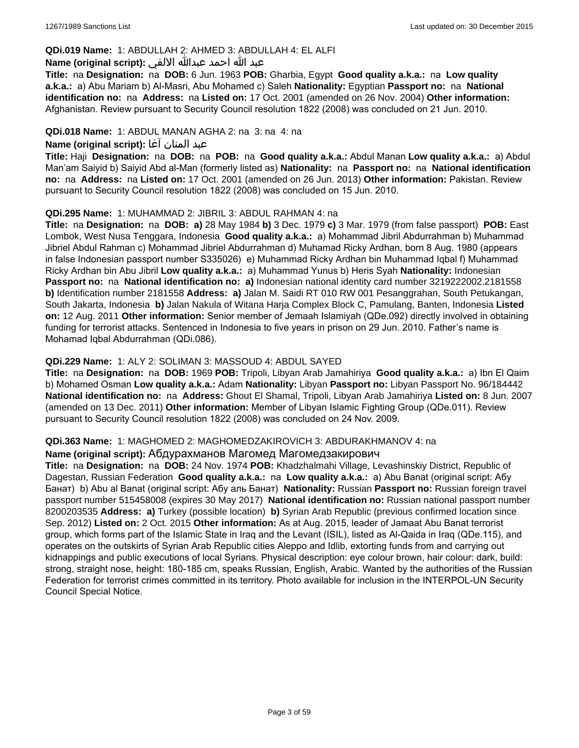### **QDi.019 Name:** 1: ABDULLAH 2: AHMED 3: ABDULLAH 4: EL ALFI

### عبد الله احمد عبدالله الالفي **:(script original (Name**

**Title:** na **Designation:** na **DOB:** 6 Jun. 1963 **POB:** Gharbia, Egypt **Good quality a.k.a.:** na **Low quality a.k.a.:** a) Abu Mariam b) Al-Masri, Abu Mohamed c) Saleh **Nationality:** Egyptian **Passport no:** na **National identification no:** na **Address:** na **Listed on:** 17 Oct. 2001 (amended on 26 Nov. 2004) **Other information:** Afghanistan. Review pursuant to Security Council resolution 1822 (2008) was concluded on 21 Jun. 2010.

### **QDi.018 Name:** 1: ABDUL MANAN AGHA 2: na 3: na 4: na

#### عبد المنان آغا **:(script original (Name**

**Title:** Haji **Designation:** na **DOB:** na **POB:** na **Good quality a.k.a.:** Abdul Manan **Low quality a.k.a.:** a) Abdul Man'am Saiyid b) Saiyid Abd al-Man (formerly listed as) **Nationality:** na **Passport no:** na **National identification no:** na **Address:** na **Listed on:** 17 Oct. 2001 (amended on 26 Jun. 2013) **Other information:** Pakistan. Review pursuant to Security Council resolution 1822 (2008) was concluded on 15 Jun. 2010.

### **QDi.295 Name:** 1: MUHAMMAD 2: JIBRIL 3: ABDUL RAHMAN 4: na

**Title:** na **Designation:** na **DOB: a)** 28 May 1984 **b)** 3 Dec. 1979 **c)** 3 Mar. 1979 (from false passport) **POB:** East Lombok, West Nusa Tenggara, Indonesia **Good quality a.k.a.:** a) Mohammad Jibril Abdurrahman b) Muhammad Jibriel Abdul Rahman c) Mohammad Jibriel Abdurrahman d) Muhamad Ricky Ardhan, born 8 Aug. 1980 (appears in false Indonesian passport number S335026) e) Muhammad Ricky Ardhan bin Muhammad Iqbal f) Muhammad Ricky Ardhan bin Abu Jibril **Low quality a.k.a.:** a) Muhammad Yunus b) Heris Syah **Nationality:** Indonesian **Passport no:** na **National identification no: a)** Indonesian national identity card number 3219222002.2181558 **b)** Identification number 2181558 **Address: a)** Jalan M. Saidi RT 010 RW 001 Pesanggrahan, South Petukangan, South Jakarta, Indonesia **b)** Jalan Nakula of Witana Harja Complex Block C, Pamulang, Banten, Indonesia **Listed on:** 12 Aug. 2011 **Other information:** Senior member of Jemaah Islamiyah (QDe.092) directly involved in obtaining funding for terrorist attacks. Sentenced in Indonesia to five years in prison on 29 Jun. 2010. Father's name is Mohamad Iqbal Abdurrahman (QDi.086).

### **QDi.229 Name:** 1: ALY 2: SOLIMAN 3: MASSOUD 4: ABDUL SAYED

**Title:** na **Designation:** na **DOB:** 1969 **POB:** Tripoli, Libyan Arab Jamahiriya **Good quality a.k.a.:** a) Ibn El Qaim b) Mohamed Osman **Low quality a.k.a.:** Adam **Nationality:** Libyan **Passport no:** Libyan Passport No. 96/184442 **National identification no:** na **Address:** Ghout El Shamal, Tripoli, Libyan Arab Jamahiriya **Listed on:** 8 Jun. 2007 (amended on 13 Dec. 2011) **Other information:** Member of Libyan Islamic Fighting Group (QDe.011). Review pursuant to Security Council resolution 1822 (2008) was concluded on 24 Nov. 2009.

#### **QDi.363 Name:** 1: MAGHOMED 2: MAGHOMEDZAKIROVICH 3: ABDURAKHMANOV 4: na

#### **Name (original script):** Абдурахманов Магомед Магомедзакирович

**Title:** na **Designation:** na **DOB:** 24 Nov. 1974 **POB:** Khadzhalmahi Village, Levashinskiy District, Republic of Dagestan, Russian Federation **Good quality a.k.a.:** na **Low quality a.k.a.:** a) Abu Banat (original script: Абу Банат) b) Abu al Banat (original script: Абу аль Банат) **Nationality:** Russian **Passport no:** Russian foreign travel passport number 515458008 (expires 30 May 2017) **National identification no:** Russian national passport number 8200203535 **Address: a)** Turkey (possible location) **b)** Syrian Arab Republic (previous confirmed location since Sep. 2012) **Listed on:** 2 Oct. 2015 **Other information:** As at Aug. 2015, leader of Jamaat Abu Banat terrorist group, which forms part of the Islamic State in Iraq and the Levant (ISIL), listed as Al-Qaida in Iraq (QDe.115), and operates on the outskirts of Syrian Arab Republic cities Aleppo and Idlib, extorting funds from and carrying out kidnappings and public executions of local Syrians. Physical description: eye colour brown, hair colour: dark, build: strong, straight nose, height: 180-185 cm, speaks Russian, English, Arabic. Wanted by the authorities of the Russian Federation for terrorist crimes committed in its territory. Photo available for inclusion in the INTERPOL-UN Security Council Special Notice.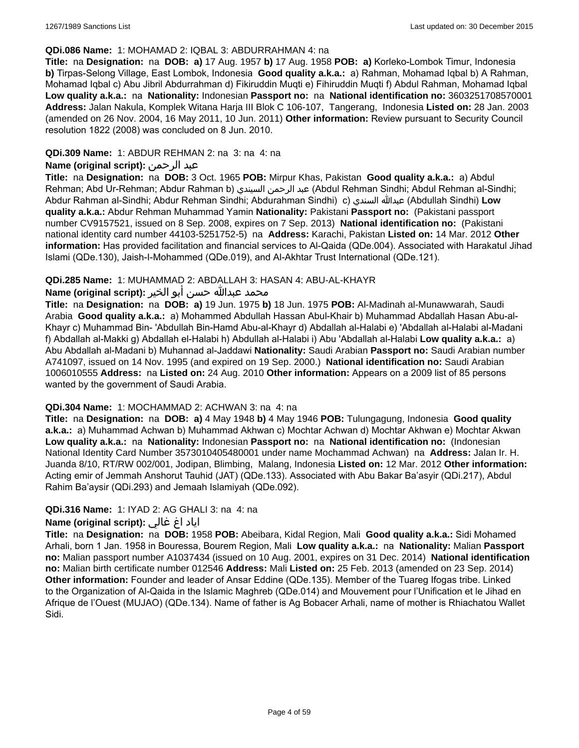#### **QDi.086 Name:** 1: MOHAMAD 2: IQBAL 3: ABDURRAHMAN 4: na

**Title:** na **Designation:** na **DOB: a)** 17 Aug. 1957 **b)** 17 Aug. 1958 **POB: a)** Korleko-Lombok Timur, Indonesia **b)** Tirpas-Selong Village, East Lombok, Indonesia **Good quality a.k.a.:** a) Rahman, Mohamad Iqbal b) A Rahman, Mohamad Iqbal c) Abu Jibril Abdurrahman d) Fikiruddin Muqti e) Fihiruddin Muqti f) Abdul Rahman, Mohamad Iqbal **Low quality a.k.a.:** na **Nationality:** Indonesian **Passport no:** na **National identification no:** 3603251708570001 **Address:** Jalan Nakula, Komplek Witana Harja III Blok C 106-107, Tangerang, Indonesia **Listed on:** 28 Jan. 2003 (amended on 26 Nov. 2004, 16 May 2011, 10 Jun. 2011) **Other information:** Review pursuant to Security Council resolution 1822 (2008) was concluded on 8 Jun. 2010.

### **QDi.309 Name:** 1: ABDUR REHMAN 2: na 3: na 4: na

### **Name (original script):** الرحمن عبد

**Title:** na **Designation:** na **DOB:** 3 Oct. 1965 **POB:** Mirpur Khas, Pakistan **Good quality a.k.a.:** a) Abdul Rehman; Abd Ur-Rehman; Abdur Rahman b) السيندي الرحمن عبد) Abdul Rehman Sindhi; Abdul Rehman al-Sindhi; Abdur Rahman al-Sindhi; Abdur Rehman Sindhi; Abdurahman Sindhi) c) السندي عبدالله) Abdullah Sindhi) **Low quality a.k.a.:** Abdur Rehman Muhammad Yamin **Nationality:** Pakistani **Passport no:** (Pakistani passport number CV9157521, issued on 8 Sep. 2008, expires on 7 Sep. 2013) **National identification no:** (Pakistani national identity card number 44103-5251752-5) na **Address:** Karachi, Pakistan **Listed on:** 14 Mar. 2012 **Other information:** Has provided facilitation and financial services to Al-Qaida (QDe.004). Associated with Harakatul Jihad Islami (QDe.130), Jaish-I-Mohammed (QDe.019), and Al-Akhtar Trust International (QDe.121).

### **QDi.285 Name:** 1: MUHAMMAD 2: ABDALLAH 3: HASAN 4: ABU-AL-KHAYR

### محمد عبدالله حسن أبو الخير **:Name (original script**)

**Title:** na **Designation:** na **DOB: a)** 19 Jun. 1975 **b)** 18 Jun. 1975 **POB:** Al-Madinah al-Munawwarah, Saudi Arabia **Good quality a.k.a.:** a) Mohammed Abdullah Hassan Abul-Khair b) Muhammad Abdallah Hasan Abu-al-Khayr c) Muhammad Bin- 'Abdullah Bin-Hamd Abu-al-Khayr d) Abdallah al-Halabi e) 'Abdallah al-Halabi al-Madani f) Abdallah al-Makki g) Abdallah el-Halabi h) Abdullah al-Halabi i) Abu 'Abdallah al-Halabi **Low quality a.k.a.:** a) Abu Abdallah al-Madani b) Muhannad al-Jaddawi **Nationality:** Saudi Arabian **Passport no:** Saudi Arabian number A741097, issued on 14 Nov. 1995 (and expired on 19 Sep. 2000.) **National identification no:** Saudi Arabian 1006010555 **Address:** na **Listed on:** 24 Aug. 2010 **Other information:** Appears on a 2009 list of 85 persons wanted by the government of Saudi Arabia.

#### **QDi.304 Name:** 1: MOCHAMMAD 2: ACHWAN 3: na 4: na

**Title:** na **Designation:** na **DOB: a)** 4 May 1948 **b)** 4 May 1946 **POB:** Tulungagung, Indonesia **Good quality a.k.a.:** a) Muhammad Achwan b) Muhammad Akhwan c) Mochtar Achwan d) Mochtar Akhwan e) Mochtar Akwan **Low quality a.k.a.:** na **Nationality:** Indonesian **Passport no:** na **National identification no:** (Indonesian National Identity Card Number 3573010405480001 under name Mochammad Achwan) na **Address:** Jalan Ir. H. Juanda 8/10, RT/RW 002/001, Jodipan, Blimbing, Malang, Indonesia **Listed on:** 12 Mar. 2012 **Other information:** Acting emir of Jemmah Anshorut Tauhid (JAT) (QDe.133). Associated with Abu Bakar Ba'asyir (QDi.217), Abdul Rahim Ba'aysir (QDi.293) and Jemaah Islamiyah (QDe.092).

### **QDi.316 Name:** 1: IYAD 2: AG GHALI 3: na 4: na

### اياد اغ غالي **:(script original (Name**

**Title:** na **Designation:** na **DOB:** 1958 **POB:** Abeibara, Kidal Region, Mali **Good quality a.k.a.:** Sidi Mohamed Arhali, born 1 Jan. 1958 in Bouressa, Bourem Region, Mali **Low quality a.k.a.:** na **Nationality:** Malian **Passport no:** Malian passport number A1037434 (issued on 10 Aug. 2001, expires on 31 Dec. 2014) **National identification no:** Malian birth certificate number 012546 **Address:** Mali **Listed on:** 25 Feb. 2013 (amended on 23 Sep. 2014) **Other information:** Founder and leader of Ansar Eddine (QDe.135). Member of the Tuareg Ifogas tribe. Linked to the Organization of Al-Qaida in the Islamic Maghreb (QDe.014) and Mouvement pour l'Unification et le Jihad en Afrique de l'Ouest (MUJAO) (QDe.134). Name of father is Ag Bobacer Arhali, name of mother is Rhiachatou Wallet Sidi.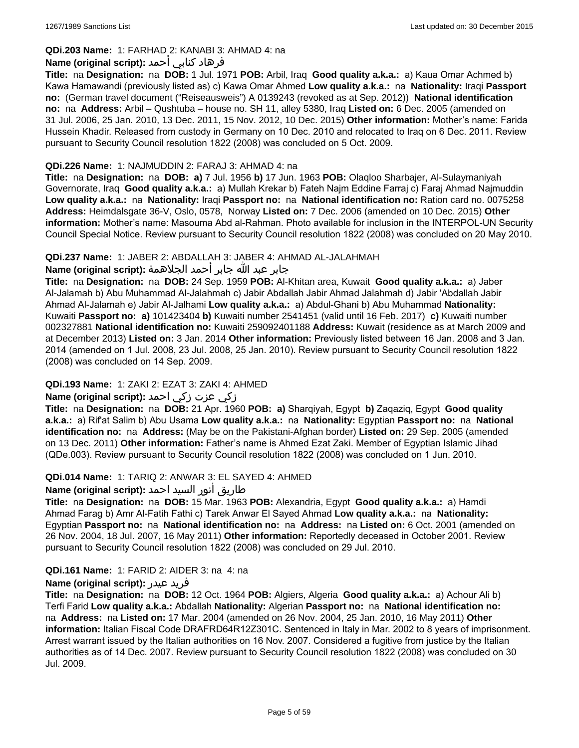# **QDi.203 Name:** 1: FARHAD 2: KANABI 3: AHMAD 4: na

### فرهاد كنابي أحمد **:Name (original script)**

**Title:** na **Designation:** na **DOB:** 1 Jul. 1971 **POB:** Arbil, Iraq **Good quality a.k.a.:** a) Kaua Omar Achmed b) Kawa Hamawandi (previously listed as) c) Kawa Omar Ahmed **Low quality a.k.a.:** na **Nationality:** Iraqi **Passport no:** (German travel document ("Reiseausweis") A 0139243 (revoked as at Sep. 2012)) **National identification no:** na **Address:** Arbil – Qushtuba – house no. SH 11, alley 5380, Iraq **Listed on:** 6 Dec. 2005 (amended on 31 Jul. 2006, 25 Jan. 2010, 13 Dec. 2011, 15 Nov. 2012, 10 Dec. 2015) **Other information:** Mother's name: Farida Hussein Khadir. Released from custody in Germany on 10 Dec. 2010 and relocated to Iraq on 6 Dec. 2011. Review pursuant to Security Council resolution 1822 (2008) was concluded on 5 Oct. 2009.

### **QDi.226 Name:** 1: NAJMUDDIN 2: FARAJ 3: AHMAD 4: na

**Title:** na **Designation:** na **DOB: a)** 7 Jul. 1956 **b)** 17 Jun. 1963 **POB:** Olaqloo Sharbajer, Al-Sulaymaniyah Governorate, Iraq **Good quality a.k.a.:** a) Mullah Krekar b) Fateh Najm Eddine Farraj c) Faraj Ahmad Najmuddin **Low quality a.k.a.:** na **Nationality:** Iraqi **Passport no:** na **National identification no:** Ration card no. 0075258 **Address:** Heimdalsgate 36-V, Oslo, 0578, Norway **Listed on:** 7 Dec. 2006 (amended on 10 Dec. 2015) **Other information:** Mother's name: Masouma Abd al-Rahman. Photo available for inclusion in the INTERPOL-UN Security Council Special Notice. Review pursuant to Security Council resolution 1822 (2008) was concluded on 20 May 2010.

### **QDi.237 Name:** 1: JABER 2: ABDALLAH 3: JABER 4: AHMAD AL-JALAHMAH

### جابر عبد الله جابر أحمد الجلاهمة **:(script original (Name**

**Title:** na **Designation:** na **DOB:** 24 Sep. 1959 **POB:** Al-Khitan area, Kuwait **Good quality a.k.a.:** a) Jaber Al-Jalamah b) Abu Muhammad Al-Jalahmah c) Jabir Abdallah Jabir Ahmad Jalahmah d) Jabir 'Abdallah Jabir Ahmad Al-Jalamah e) Jabir Al-Jalhami **Low quality a.k.a.:** a) Abdul-Ghani b) Abu Muhammad **Nationality:** Kuwaiti **Passport no: a)** 101423404 **b)** Kuwaiti number 2541451 (valid until 16 Feb. 2017) **c)** Kuwaiti number 002327881 **National identification no:** Kuwaiti 259092401188 **Address:** Kuwait (residence as at March 2009 and at December 2013) **Listed on:** 3 Jan. 2014 **Other information:** Previously listed between 16 Jan. 2008 and 3 Jan. 2014 (amended on 1 Jul. 2008, 23 Jul. 2008, 25 Jan. 2010). Review pursuant to Security Council resolution 1822 (2008) was concluded on 14 Sep. 2009.

### **QDi.193 Name:** 1: ZAKI 2: EZAT 3: ZAKI 4: AHMED

# زكي عزت زكي احمد **:(script original (Name**

**Title:** na **Designation:** na **DOB:** 21 Apr. 1960 **POB: a)** Sharqiyah, Egypt **b)** Zaqaziq, Egypt **Good quality a.k.a.:** a) Rif'at Salim b) Abu Usama **Low quality a.k.a.:** na **Nationality:** Egyptian **Passport no:** na **National identification no:** na **Address:** (May be on the Pakistani-Afghan border) **Listed on:** 29 Sep. 2005 (amended on 13 Dec. 2011) **Other information:** Father's name is Ahmed Ezat Zaki. Member of Egyptian Islamic Jihad (QDe.003). Review pursuant to Security Council resolution 1822 (2008) was concluded on 1 Jun. 2010.

### **QDi.014 Name:** 1: TARIQ 2: ANWAR 3: EL SAYED 4: AHMED

# طاريق أنور السيد احمد **:(script original (Name**

**Title:** na **Designation:** na **DOB:** 15 Mar. 1963 **POB:** Alexandria, Egypt **Good quality a.k.a.:** a) Hamdi Ahmad Farag b) Amr Al-Fatih Fathi c) Tarek Anwar El Sayed Ahmad **Low quality a.k.a.:** na **Nationality:** Egyptian **Passport no:** na **National identification no:** na **Address:** na **Listed on:** 6 Oct. 2001 (amended on 26 Nov. 2004, 18 Jul. 2007, 16 May 2011) **Other information:** Reportedly deceased in October 2001. Review pursuant to Security Council resolution 1822 (2008) was concluded on 29 Jul. 2010.

### **QDi.161 Name:** 1: FARID 2: AIDER 3: na 4: na

#### **Name (original script):** عيدر فريد

**Title:** na **Designation:** na **DOB:** 12 Oct. 1964 **POB:** Algiers, Algeria **Good quality a.k.a.:** a) Achour Ali b) Terfi Farid **Low quality a.k.a.:** Abdallah **Nationality:** Algerian **Passport no:** na **National identification no:**  na **Address:** na **Listed on:** 17 Mar. 2004 (amended on 26 Nov. 2004, 25 Jan. 2010, 16 May 2011) **Other information:** Italian Fiscal Code DRAFRD64R12Z301C. Sentenced in Italy in Mar. 2002 to 8 years of imprisonment. Arrest warrant issued by the Italian authorities on 16 Nov. 2007. Considered a fugitive from justice by the Italian authorities as of 14 Dec. 2007. Review pursuant to Security Council resolution 1822 (2008) was concluded on 30 Jul. 2009.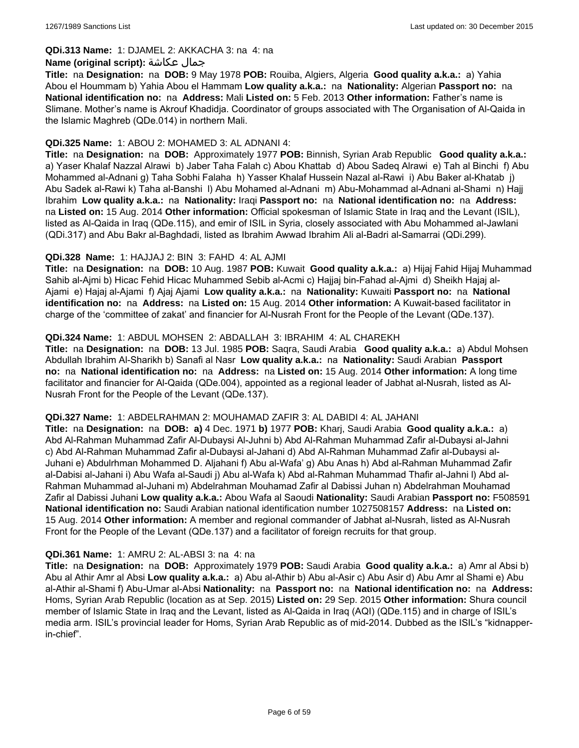#### **QDi.313 Name:** 1: DJAMEL 2: AKKACHA 3: na 4: na

#### **Name (original script):** عكاشة جمال

**Title:** na **Designation:** na **DOB:** 9 May 1978 **POB:** Rouiba, Algiers, Algeria **Good quality a.k.a.:** a) Yahia Abou el Hoummam b) Yahia Abou el Hammam **Low quality a.k.a.:** na **Nationality:** Algerian **Passport no:** na **National identification no:** na **Address:** Mali **Listed on:** 5 Feb. 2013 **Other information:** Father's name is Slimane. Mother's name is Akrouf Khadidja. Coordinator of groups associated with The Organisation of Al-Qaida in the Islamic Maghreb (QDe.014) in northern Mali.

#### **QDi.325 Name:** 1: ABOU 2: MOHAMED 3: AL ADNANI 4:

**Title:** na **Designation:** na **DOB:** Approximately 1977 **POB:** Binnish, Syrian Arab Republic **Good quality a.k.a.:**  a) Yaser Khalaf Nazzal Alrawi b) Jaber Taha Falah c) Abou Khattab d) Abou Sadeq Alrawi e) Tah al Binchi f) Abu Mohammed al-Adnani g) Taha Sobhi Falaha h) Yasser Khalaf Hussein Nazal al-Rawi i) Abu Baker al-Khatab j) Abu Sadek al-Rawi k) Taha al-Banshi l) Abu Mohamed al-Adnani m) Abu-Mohammad al-Adnani al-Shami n) Hajj Ibrahim **Low quality a.k.a.:** na **Nationality:** Iraqi **Passport no:** na **National identification no:** na **Address:**  na **Listed on:** 15 Aug. 2014 **Other information:** Official spokesman of Islamic State in Iraq and the Levant (ISIL), listed as Al-Qaida in Iraq (QDe.115), and emir of ISIL in Syria, closely associated with Abu Mohammed al-Jawlani (QDi.317) and Abu Bakr al-Baghdadi, listed as Ibrahim Awwad Ibrahim Ali al-Badri al-Samarrai (QDi.299).

### **QDi.328 Name:** 1: HAJJAJ 2: BIN 3: FAHD 4: AL AJMI

**Title:** na **Designation:** na **DOB:** 10 Aug. 1987 **POB:** Kuwait **Good quality a.k.a.:** a) Hijaj Fahid Hijaj Muhammad Sahib al-Ajmi b) Hicac Fehid Hicac Muhammed Sebib al-Acmi c) Hajjaj bin-Fahad al-Ajmi d) Sheikh Hajaj al-Ajami e) Hajaj al-Ajami f) Ajaj Ajami **Low quality a.k.a.:** na **Nationality:** Kuwaiti **Passport no:** na **National identification no:** na **Address:** na **Listed on:** 15 Aug. 2014 **Other information:** A Kuwait-based facilitator in charge of the 'committee of zakat' and financier for Al-Nusrah Front for the People of the Levant (QDe.137).

### **QDi.324 Name:** 1: ABDUL MOHSEN 2: ABDALLAH 3: IBRAHIM 4: AL CHAREKH

**Title:** na **Designation:** na **DOB:** 13 Jul. 1985 **POB:** Saqra, Saudi Arabia **Good quality a.k.a.:** a) Abdul Mohsen Abdullah Ibrahim Al-Sharikh b) Sanafi al Nasr **Low quality a.k.a.:** na **Nationality:** Saudi Arabian **Passport no:** na **National identification no:** na **Address:** na **Listed on:** 15 Aug. 2014 **Other information:** A long time facilitator and financier for Al-Qaida (QDe.004), appointed as a regional leader of Jabhat al-Nusrah, listed as Al-Nusrah Front for the People of the Levant (QDe.137).

#### **QDi.327 Name:** 1: ABDELRAHMAN 2: MOUHAMAD ZAFIR 3: AL DABIDI 4: AL JAHANI

**Title:** na **Designation:** na **DOB: a)** 4 Dec. 1971 **b)** 1977 **POB:** Kharj, Saudi Arabia **Good quality a.k.a.:** a) Abd Al-Rahman Muhammad Zafir Al-Dubaysi Al-Juhni b) Abd Al-Rahman Muhammad Zafir al-Dubaysi al-Jahni c) Abd Al-Rahman Muhammad Zafir al-Dubaysi al-Jahani d) Abd Al-Rahman Muhammad Zafir al-Dubaysi al-Juhani e) Abdulrhman Mohammed D. Aljahani f) Abu al-Wafa' g) Abu Anas h) Abd al-Rahman Muhammad Zafir al-Dabisi al-Jahani i) Abu Wafa al-Saudi j) Abu al-Wafa k) Abd al-Rahman Muhammad Thafir al-Jahni l) Abd al-Rahman Muhammad al-Juhani m) Abdelrahman Mouhamad Zafir al Dabissi Juhan n) Abdelrahman Mouhamad Zafir al Dabissi Juhani **Low quality a.k.a.:** Abou Wafa al Saoudi **Nationality:** Saudi Arabian **Passport no:** F508591 **National identification no:** Saudi Arabian national identification number 1027508157 **Address:** na **Listed on:** 15 Aug. 2014 **Other information:** A member and regional commander of Jabhat al-Nusrah, listed as Al-Nusrah Front for the People of the Levant (QDe.137) and a facilitator of foreign recruits for that group.

#### **QDi.361 Name:** 1: AMRU 2: AL-ABSI 3: na 4: na

**Title:** na **Designation:** na **DOB:** Approximately 1979 **POB:** Saudi Arabia **Good quality a.k.a.:** a) Amr al Absi b) Abu al Athir Amr al Absi **Low quality a.k.a.:** a) Abu al-Athir b) Abu al-Asir c) Abu Asir d) Abu Amr al Shami e) Abu al-Athir al-Shami f) Abu-Umar al-Absi **Nationality:** na **Passport no:** na **National identification no:** na **Address:** Homs, Syrian Arab Republic (location as at Sep. 2015) **Listed on:** 29 Sep. 2015 **Other information:** Shura council member of Islamic State in Iraq and the Levant, listed as Al-Qaida in Iraq (AQI) (QDe.115) and in charge of ISIL's media arm. ISIL's provincial leader for Homs, Syrian Arab Republic as of mid-2014. Dubbed as the ISIL's "kidnapperin-chief".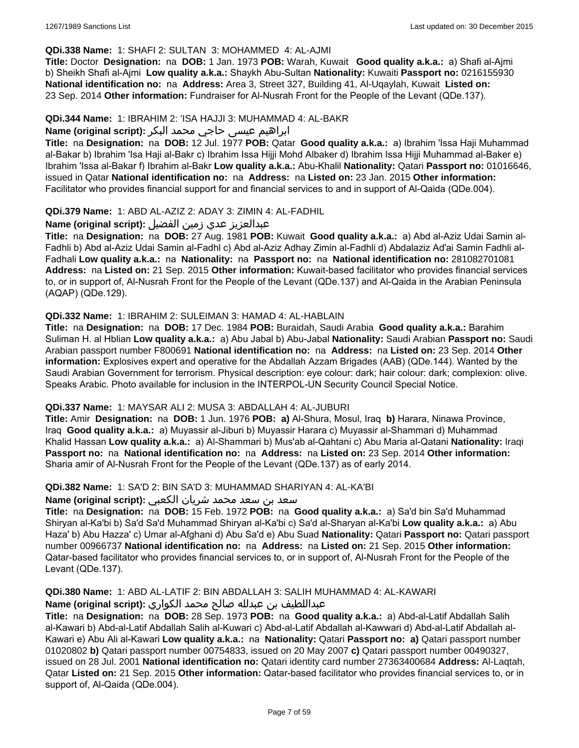### **QDi.338 Name:** 1: SHAFI 2: SULTAN 3: MOHAMMED 4: AL-AJMI

**Title:** Doctor **Designation:** na **DOB:** 1 Jan. 1973 **POB:** Warah, Kuwait **Good quality a.k.a.:** a) Shafi al-Ajmi b) Sheikh Shafi al-Ajmi **Low quality a.k.a.:** Shaykh Abu-Sultan **Nationality:** Kuwaiti **Passport no:** 0216155930 **National identification no:** na **Address:** Area 3, Street 327, Building 41, Al-Uqaylah, Kuwait **Listed on:** 23 Sep. 2014 **Other information:** Fundraiser for Al-Nusrah Front for the People of the Levant (QDe.137).

### **QDi.344 Name:** 1: IBRAHIM 2: 'ISA HAJJI 3: MUHAMMAD 4: AL-BAKR

### ابراهیم عیسی حاجي محمد البکر **:(script original (Name**

**Title:** na **Designation:** na **DOB:** 12 Jul. 1977 **POB:** Qatar **Good quality a.k.a.:** a) Ibrahim 'Issa Haji Muhammad al-Bakar b) Ibrahim 'Isa Haji al-Bakr c) Ibrahim Issa Hijji Mohd Albaker d) Ibrahim Issa Hijji Muhammad al-Baker e) Ibrahim 'Issa al-Bakar f) Ibrahim al-Bakr **Low quality a.k.a.:** Abu-Khalil **Nationality:** Qatari **Passport no:** 01016646, issued in Qatar **National identification no:** na **Address:** na **Listed on:** 23 Jan. 2015 **Other information:** Facilitator who provides financial support for and financial services to and in support of Al-Qaida (QDe.004).

### **QDi.379 Name:** 1: ABD AL-AZIZ 2: ADAY 3: ZIMIN 4: AL-FADHIL

### عبدالعزیز عدي زمین الفضیل **:(script original (Name**

**Title:** na **Designation:** na **DOB:** 27 Aug. 1981 **POB:** Kuwait **Good quality a.k.a.:** a) Abd al-Aziz Udai Samin al-Fadhli b) Abd al-Aziz Udai Samin al-Fadhl c) Abd al-Aziz Adhay Zimin al-Fadhli d) Abdalaziz Ad'ai Samin Fadhli al-Fadhali **Low quality a.k.a.:** na **Nationality:** na **Passport no:** na **National identification no:** 281082701081 **Address:** na **Listed on:** 21 Sep. 2015 **Other information:** Kuwait-based facilitator who provides financial services to, or in support of, Al-Nusrah Front for the People of the Levant (QDe.137) and Al-Qaida in the Arabian Peninsula (AQAP) (QDe.129).

### **QDi.332 Name:** 1: IBRAHIM 2: SULEIMAN 3: HAMAD 4: AL-HABLAIN

**Title:** na **Designation:** na **DOB:** 17 Dec. 1984 **POB:** Buraidah, Saudi Arabia **Good quality a.k.a.:** Barahim Suliman H. al Hblian **Low quality a.k.a.:** a) Abu Jabal b) Abu-Jabal **Nationality:** Saudi Arabian **Passport no:** Saudi Arabian passport number F800691 **National identification no:** na **Address:** na **Listed on:** 23 Sep. 2014 **Other information:** Explosives expert and operative for the Abdallah Azzam Brigades (AAB) (QDe.144). Wanted by the Saudi Arabian Government for terrorism. Physical description: eye colour: dark; hair colour: dark; complexion: olive. Speaks Arabic. Photo available for inclusion in the INTERPOL-UN Security Council Special Notice.

### **QDi.337 Name:** 1: MAYSAR ALI 2: MUSA 3: ABDALLAH 4: AL-JUBURI

**Title:** Amir **Designation:** na **DOB:** 1 Jun. 1976 **POB: a)** Al-Shura, Mosul, Iraq **b)** Harara, Ninawa Province, Iraq **Good quality a.k.a.:** a) Muyassir al-Jiburi b) Muyassir Harara c) Muyassir al-Shammari d) Muhammad Khalid Hassan **Low quality a.k.a.:** a) Al-Shammari b) Mus'ab al-Qahtani c) Abu Maria al-Qatani **Nationality:** Iraqi **Passport no:** na **National identification no:** na **Address:** na **Listed on:** 23 Sep. 2014 **Other information:** Sharia amir of Al-Nusrah Front for the People of the Levant (QDe.137) as of early 2014.

#### **QDi.382 Name:** 1: SA'D 2: BIN SA'D 3: MUHAMMAD SHARIYAN 4: AL-KA'BI

### سعد بن سعد محمد شریان الكعبي **:(script original (Name**

**Title:** na **Designation:** na **DOB:** 15 Feb. 1972 **POB:** na **Good quality a.k.a.:** a) Sa'd bin Sa'd Muhammad Shiryan al-Ka'bi b) Sa'd Sa'd Muhammad Shiryan al-Ka'bi c) Sa'd al-Sharyan al-Ka'bi **Low quality a.k.a.:** a) Abu Haza' b) Abu Hazza' c) Umar al-Afghani d) Abu Sa'd e) Abu Suad **Nationality:** Qatari **Passport no:** Qatari passport number 00966737 **National identification no:** na **Address:** na **Listed on:** 21 Sep. 2015 **Other information:** Qatar-based facilitator who provides financial services to, or in support of, Al-Nusrah Front for the People of the Levant (QDe.137).

# **QDi.380 Name:** 1: ABD AL-LATIF 2: BIN ABDALLAH 3: SALIH MUHAMMAD 4: AL-KAWARI

### عبداللطیف بن عبدلله صالح محمد الكواري **:(script original (Name**

**Title:** na **Designation:** na **DOB:** 28 Sep. 1973 **POB:** na **Good quality a.k.a.:** a) Abd-al-Latif Abdallah Salih al-Kawari b) Abd-al-Latif Abdallah Salih al-Kuwari c) Abd-al-Latif Abdallah al-Kawwari d) Abd-al-Latif Abdallah al-Kawari e) Abu Ali al-Kawari **Low quality a.k.a.:** na **Nationality:** Qatari **Passport no: a)** Qatari passport number 01020802 **b)** Qatari passport number 00754833, issued on 20 May 2007 **c)** Qatari passport number 00490327, issued on 28 Jul. 2001 **National identification no:** Qatari identity card number 27363400684 **Address:** Al-Laqtah, Qatar **Listed on:** 21 Sep. 2015 **Other information:** Qatar-based facilitator who provides financial services to, or in support of, Al-Qaida (QDe.004).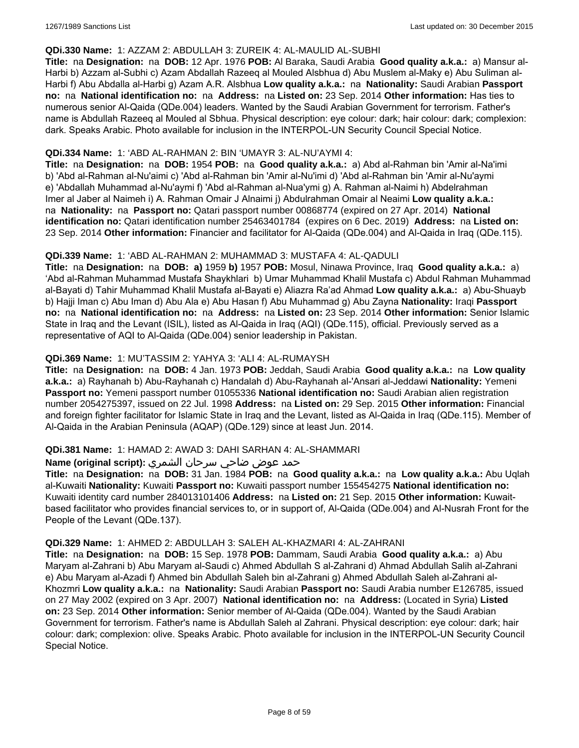#### **QDi.330 Name:** 1: AZZAM 2: ABDULLAH 3: ZUREIK 4: AL-MAULID AL-SUBHI

**Title:** na **Designation:** na **DOB:** 12 Apr. 1976 **POB:** Al Baraka, Saudi Arabia **Good quality a.k.a.:** a) Mansur al-Harbi b) Azzam al-Subhi c) Azam Abdallah Razeeq al Mouled Alsbhua d) Abu Muslem al-Maky e) Abu Suliman al-Harbi f) Abu Abdalla al-Harbi g) Azam A.R. Alsbhua **Low quality a.k.a.:** na **Nationality:** Saudi Arabian **Passport no:** na **National identification no:** na **Address:** na **Listed on:** 23 Sep. 2014 **Other information:** Has ties to numerous senior Al-Qaida (QDe.004) leaders. Wanted by the Saudi Arabian Government for terrorism. Father's name is Abdullah Razeeq al Mouled al Sbhua. Physical description: eye colour: dark; hair colour: dark; complexion: dark. Speaks Arabic. Photo available for inclusion in the INTERPOL-UN Security Council Special Notice.

### **QDi.334 Name:** 1: 'ABD AL-RAHMAN 2: BIN 'UMAYR 3: AL-NU'AYMI 4:

**Title:** na **Designation:** na **DOB:** 1954 **POB:** na **Good quality a.k.a.:** a) Abd al-Rahman bin 'Amir al-Na'imi b) 'Abd al-Rahman al-Nu'aimi c) 'Abd al-Rahman bin 'Amir al-Nu'imi d) 'Abd al-Rahman bin 'Amir al-Nu'aymi e) 'Abdallah Muhammad al-Nu'aymi f) 'Abd al-Rahman al-Nua'ymi g) A. Rahman al-Naimi h) Abdelrahman Imer al Jaber al Naimeh i) A. Rahman Omair J Alnaimi j) Abdulrahman Omair al Neaimi **Low quality a.k.a.:**  na **Nationality:** na **Passport no:** Qatari passport number 00868774 (expired on 27 Apr. 2014) **National identification no:** Qatari identification number 25463401784 (expires on 6 Dec. 2019) **Address:** na **Listed on:** 23 Sep. 2014 **Other information:** Financier and facilitator for Al-Qaida (QDe.004) and Al-Qaida in Iraq (QDe.115).

### **QDi.339 Name:** 1: 'ABD AL-RAHMAN 2: MUHAMMAD 3: MUSTAFA 4: AL-QADULI

**Title:** na **Designation:** na **DOB: a)** 1959 **b)** 1957 **POB:** Mosul, Ninawa Province, Iraq **Good quality a.k.a.:** a) 'Abd al-Rahman Muhammad Mustafa Shaykhlari b) Umar Muhammad Khalil Mustafa c) Abdul Rahman Muhammad al-Bayati d) Tahir Muhammad Khalil Mustafa al-Bayati e) Aliazra Ra'ad Ahmad **Low quality a.k.a.:** a) Abu-Shuayb b) Hajji Iman c) Abu Iman d) Abu Ala e) Abu Hasan f) Abu Muhammad g) Abu Zayna **Nationality:** Iraqi **Passport no:** na **National identification no:** na **Address:** na **Listed on:** 23 Sep. 2014 **Other information:** Senior Islamic State in Iraq and the Levant (ISIL), listed as Al-Qaida in Iraq (AQI) (QDe.115), official. Previously served as a representative of AQI to Al-Qaida (QDe.004) senior leadership in Pakistan.

### **QDi.369 Name:** 1: MU'TASSIM 2: YAHYA 3: 'ALI 4: AL-RUMAYSH

**Title:** na **Designation:** na **DOB:** 4 Jan. 1973 **POB:** Jeddah, Saudi Arabia **Good quality a.k.a.:** na **Low quality a.k.a.:** a) Rayhanah b) Abu-Rayhanah c) Handalah d) Abu-Rayhanah al-'Ansari al-Jeddawi **Nationality:** Yemeni **Passport no:** Yemeni passport number 01055336 **National identification no:** Saudi Arabian alien registration number 2054275397, issued on 22 Jul. 1998 **Address:** na **Listed on:** 29 Sep. 2015 **Other information:** Financial and foreign fighter facilitator for Islamic State in Iraq and the Levant, listed as Al-Qaida in Iraq (QDe.115). Member of Al-Qaida in the Arabian Peninsula (AQAP) (QDe.129) since at least Jun. 2014.

#### **QDi.381 Name:** 1: HAMAD 2: AWAD 3: DAHI SARHAN 4: AL-SHAMMARI

### حمد عوض ضاحي سرحان الشمري **:(script original (Name**

**Title:** na **Designation:** na **DOB:** 31 Jan. 1984 **POB:** na **Good quality a.k.a.:** na **Low quality a.k.a.:** Abu Uqlah al-Kuwaiti **Nationality:** Kuwaiti **Passport no:** Kuwaiti passport number 155454275 **National identification no:** Kuwaiti identity card number 284013101406 **Address:** na **Listed on:** 21 Sep. 2015 **Other information:** Kuwaitbased facilitator who provides financial services to, or in support of, Al-Qaida (QDe.004) and Al-Nusrah Front for the People of the Levant (QDe.137).

#### **QDi.329 Name:** 1: AHMED 2: ABDULLAH 3: SALEH AL-KHAZMARI 4: AL-ZAHRANI

**Title:** na **Designation:** na **DOB:** 15 Sep. 1978 **POB:** Dammam, Saudi Arabia **Good quality a.k.a.:** a) Abu Maryam al-Zahrani b) Abu Maryam al-Saudi c) Ahmed Abdullah S al-Zahrani d) Ahmad Abdullah Salih al-Zahrani e) Abu Maryam al-Azadi f) Ahmed bin Abdullah Saleh bin al-Zahrani g) Ahmed Abdullah Saleh al-Zahrani al-Khozmri **Low quality a.k.a.:** na **Nationality:** Saudi Arabian **Passport no:** Saudi Arabia number E126785, issued on 27 May 2002 (expired on 3 Apr. 2007) **National identification no:** na **Address:** (Located in Syria) **Listed on:** 23 Sep. 2014 **Other information:** Senior member of Al-Qaida (QDe.004). Wanted by the Saudi Arabian Government for terrorism. Father's name is Abdullah Saleh al Zahrani. Physical description: eye colour: dark; hair colour: dark; complexion: olive. Speaks Arabic. Photo available for inclusion in the INTERPOL-UN Security Council Special Notice.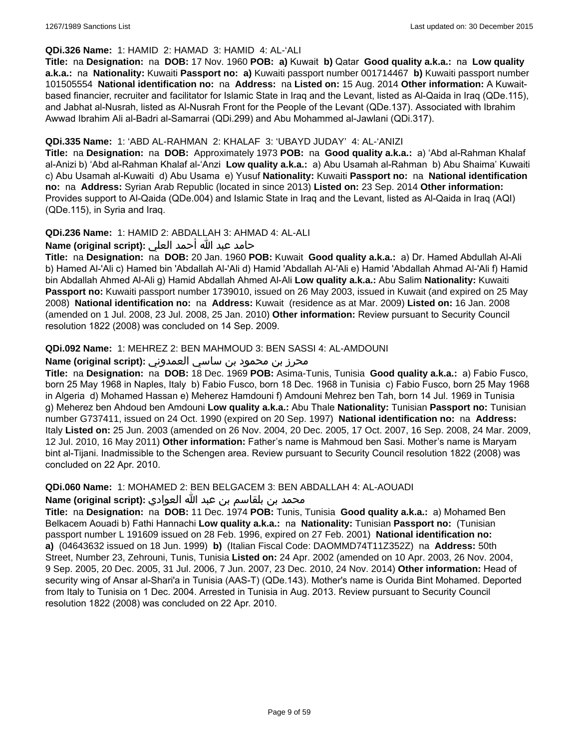### **QDi.326 Name:** 1: HAMID 2: HAMAD 3: HAMID 4: AL-'ALI

**Title:** na **Designation:** na **DOB:** 17 Nov. 1960 **POB: a)** Kuwait **b)** Qatar **Good quality a.k.a.:** na **Low quality a.k.a.:** na **Nationality:** Kuwaiti **Passport no: a)** Kuwaiti passport number 001714467 **b)** Kuwaiti passport number 101505554 **National identification no:** na **Address:** na **Listed on:** 15 Aug. 2014 **Other information:** A Kuwaitbased financier, recruiter and facilitator for Islamic State in Iraq and the Levant, listed as Al-Qaida in Iraq (QDe.115), and Jabhat al-Nusrah, listed as Al-Nusrah Front for the People of the Levant (QDe.137). Associated with Ibrahim Awwad Ibrahim Ali al-Badri al-Samarrai (QDi.299) and Abu Mohammed al-Jawlani (QDi.317).

### **QDi.335 Name:** 1: 'ABD AL-RAHMAN 2: KHALAF 3: 'UBAYD JUDAY' 4: AL-'ANIZI

**Title:** na **Designation:** na **DOB:** Approximately 1973 **POB:** na **Good quality a.k.a.:** a) 'Abd al-Rahman Khalaf al-Anizi b) 'Abd al-Rahman Khalaf al-'Anzi **Low quality a.k.a.:** a) Abu Usamah al-Rahman b) Abu Shaima' Kuwaiti c) Abu Usamah al-Kuwaiti d) Abu Usama e) Yusuf **Nationality:** Kuwaiti **Passport no:** na **National identification no:** na **Address:** Syrian Arab Republic (located in since 2013) **Listed on:** 23 Sep. 2014 **Other information:** Provides support to Al-Qaida (QDe.004) and Islamic State in Iraq and the Levant, listed as Al-Qaida in Iraq (AQI) (QDe.115), in Syria and Iraq.

### **QDi.236 Name:** 1: HAMID 2: ABDALLAH 3: AHMAD 4: AL-ALI

حامد عبد الله أحمد العلي **:(script original (Name**

**Title:** na **Designation:** na **DOB:** 20 Jan. 1960 **POB:** Kuwait **Good quality a.k.a.:** a) Dr. Hamed Abdullah Al-Ali b) Hamed Al-'Ali c) Hamed bin 'Abdallah Al-'Ali d) Hamid 'Abdallah Al-'Ali e) Hamid 'Abdallah Ahmad Al-'Ali f) Hamid bin Abdallah Ahmed Al-Ali g) Hamid Abdallah Ahmed Al-Ali **Low quality a.k.a.:** Abu Salim **Nationality:** Kuwaiti **Passport no:** Kuwaiti passport number 1739010, issued on 26 May 2003, issued in Kuwait (and expired on 25 May 2008) **National identification no:** na **Address:** Kuwait (residence as at Mar. 2009) **Listed on:** 16 Jan. 2008 (amended on 1 Jul. 2008, 23 Jul. 2008, 25 Jan. 2010) **Other information:** Review pursuant to Security Council resolution 1822 (2008) was concluded on 14 Sep. 2009.

### **QDi.092 Name:** 1: MEHREZ 2: BEN MAHMOUD 3: BEN SASSI 4: AL-AMDOUNI

## محرز بن محمود بن ساسي العمدوني **:Name (original script)**

**Title:** na **Designation:** na **DOB:** 18 Dec. 1969 **POB:** Asima-Tunis, Tunisia **Good quality a.k.a.:** a) Fabio Fusco, born 25 May 1968 in Naples, Italy b) Fabio Fusco, born 18 Dec. 1968 in Tunisia c) Fabio Fusco, born 25 May 1968 in Algeria d) Mohamed Hassan e) Meherez Hamdouni f) Amdouni Mehrez ben Tah, born 14 Jul. 1969 in Tunisia g) Meherez ben Ahdoud ben Amdouni **Low quality a.k.a.:** Abu Thale **Nationality:** Tunisian **Passport no:** Tunisian number G737411, issued on 24 Oct. 1990 (expired on 20 Sep. 1997) **National identification no:** na **Address:** Italy **Listed on:** 25 Jun. 2003 (amended on 26 Nov. 2004, 20 Dec. 2005, 17 Oct. 2007, 16 Sep. 2008, 24 Mar. 2009, 12 Jul. 2010, 16 May 2011) **Other information:** Father's name is Mahmoud ben Sasi. Mother's name is Maryam bint al-Tijani. Inadmissible to the Schengen area. Review pursuant to Security Council resolution 1822 (2008) was concluded on 22 Apr. 2010.

**QDi.060 Name:** 1: MOHAMED 2: BEN BELGACEM 3: BEN ABDALLAH 4: AL-AOUADI

محمد بن بلقاسم بن عبد الله العوادي **:Name (original script**)

**Title:** na **Designation:** na **DOB:** 11 Dec. 1974 **POB:** Tunis, Tunisia **Good quality a.k.a.:** a) Mohamed Ben Belkacem Aouadi b) Fathi Hannachi **Low quality a.k.a.:** na **Nationality:** Tunisian **Passport no:** (Tunisian passport number L 191609 issued on 28 Feb. 1996, expired on 27 Feb. 2001) **National identification no: a)** (04643632 issued on 18 Jun. 1999) **b)** (Italian Fiscal Code: DAOMMD74T11Z352Z) na **Address:** 50th Street, Number 23, Zehrouni, Tunis, Tunisia **Listed on:** 24 Apr. 2002 (amended on 10 Apr. 2003, 26 Nov. 2004, 9 Sep. 2005, 20 Dec. 2005, 31 Jul. 2006, 7 Jun. 2007, 23 Dec. 2010, 24 Nov. 2014) **Other information:** Head of security wing of Ansar al-Shari'a in Tunisia (AAS-T) (QDe.143). Mother's name is Ourida Bint Mohamed. Deported from Italy to Tunisia on 1 Dec. 2004. Arrested in Tunisia in Aug. 2013. Review pursuant to Security Council resolution 1822 (2008) was concluded on 22 Apr. 2010.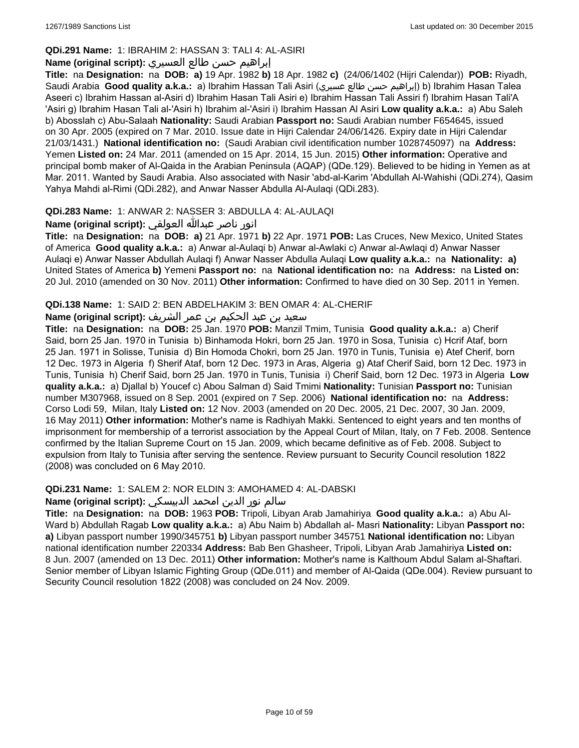### **QDi.291 Name:** 1: IBRAHIM 2: HASSAN 3: TALI 4: AL-ASIRI

# إبراهيم حسن طالع العسيري **:(script original (Name**

**Title:** na **Designation:** na **DOB: a)** 19 Apr. 1982 **b)** 18 Apr. 1982 **c)** (24/06/1402 (Hijri Calendar)) **POB:** Riyadh, Saudi Arabia **Good quality a.k.a.:** a) Ibrahim Hassan Tali Asiri (عسيري طالع حسن إبراهيم (b) Ibrahim Hasan Talea Aseeri c) Ibrahim Hassan al-Asiri d) Ibrahim Hasan Tali Asiri e) Ibrahim Hassan Tali Assiri f) Ibrahim Hasan Tali'A 'Asiri g) Ibrahim Hasan Tali al-'Asiri h) Ibrahim al-'Asiri i) Ibrahim Hassan Al Asiri **Low quality a.k.a.:** a) Abu Saleh b) Abosslah c) Abu-Salaah **Nationality:** Saudi Arabian **Passport no:** Saudi Arabian number F654645, issued on 30 Apr. 2005 (expired on 7 Mar. 2010. Issue date in Hijri Calendar 24/06/1426. Expiry date in Hijri Calendar 21/03/1431.) **National identification no:** (Saudi Arabian civil identification number 1028745097) na **Address:** Yemen **Listed on:** 24 Mar. 2011 (amended on 15 Apr. 2014, 15 Jun. 2015) **Other information:** Operative and principal bomb maker of Al-Qaida in the Arabian Peninsula (AQAP) (QDe.129). Believed to be hiding in Yemen as at Mar. 2011. Wanted by Saudi Arabia. Also associated with Nasir 'abd-al-Karim 'Abdullah Al-Wahishi (QDi.274), Qasim Yahya Mahdi al-Rimi (QDi.282), and Anwar Nasser Abdulla Al-Aulaqi (QDi.283).

### **QDi.283 Name:** 1: ANWAR 2: NASSER 3: ABDULLA 4: AL-AULAQI

انور ناصر عبدالله العولقي **:(script original (Name**

**Title:** na **Designation:** na **DOB: a)** 21 Apr. 1971 **b)** 22 Apr. 1971 **POB:** Las Cruces, New Mexico, United States of America **Good quality a.k.a.:** a) Anwar al-Aulaqi b) Anwar al-Awlaki c) Anwar al-Awlaqi d) Anwar Nasser Aulaqi e) Anwar Nasser Abdullah Aulaqi f) Anwar Nasser Abdulla Aulaqi **Low quality a.k.a.:** na **Nationality: a)** United States of America **b)** Yemeni **Passport no:** na **National identification no:** na **Address:** na **Listed on:** 20 Jul. 2010 (amended on 30 Nov. 2011) **Other information:** Confirmed to have died on 30 Sep. 2011 in Yemen.

### **QDi.138 Name:** 1: SAID 2: BEN ABDELHAKIM 3: BEN OMAR 4: AL-CHERIF

### سعيد بن عبد الحكيم بن عمر الشريف **:(script original (Name**

**Title:** na **Designation:** na **DOB:** 25 Jan. 1970 **POB:** Manzil Tmim, Tunisia **Good quality a.k.a.:** a) Cherif Said, born 25 Jan. 1970 in Tunisia b) Binhamoda Hokri, born 25 Jan. 1970 in Sosa, Tunisia c) Hcrif Ataf, born 25 Jan. 1971 in Solisse, Tunisia d) Bin Homoda Chokri, born 25 Jan. 1970 in Tunis, Tunisia e) Atef Cherif, born 12 Dec. 1973 in Algeria f) Sherif Ataf, born 12 Dec. 1973 in Aras, Algeria g) Ataf Cherif Said, born 12 Dec. 1973 in Tunis, Tunisia h) Cherif Said, born 25 Jan. 1970 in Tunis, Tunisia i) Cherif Said, born 12 Dec. 1973 in Algeria **Low quality a.k.a.:** a) Djallal b) Youcef c) Abou Salman d) Said Tmimi **Nationality:** Tunisian **Passport no:** Tunisian number M307968, issued on 8 Sep. 2001 (expired on 7 Sep. 2006) **National identification no:** na **Address:** Corso Lodi 59, Milan, Italy **Listed on:** 12 Nov. 2003 (amended on 20 Dec. 2005, 21 Dec. 2007, 30 Jan. 2009, 16 May 2011) **Other information:** Mother's name is Radhiyah Makki. Sentenced to eight years and ten months of imprisonment for membership of a terrorist association by the Appeal Court of Milan, Italy, on 7 Feb. 2008. Sentence confirmed by the Italian Supreme Court on 15 Jan. 2009, which became definitive as of Feb. 2008. Subject to expulsion from Italy to Tunisia after serving the sentence. Review pursuant to Security Council resolution 1822 (2008) was concluded on 6 May 2010.

### **QDi.231 Name:** 1: SALEM 2: NOR ELDIN 3: AMOHAMED 4: AL-DABSKI

### سالم نور الدين امحمد الدبيسكي **:Name (original script)**

**Title:** na **Designation:** na **DOB:** 1963 **POB:** Tripoli, Libyan Arab Jamahiriya **Good quality a.k.a.:** a) Abu Al-Ward b) Abdullah Ragab **Low quality a.k.a.:** a) Abu Naim b) Abdallah al- Masri **Nationality:** Libyan **Passport no: a)** Libyan passport number 1990/345751 **b)** Libyan passport number 345751 **National identification no:** Libyan national identification number 220334 **Address:** Bab Ben Ghasheer, Tripoli, Libyan Arab Jamahiriya **Listed on:** 8 Jun. 2007 (amended on 13 Dec. 2011) **Other information:** Mother's name is Kalthoum Abdul Salam al-Shaftari. Senior member of Libyan Islamic Fighting Group (QDe.011) and member of Al-Qaida (QDe.004). Review pursuant to Security Council resolution 1822 (2008) was concluded on 24 Nov. 2009.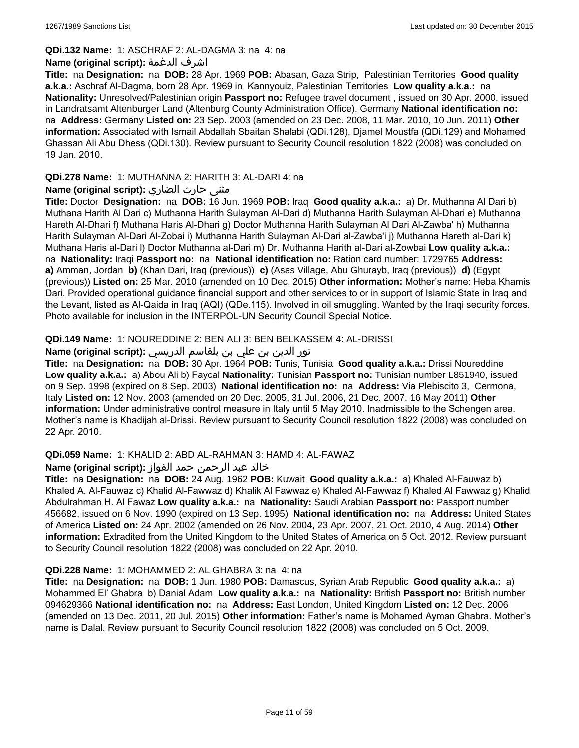#### **QDi.132 Name:** 1: ASCHRAF 2: AL-DAGMA 3: na 4: na

#### **Name (original script):** الدغمة اشرف

**Title:** na **Designation:** na **DOB:** 28 Apr. 1969 **POB:** Abasan, Gaza Strip, Palestinian Territories **Good quality a.k.a.:** Aschraf Al-Dagma, born 28 Apr. 1969 in Kannyouiz, Palestinian Territories **Low quality a.k.a.:** na **Nationality:** Unresolved/Palestinian origin **Passport no:** Refugee travel document , issued on 30 Apr. 2000, issued in Landratsamt Altenburger Land (Altenburg County Administration Office), Germany **National identification no:**  na **Address:** Germany **Listed on:** 23 Sep. 2003 (amended on 23 Dec. 2008, 11 Mar. 2010, 10 Jun. 2011) **Other information:** Associated with Ismail Abdallah Sbaitan Shalabi (QDi.128), Djamel Moustfa (QDi.129) and Mohamed Ghassan Ali Abu Dhess (QDi.130). Review pursuant to Security Council resolution 1822 (2008) was concluded on 19 Jan. 2010.

### **QDi.278 Name:** 1: MUTHANNA 2: HARITH 3: AL-DARI 4: na

### **مثنى حارث الضاري :(Name (original script**

**Title:** Doctor **Designation:** na **DOB:** 16 Jun. 1969 **POB:** Iraq **Good quality a.k.a.:** a) Dr. Muthanna Al Dari b) Muthana Harith Al Dari c) Muthanna Harith Sulayman Al-Dari d) Muthanna Harith Sulayman Al-Dhari e) Muthanna Hareth Al-Dhari f) Muthana Haris Al-Dhari g) Doctor Muthanna Harith Sulayman Al Dari Al-Zawba' h) Muthanna Harith Sulayman Al-Dari Al-Zobai i) Muthanna Harith Sulayman Al-Dari al-Zawba'i j) Muthanna Hareth al-Dari k) Muthana Haris al-Dari l) Doctor Muthanna al-Dari m) Dr. Muthanna Harith al-Dari al-Zowbai **Low quality a.k.a.:**  na **Nationality:** Iraqi **Passport no:** na **National identification no:** Ration card number: 1729765 **Address: a)** Amman, Jordan **b)** (Khan Dari, Iraq (previous)) **c)** (Asas Village, Abu Ghurayb, Iraq (previous)) **d)** (Egypt (previous)) **Listed on:** 25 Mar. 2010 (amended on 10 Dec. 2015) **Other information:** Mother's name: Heba Khamis Dari. Provided operational guidance financial support and other services to or in support of Islamic State in Iraq and the Levant, listed as Al-Qaida in Iraq (AQI) (QDe.115). Involved in oil smuggling. Wanted by the Iraqi security forces. Photo available for inclusion in the INTERPOL-UN Security Council Special Notice.

### **QDi.149 Name:** 1: NOUREDDINE 2: BEN ALI 3: BEN BELKASSEM 4: AL-DRISSI

### نور الدين بن علي بن بلقاسم الدريسي **:Name (original script)**

**Title:** na **Designation:** na **DOB:** 30 Apr. 1964 **POB:** Tunis, Tunisia **Good quality a.k.a.:** Drissi Noureddine **Low quality a.k.a.:** a) Abou Ali b) Faycal **Nationality:** Tunisian **Passport no:** Tunisian number L851940, issued on 9 Sep. 1998 (expired on 8 Sep. 2003) **National identification no:** na **Address:** Via Plebiscito 3, Cermona, Italy **Listed on:** 12 Nov. 2003 (amended on 20 Dec. 2005, 31 Jul. 2006, 21 Dec. 2007, 16 May 2011) **Other information:** Under administrative control measure in Italy until 5 May 2010. Inadmissible to the Schengen area. Mother's name is Khadijah al-Drissi. Review pursuant to Security Council resolution 1822 (2008) was concluded on 22 Apr. 2010.

### **QDi.059 Name:** 1: KHALID 2: ABD AL-RAHMAN 3: HAMD 4: AL-FAWAZ

### خالد عبد الرحمن حمد الفواز **:(script original (Name**

**Title:** na **Designation:** na **DOB:** 24 Aug. 1962 **POB:** Kuwait **Good quality a.k.a.:** a) Khaled Al-Fauwaz b) Khaled A. Al-Fauwaz c) Khalid Al-Fawwaz d) Khalik Al Fawwaz e) Khaled Al-Fawwaz f) Khaled Al Fawwaz g) Khalid Abdulrahman H. Al Fawaz **Low quality a.k.a.:** na **Nationality:** Saudi Arabian **Passport no:** Passport number 456682, issued on 6 Nov. 1990 (expired on 13 Sep. 1995) **National identification no:** na **Address:** United States of America **Listed on:** 24 Apr. 2002 (amended on 26 Nov. 2004, 23 Apr. 2007, 21 Oct. 2010, 4 Aug. 2014) **Other information:** Extradited from the United Kingdom to the United States of America on 5 Oct. 2012. Review pursuant to Security Council resolution 1822 (2008) was concluded on 22 Apr. 2010.

#### **QDi.228 Name:** 1: MOHAMMED 2: AL GHABRA 3: na 4: na

**Title:** na **Designation:** na **DOB:** 1 Jun. 1980 **POB:** Damascus, Syrian Arab Republic **Good quality a.k.a.:** a) Mohammed El' Ghabra b) Danial Adam **Low quality a.k.a.:** na **Nationality:** British **Passport no:** British number 094629366 **National identification no:** na **Address:** East London, United Kingdom **Listed on:** 12 Dec. 2006 (amended on 13 Dec. 2011, 20 Jul. 2015) **Other information:** Father's name is Mohamed Ayman Ghabra. Mother's name is Dalal. Review pursuant to Security Council resolution 1822 (2008) was concluded on 5 Oct. 2009.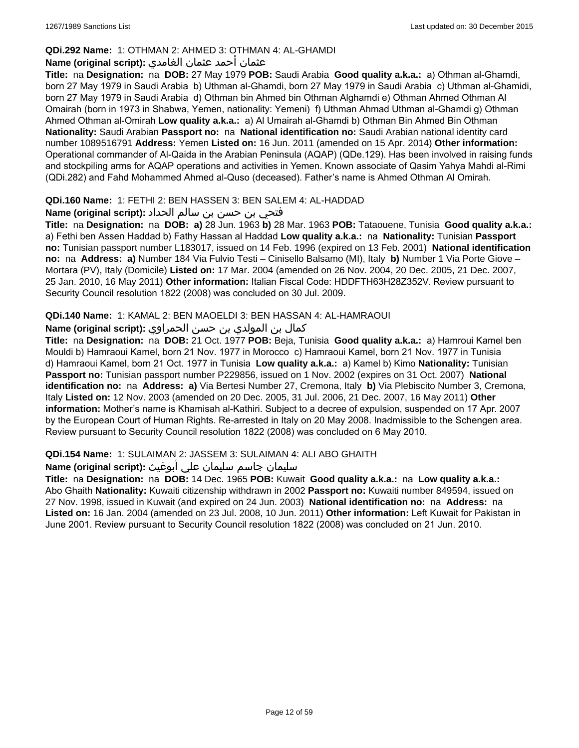### **QDi.292 Name:** 1: OTHMAN 2: AHMED 3: OTHMAN 4: AL-GHAMDI

# عثمان أحمد عثمان الغامدي **:(script original (Name**

**Title:** na **Designation:** na **DOB:** 27 May 1979 **POB:** Saudi Arabia **Good quality a.k.a.:** a) Othman al-Ghamdi, born 27 May 1979 in Saudi Arabia b) Uthman al-Ghamdi, born 27 May 1979 in Saudi Arabia c) Uthman al-Ghamidi, born 27 May 1979 in Saudi Arabia d) Othman bin Ahmed bin Othman Alghamdi e) Othman Ahmed Othman Al Omairah (born in 1973 in Shabwa, Yemen, nationality: Yemeni) f) Uthman Ahmad Uthman al-Ghamdi g) Othman Ahmed Othman al-Omirah **Low quality a.k.a.:** a) Al Umairah al-Ghamdi b) Othman Bin Ahmed Bin Othman **Nationality:** Saudi Arabian **Passport no:** na **National identification no:** Saudi Arabian national identity card number 1089516791 **Address:** Yemen **Listed on:** 16 Jun. 2011 (amended on 15 Apr. 2014) **Other information:** Operational commander of Al-Qaida in the Arabian Peninsula (AQAP) (QDe.129). Has been involved in raising funds and stockpiling arms for AQAP operations and activities in Yemen. Known associate of Qasim Yahya Mahdi al-Rimi (QDi.282) and Fahd Mohammed Ahmed al-Quso (deceased). Father's name is Ahmed Othman Al Omirah.

### **QDi.160 Name:** 1: FETHI 2: BEN HASSEN 3: BEN SALEM 4: AL-HADDAD

# فتحي بن حسن بن سالم الحداد **:(script original (Name**

**Title:** na **Designation:** na **DOB: a)** 28 Jun. 1963 **b)** 28 Mar. 1963 **POB:** Tataouene, Tunisia **Good quality a.k.a.:** a) Fethi ben Assen Haddad b) Fathy Hassan al Haddad **Low quality a.k.a.:** na **Nationality:** Tunisian **Passport no:** Tunisian passport number L183017, issued on 14 Feb. 1996 (expired on 13 Feb. 2001) **National identification no:** na **Address: a)** Number 184 Via Fulvio Testi – Cinisello Balsamo (MI), Italy **b)** Number 1 Via Porte Giove – Mortara (PV), Italy (Domicile) **Listed on:** 17 Mar. 2004 (amended on 26 Nov. 2004, 20 Dec. 2005, 21 Dec. 2007, 25 Jan. 2010, 16 May 2011) **Other information:** Italian Fiscal Code: HDDFTH63H28Z352V. Review pursuant to Security Council resolution 1822 (2008) was concluded on 30 Jul. 2009.

### **QDi.140 Name:** 1: KAMAL 2: BEN MAOELDI 3: BEN HASSAN 4: AL-HAMRAOUI

### كمال بن المولدي بن حسن الحمراوي **:Name (original script)**

**Title:** na **Designation:** na **DOB:** 21 Oct. 1977 **POB:** Beja, Tunisia **Good quality a.k.a.:** a) Hamroui Kamel ben Mouldi b) Hamraoui Kamel, born 21 Nov. 1977 in Morocco c) Hamraoui Kamel, born 21 Nov. 1977 in Tunisia d) Hamraoui Kamel, born 21 Oct. 1977 in Tunisia **Low quality a.k.a.:** a) Kamel b) Kimo **Nationality:** Tunisian **Passport no:** Tunisian passport number P229856, issued on 1 Nov. 2002 (expires on 31 Oct. 2007) **National identification no:** na **Address: a)** Via Bertesi Number 27, Cremona, Italy **b)** Via Plebiscito Number 3, Cremona, Italy **Listed on:** 12 Nov. 2003 (amended on 20 Dec. 2005, 31 Jul. 2006, 21 Dec. 2007, 16 May 2011) **Other information:** Mother's name is Khamisah al-Kathiri. Subject to a decree of expulsion, suspended on 17 Apr. 2007 by the European Court of Human Rights. Re-arrested in Italy on 20 May 2008. Inadmissible to the Schengen area. Review pursuant to Security Council resolution 1822 (2008) was concluded on 6 May 2010.

### **QDi.154 Name:** 1: SULAIMAN 2: JASSEM 3: SULAIMAN 4: ALI ABO GHAITH

### سليمان جاسم سليمان علي أبوغيث **:(script original (Name**

**Title:** na **Designation:** na **DOB:** 14 Dec. 1965 **POB:** Kuwait **Good quality a.k.a.:** na **Low quality a.k.a.:** Abo Ghaith **Nationality:** Kuwaiti citizenship withdrawn in 2002 **Passport no:** Kuwaiti number 849594, issued on 27 Nov. 1998, issued in Kuwait (and expired on 24 Jun. 2003) **National identification no:** na **Address:** na **Listed on:** 16 Jan. 2004 (amended on 23 Jul. 2008, 10 Jun. 2011) **Other information:** Left Kuwait for Pakistan in June 2001. Review pursuant to Security Council resolution 1822 (2008) was concluded on 21 Jun. 2010.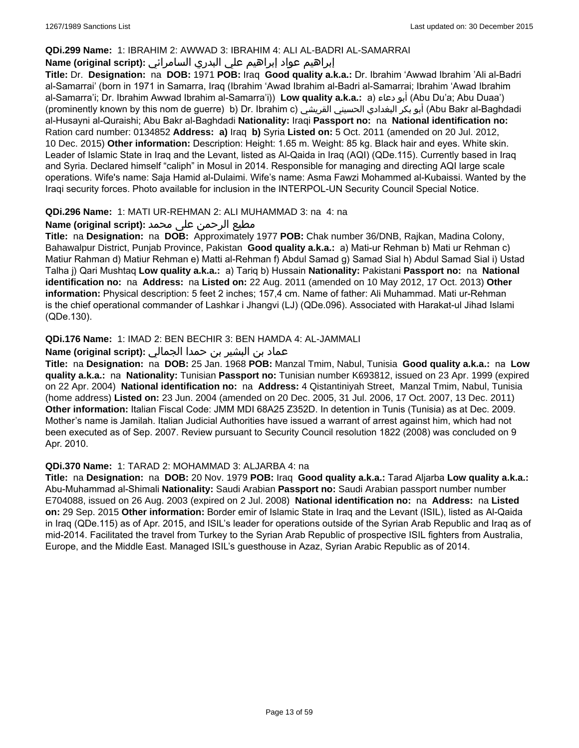### **QDi.299 Name:** 1: IBRAHIM 2: AWWAD 3: IBRAHIM 4: ALI AL-BADRI AL-SAMARRAI

## إبراهيم عواد إبراهيم علي البدري السامرائي **:(script original (Name**

**Title:** Dr. **Designation:** na **DOB:** 1971 **POB:** Iraq **Good quality a.k.a.:** Dr. Ibrahim 'Awwad Ibrahim 'Ali al-Badri al-Samarrai' (born in 1971 in Samarra, Iraq (Ibrahim 'Awad Ibrahim al-Badri al-Samarrai; Ibrahim 'Awad Ibrahim al-Samarra'i; Dr. Ibrahim Awwad Ibrahim al-Samarra'i)) **Low quality a.k.a.:** a) دعاء أبو) Abu Du'a; Abu Duaa') (prominently known by this nom de guerre) b) Dr. Ibrahim c) القريشي الحسيني البغدادي بكر أبو) Abu Bakr al-Baghdadi al-Husayni al-Quraishi; Abu Bakr al-Baghdadi **Nationality:** Iraqi **Passport no:** na **National identification no:** Ration card number: 0134852 **Address: a)** Iraq **b)** Syria **Listed on:** 5 Oct. 2011 (amended on 20 Jul. 2012, 10 Dec. 2015) **Other information:** Description: Height: 1.65 m. Weight: 85 kg. Black hair and eyes. White skin. Leader of Islamic State in Iraq and the Levant, listed as Al-Qaida in Iraq (AQI) (QDe.115). Currently based in Iraq and Syria. Declared himself "caliph" in Mosul in 2014. Responsible for managing and directing AQI large scale operations. Wife's name: Saja Hamid al-Dulaimi. Wife's name: Asma Fawzi Mohammed al-Kubaissi. Wanted by the Iraqi security forces. Photo available for inclusion in the INTERPOL-UN Security Council Special Notice.

### **QDi.296 Name:** 1: MATI UR-REHMAN 2: ALI MUHAMMAD 3: na 4: na

### مطیع الرحمن علی محمد **:Name (original script)**

**Title:** na **Designation:** na **DOB:** Approximately 1977 **POB:** Chak number 36/DNB, Rajkan, Madina Colony, Bahawalpur District, Punjab Province, Pakistan **Good quality a.k.a.:** a) Mati-ur Rehman b) Mati ur Rehman c) Matiur Rahman d) Matiur Rehman e) Matti al-Rehman f) Abdul Samad g) Samad Sial h) Abdul Samad Sial i) Ustad Talha j) Qari Mushtaq **Low quality a.k.a.:** a) Tariq b) Hussain **Nationality:** Pakistani **Passport no:** na **National identification no:** na **Address:** na **Listed on:** 22 Aug. 2011 (amended on 10 May 2012, 17 Oct. 2013) **Other information:** Physical description: 5 feet 2 inches; 157,4 cm. Name of father: Ali Muhammad. Mati ur-Rehman is the chief operational commander of Lashkar i Jhangvi (LJ) (QDe.096). Associated with Harakat-ul Jihad Islami (QDe.130).

### **QDi.176 Name:** 1: IMAD 2: BEN BECHIR 3: BEN HAMDA 4: AL-JAMMALI

### عماد بن البشير بن حمدا الجمالي **:(script original (Name**

**Title:** na **Designation:** na **DOB:** 25 Jan. 1968 **POB:** Manzal Tmim, Nabul, Tunisia **Good quality a.k.a.:** na **Low quality a.k.a.:** na **Nationality:** Tunisian **Passport no:** Tunisian number K693812, issued on 23 Apr. 1999 (expired on 22 Apr. 2004) **National identification no:** na **Address:** 4 Qistantiniyah Street, Manzal Tmim, Nabul, Tunisia (home address) **Listed on:** 23 Jun. 2004 (amended on 20 Dec. 2005, 31 Jul. 2006, 17 Oct. 2007, 13 Dec. 2011) **Other information:** Italian Fiscal Code: JMM MDI 68A25 Z352D. In detention in Tunis (Tunisia) as at Dec. 2009. Mother's name is Jamilah. Italian Judicial Authorities have issued a warrant of arrest against him, which had not been executed as of Sep. 2007. Review pursuant to Security Council resolution 1822 (2008) was concluded on 9 Apr. 2010.

#### **QDi.370 Name:** 1: TARAD 2: MOHAMMAD 3: ALJARBA 4: na

**Title:** na **Designation:** na **DOB:** 20 Nov. 1979 **POB:** Iraq **Good quality a.k.a.:** Tarad Aljarba **Low quality a.k.a.:** Abu-Muhammad al-Shimali **Nationality:** Saudi Arabian **Passport no:** Saudi Arabian passport number number E704088, issued on 26 Aug. 2003 (expired on 2 Jul. 2008) **National identification no:** na **Address:** na **Listed on:** 29 Sep. 2015 **Other information:** Border emir of Islamic State in Iraq and the Levant (ISIL), listed as Al-Qaida in Iraq (QDe.115) as of Apr. 2015, and ISIL's leader for operations outside of the Syrian Arab Republic and Iraq as of mid-2014. Facilitated the travel from Turkey to the Syrian Arab Republic of prospective ISIL fighters from Australia, Europe, and the Middle East. Managed ISIL's guesthouse in Azaz, Syrian Arabic Republic as of 2014.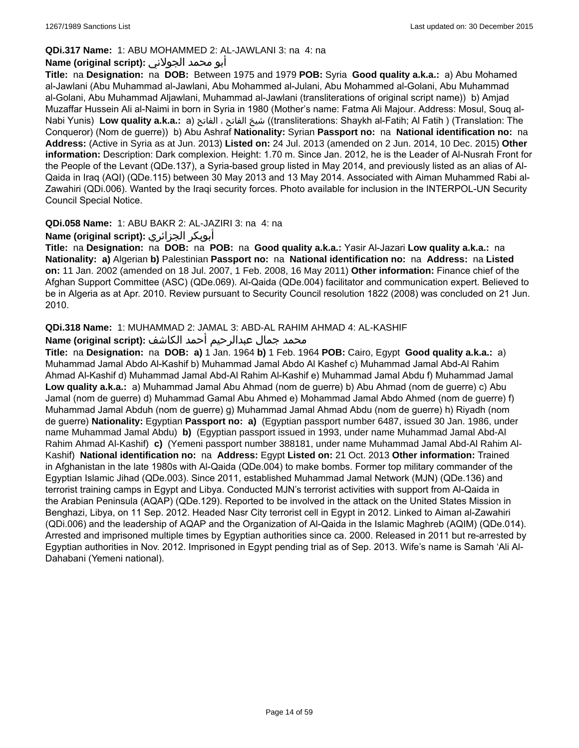### **QDi.317 Name:** 1: ABU MOHAMMED 2: AL-JAWLANI 3: na 4: na

## أبو محمد الجولاني **:(script original (Name**

**Title:** na **Designation:** na **DOB:** Between 1975 and 1979 **POB:** Syria **Good quality a.k.a.:** a) Abu Mohamed al-Jawlani (Abu Muhammad al-Jawlani, Abu Mohammed al-Julani, Abu Mohammed al-Golani, Abu Muhammad al-Golani, Abu Muhammad Aljawlani, Muhammad al-Jawlani (transliterations of original script name)) b) Amjad Muzaffar Hussein Ali al-Naimi in born in Syria in 1980 (Mother's name: Fatma Ali Majour. Address: Mosul, Souq al-Nabi Yunis) **Low quality a.k.a.:** a) الفاتح ، الفاتح شيخ)) transliterations: Shaykh al-Fatih; Al Fatih ) (Translation: The Conqueror) (Nom de guerre)) b) Abu Ashraf **Nationality:** Syrian **Passport no:** na **National identification no:** na **Address:** (Active in Syria as at Jun. 2013) **Listed on:** 24 Jul. 2013 (amended on 2 Jun. 2014, 10 Dec. 2015) **Other information:** Description: Dark complexion. Height: 1.70 m. Since Jan. 2012, he is the Leader of Al-Nusrah Front for the People of the Levant (QDe.137), a Syria-based group listed in May 2014, and previously listed as an alias of Al-Qaida in Iraq (AQI) (QDe.115) between 30 May 2013 and 13 May 2014. Associated with Aiman Muhammed Rabi al-Zawahiri (QDi.006). Wanted by the Iraqi security forces. Photo available for inclusion in the INTERPOL-UN Security Council Special Notice.

### **QDi.058 Name:** 1: ABU BAKR 2: AL-JAZIRI 3: na 4: na

# **Name (original script):** الجزائري أبوبكر

**Title:** na **Designation:** na **DOB:** na **POB:** na **Good quality a.k.a.:** Yasir Al-Jazari **Low quality a.k.a.:** na **Nationality: a)** Algerian **b)** Palestinian **Passport no:** na **National identification no:** na **Address:** na **Listed on:** 11 Jan. 2002 (amended on 18 Jul. 2007, 1 Feb. 2008, 16 May 2011) **Other information:** Finance chief of the Afghan Support Committee (ASC) (QDe.069). Al-Qaida (QDe.004) facilitator and communication expert. Believed to be in Algeria as at Apr. 2010. Review pursuant to Security Council resolution 1822 (2008) was concluded on 21 Jun. 2010.

### **QDi.318 Name:** 1: MUHAMMAD 2: JAMAL 3: ABD-AL RAHIM AHMAD 4: AL-KASHIF

### محمد جمال عبدالرحيم أحمد الكاشف **:Name (original script**)

**Title:** na **Designation:** na **DOB: a)** 1 Jan. 1964 **b)** 1 Feb. 1964 **POB:** Cairo, Egypt **Good quality a.k.a.:** a) Muhammad Jamal Abdo Al-Kashif b) Muhammad Jamal Abdo Al Kashef c) Muhammad Jamal Abd-Al Rahim Ahmad Al-Kashif d) Muhammad Jamal Abd-Al Rahim Al-Kashif e) Muhammad Jamal Abdu f) Muhammad Jamal **Low quality a.k.a.:** a) Muhammad Jamal Abu Ahmad (nom de guerre) b) Abu Ahmad (nom de guerre) c) Abu Jamal (nom de guerre) d) Muhammad Gamal Abu Ahmed e) Mohammad Jamal Abdo Ahmed (nom de guerre) f) Muhammad Jamal Abduh (nom de guerre) g) Muhammad Jamal Ahmad Abdu (nom de guerre) h) Riyadh (nom de guerre) **Nationality:** Egyptian **Passport no: a)** (Egyptian passport number 6487, issued 30 Jan. 1986, under name Muhammad Jamal Abdu) **b)** (Egyptian passport issued in 1993, under name Muhammad Jamal Abd-Al Rahim Ahmad Al-Kashif) **c)** (Yemeni passport number 388181, under name Muhammad Jamal Abd-Al Rahim Al-Kashif) **National identification no:** na **Address:** Egypt **Listed on:** 21 Oct. 2013 **Other information:** Trained in Afghanistan in the late 1980s with Al-Qaida (QDe.004) to make bombs. Former top military commander of the Egyptian Islamic Jihad (QDe.003). Since 2011, established Muhammad Jamal Network (MJN) (QDe.136) and terrorist training camps in Egypt and Libya. Conducted MJN's terrorist activities with support from Al-Qaida in the Arabian Peninsula (AQAP) (QDe.129). Reported to be involved in the attack on the United States Mission in Benghazi, Libya, on 11 Sep. 2012. Headed Nasr City terrorist cell in Egypt in 2012. Linked to Aiman al-Zawahiri (QDi.006) and the leadership of AQAP and the Organization of Al-Qaida in the Islamic Maghreb (AQIM) (QDe.014). Arrested and imprisoned multiple times by Egyptian authorities since ca. 2000. Released in 2011 but re-arrested by Egyptian authorities in Nov. 2012. Imprisoned in Egypt pending trial as of Sep. 2013. Wife's name is Samah 'Ali Al-Dahabani (Yemeni national).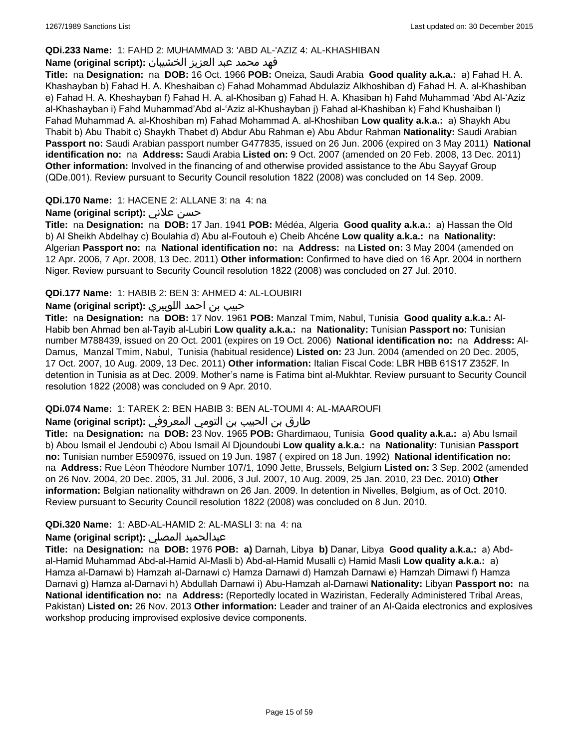### **QDi.233 Name:** 1: FAHD 2: MUHAMMAD 3: 'ABD AL-'AZIZ 4: AL-KHASHIBAN

### فهد محمد عبد العزيز الخشيبان **:(script original (Name**

**Title:** na **Designation:** na **DOB:** 16 Oct. 1966 **POB:** Oneiza, Saudi Arabia **Good quality a.k.a.:** a) Fahad H. A. Khashayban b) Fahad H. A. Kheshaiban c) Fahad Mohammad Abdulaziz Alkhoshiban d) Fahad H. A. al-Khashiban e) Fahad H. A. Kheshayban f) Fahad H. A. al-Khosiban g) Fahad H. A. Khasiban h) Fahd Muhammad 'Abd Al-'Aziz al-Khashayban i) Fahd Muhammad'Abd al-'Aziz al-Khushayban j) Fahad al-Khashiban k) Fahd Khushaiban l) Fahad Muhammad A. al-Khoshiban m) Fahad Mohammad A. al-Khoshiban **Low quality a.k.a.:** a) Shaykh Abu Thabit b) Abu Thabit c) Shaykh Thabet d) Abdur Abu Rahman e) Abu Abdur Rahman **Nationality:** Saudi Arabian **Passport no:** Saudi Arabian passport number G477835, issued on 26 Jun. 2006 (expired on 3 May 2011) **National identification no:** na **Address:** Saudi Arabia **Listed on:** 9 Oct. 2007 (amended on 20 Feb. 2008, 13 Dec. 2011) **Other information:** Involved in the financing of and otherwise provided assistance to the Abu Sayyaf Group (QDe.001). Review pursuant to Security Council resolution 1822 (2008) was concluded on 14 Sep. 2009.

### **QDi.170 Name:** 1: HACENE 2: ALLANE 3: na 4: na

### **Name (original script):** علاني حسن

**Title:** na **Designation:** na **DOB:** 17 Jan. 1941 **POB:** Médéa, Algeria **Good quality a.k.a.:** a) Hassan the Old b) Al Sheikh Abdelhay c) Boulahia d) Abu al-Foutouh e) Cheib Ahcéne **Low quality a.k.a.:** na **Nationality:** Algerian **Passport no:** na **National identification no:** na **Address:** na **Listed on:** 3 May 2004 (amended on 12 Apr. 2006, 7 Apr. 2008, 13 Dec. 2011) **Other information:** Confirmed to have died on 16 Apr. 2004 in northern Niger. Review pursuant to Security Council resolution 1822 (2008) was concluded on 27 Jul. 2010.

### **QDi.177 Name:** 1: HABIB 2: BEN 3: AHMED 4: AL-LOUBIRI

# حبيب بن احمد اللوبيري **:(script original (Name**

**Title:** na **Designation:** na **DOB:** 17 Nov. 1961 **POB:** Manzal Tmim, Nabul, Tunisia **Good quality a.k.a.:** Al-Habib ben Ahmad ben al-Tayib al-Lubiri **Low quality a.k.a.:** na **Nationality:** Tunisian **Passport no:** Tunisian number M788439, issued on 20 Oct. 2001 (expires on 19 Oct. 2006) **National identification no:** na **Address:** Al-Damus, Manzal Tmim, Nabul, Tunisia (habitual residence) **Listed on:** 23 Jun. 2004 (amended on 20 Dec. 2005, 17 Oct. 2007, 10 Aug. 2009, 13 Dec. 2011) **Other information:** Italian Fiscal Code: LBR HBB 61S17 Z352F. In detention in Tunisia as at Dec. 2009. Mother's name is Fatima bint al-Mukhtar. Review pursuant to Security Council resolution 1822 (2008) was concluded on 9 Apr. 2010.

#### **QDi.074 Name:** 1: TAREK 2: BEN HABIB 3: BEN AL-TOUMI 4: AL-MAAROUFI

#### طارق بن الحبيب بن التومي المعروفي **:Name (original script)**

**Title:** na **Designation:** na **DOB:** 23 Nov. 1965 **POB:** Ghardimaou, Tunisia **Good quality a.k.a.:** a) Abu Ismail b) Abou Ismail el Jendoubi c) Abou Ismail Al Djoundoubi **Low quality a.k.a.:** na **Nationality:** Tunisian **Passport no:** Tunisian number E590976, issued on 19 Jun. 1987 ( expired on 18 Jun. 1992) **National identification no:**  na **Address:** Rue Léon Théodore Number 107/1, 1090 Jette, Brussels, Belgium **Listed on:** 3 Sep. 2002 (amended on 26 Nov. 2004, 20 Dec. 2005, 31 Jul. 2006, 3 Jul. 2007, 10 Aug. 2009, 25 Jan. 2010, 23 Dec. 2010) **Other information:** Belgian nationality withdrawn on 26 Jan. 2009. In detention in Nivelles, Belgium, as of Oct. 2010. Review pursuant to Security Council resolution 1822 (2008) was concluded on 8 Jun. 2010.

### **QDi.320 Name:** 1: ABD-AL-HAMID 2: AL-MASLI 3: na 4: na

#### **Name (original script):** المصلي عبدالحميد

**Title:** na **Designation:** na **DOB:** 1976 **POB: a)** Darnah, Libya **b)** Danar, Libya **Good quality a.k.a.:** a) Abdal-Hamid Muhammad Abd-al-Hamid Al-Masli b) Abd-al-Hamid Musalli c) Hamid Masli **Low quality a.k.a.:** a) Hamza al-Darnawi b) Hamzah al-Darnawi c) Hamza Darnawi d) Hamzah Darnawi e) Hamzah Dirnawi f) Hamza Darnavi g) Hamza al-Darnavi h) Abdullah Darnawi i) Abu-Hamzah al-Darnawi **Nationality:** Libyan **Passport no:** na **National identification no:** na **Address:** (Reportedly located in Waziristan, Federally Administered Tribal Areas, Pakistan) **Listed on:** 26 Nov. 2013 **Other information:** Leader and trainer of an Al-Qaida electronics and explosives workshop producing improvised explosive device components.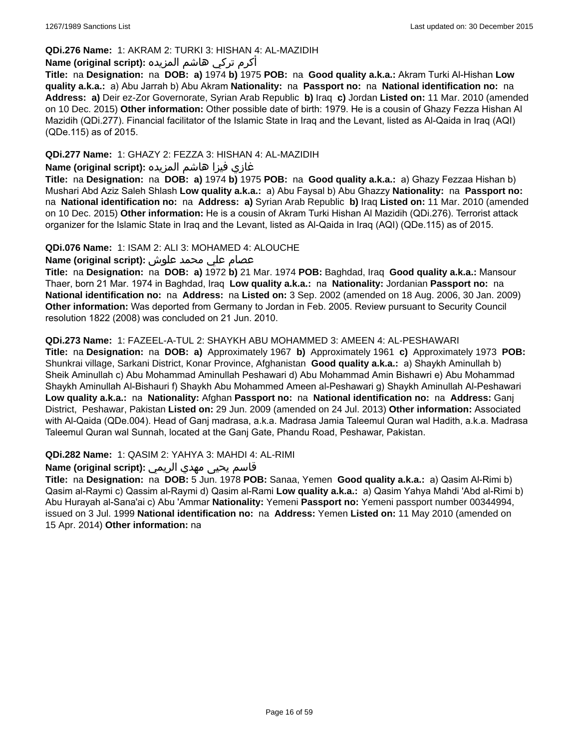### **QDi.276 Name:** 1: AKRAM 2: TURKI 3: HISHAN 4: AL-MAZIDIH

# أكرم تركي هاشم المزيده **:(script original (Name**

**Title:** na **Designation:** na **DOB: a)** 1974 **b)** 1975 **POB:** na **Good quality a.k.a.:** Akram Turki Al-Hishan **Low quality a.k.a.:** a) Abu Jarrah b) Abu Akram **Nationality:** na **Passport no:** na **National identification no:** na **Address: a)** Deir ez-Zor Governorate, Syrian Arab Republic **b)** Iraq **c)** Jordan **Listed on:** 11 Mar. 2010 (amended on 10 Dec. 2015) **Other information:** Other possible date of birth: 1979. He is a cousin of Ghazy Fezza Hishan Al Mazidih (QDi.277). Financial facilitator of the Islamic State in Iraq and the Levant, listed as Al-Qaida in Iraq (AQI) (QDe.115) as of 2015.

### **QDi.277 Name:** 1: GHAZY 2: FEZZA 3: HISHAN 4: AL-MAZIDIH

# غازي فيزا هاشم المزيده **:(script original (Name**

**Title:** na **Designation:** na **DOB: a)** 1974 **b)** 1975 **POB:** na **Good quality a.k.a.:** a) Ghazy Fezzaa Hishan b) Mushari Abd Aziz Saleh Shlash **Low quality a.k.a.:** a) Abu Faysal b) Abu Ghazzy **Nationality:** na **Passport no:**  na **National identification no:** na **Address: a)** Syrian Arab Republic **b)** Iraq **Listed on:** 11 Mar. 2010 (amended on 10 Dec. 2015) **Other information:** He is a cousin of Akram Turki Hishan Al Mazidih (QDi.276). Terrorist attack organizer for the Islamic State in Iraq and the Levant, listed as Al-Qaida in Iraq (AQI) (QDe.115) as of 2015.

### **QDi.076 Name:** 1: ISAM 2: ALI 3: MOHAMED 4: ALOUCHE

### عصام علي محمد علوش **:(script original (Name**

**Title:** na **Designation:** na **DOB: a)** 1972 **b)** 21 Mar. 1974 **POB:** Baghdad, Iraq **Good quality a.k.a.:** Mansour Thaer, born 21 Mar. 1974 in Baghdad, Iraq **Low quality a.k.a.:** na **Nationality:** Jordanian **Passport no:** na **National identification no:** na **Address:** na **Listed on:** 3 Sep. 2002 (amended on 18 Aug. 2006, 30 Jan. 2009) **Other information:** Was deported from Germany to Jordan in Feb. 2005. Review pursuant to Security Council resolution 1822 (2008) was concluded on 21 Jun. 2010.

### **QDi.273 Name:** 1: FAZEEL-A-TUL 2: SHAYKH ABU MOHAMMED 3: AMEEN 4: AL-PESHAWARI

**Title:** na **Designation:** na **DOB: a)** Approximately 1967 **b)** Approximately 1961 **c)** Approximately 1973 **POB:** Shunkrai village, Sarkani District, Konar Province, Afghanistan **Good quality a.k.a.:** a) Shaykh Aminullah b) Sheik Aminullah c) Abu Mohammad Aminullah Peshawari d) Abu Mohammad Amin Bishawri e) Abu Mohammad Shaykh Aminullah Al-Bishauri f) Shaykh Abu Mohammed Ameen al-Peshawari g) Shaykh Aminullah Al-Peshawari **Low quality a.k.a.:** na **Nationality:** Afghan **Passport no:** na **National identification no:** na **Address:** Ganj District, Peshawar, Pakistan **Listed on:** 29 Jun. 2009 (amended on 24 Jul. 2013) **Other information:** Associated with Al-Qaida (QDe.004). Head of Ganj madrasa, a.k.a. Madrasa Jamia Taleemul Quran wal Hadith, a.k.a. Madrasa Taleemul Quran wal Sunnah, located at the Ganj Gate, Phandu Road, Peshawar, Pakistan.

**QDi.282 Name:** 1: QASIM 2: YAHYA 3: MAHDI 4: AL-RIMI

### قاسم يحيى مهدي الريمي **:(script original (Name**

**Title:** na **Designation:** na **DOB:** 5 Jun. 1978 **POB:** Sanaa, Yemen **Good quality a.k.a.:** a) Qasim Al-Rimi b) Qasim al-Raymi c) Qassim al-Raymi d) Qasim al-Rami **Low quality a.k.a.:** a) Qasim Yahya Mahdi 'Abd al-Rimi b) Abu Hurayah al-Sana'ai c) Abu 'Ammar **Nationality:** Yemeni **Passport no:** Yemeni passport number 00344994, issued on 3 Jul. 1999 **National identification no:** na **Address:** Yemen **Listed on:** 11 May 2010 (amended on 15 Apr. 2014) **Other information:** na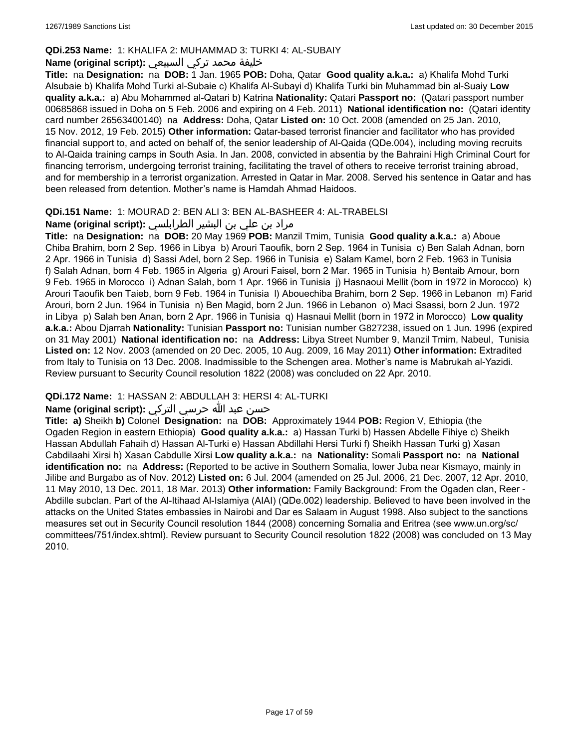### **QDi.253 Name:** 1: KHALIFA 2: MUHAMMAD 3: TURKI 4: AL-SUBAIY

### خليفة محمد تركي السبيعي **:(script original (Name**

**Title:** na **Designation:** na **DOB:** 1 Jan. 1965 **POB:** Doha, Qatar **Good quality a.k.a.:** a) Khalifa Mohd Turki Alsubaie b) Khalifa Mohd Turki al-Subaie c) Khalifa Al-Subayi d) Khalifa Turki bin Muhammad bin al-Suaiy **Low quality a.k.a.:** a) Abu Mohammed al-Qatari b) Katrina **Nationality:** Qatari **Passport no:** (Qatari passport number 00685868 issued in Doha on 5 Feb. 2006 and expiring on 4 Feb. 2011) **National identification no:** (Qatari identity card number 26563400140) na **Address:** Doha, Qatar **Listed on:** 10 Oct. 2008 (amended on 25 Jan. 2010, 15 Nov. 2012, 19 Feb. 2015) **Other information:** Qatar-based terrorist financier and facilitator who has provided financial support to, and acted on behalf of, the senior leadership of Al-Qaida (QDe.004), including moving recruits to Al-Qaida training camps in South Asia. In Jan. 2008, convicted in absentia by the Bahraini High Criminal Court for financing terrorism, undergoing terrorist training, facilitating the travel of others to receive terrorist training abroad, and for membership in a terrorist organization. Arrested in Qatar in Mar. 2008. Served his sentence in Qatar and has been released from detention. Mother's name is Hamdah Ahmad Haidoos.

### **QDi.151 Name:** 1: MOURAD 2: BEN ALI 3: BEN AL-BASHEER 4: AL-TRABELSI

# مراد بن علي بن البشير الطرابلسي **:(script original (Name**

**Title:** na **Designation:** na **DOB:** 20 May 1969 **POB:** Manzil Tmim, Tunisia **Good quality a.k.a.:** a) Aboue Chiba Brahim, born 2 Sep. 1966 in Libya b) Arouri Taoufik, born 2 Sep. 1964 in Tunisia c) Ben Salah Adnan, born 2 Apr. 1966 in Tunisia d) Sassi Adel, born 2 Sep. 1966 in Tunisia e) Salam Kamel, born 2 Feb. 1963 in Tunisia f) Salah Adnan, born 4 Feb. 1965 in Algeria g) Arouri Faisel, born 2 Mar. 1965 in Tunisia h) Bentaib Amour, born 9 Feb. 1965 in Morocco i) Adnan Salah, born 1 Apr. 1966 in Tunisia j) Hasnaoui Mellit (born in 1972 in Morocco) k) Arouri Taoufik ben Taieb, born 9 Feb. 1964 in Tunisia l) Abouechiba Brahim, born 2 Sep. 1966 in Lebanon m) Farid Arouri, born 2 Jun. 1964 in Tunisia n) Ben Magid, born 2 Jun. 1966 in Lebanon o) Maci Ssassi, born 2 Jun. 1972 in Libya p) Salah ben Anan, born 2 Apr. 1966 in Tunisia q) Hasnaui Mellit (born in 1972 in Morocco) **Low quality a.k.a.:** Abou Djarrah **Nationality:** Tunisian **Passport no:** Tunisian number G827238, issued on 1 Jun. 1996 (expired on 31 May 2001) **National identification no:** na **Address:** Libya Street Number 9, Manzil Tmim, Nabeul, Tunisia **Listed on:** 12 Nov. 2003 (amended on 20 Dec. 2005, 10 Aug. 2009, 16 May 2011) **Other information:** Extradited from Italy to Tunisia on 13 Dec. 2008. Inadmissible to the Schengen area. Mother's name is Mabrukah al-Yazidi. Review pursuant to Security Council resolution 1822 (2008) was concluded on 22 Apr. 2010.

### **QDi.172 Name:** 1: HASSAN 2: ABDULLAH 3: HERSI 4: AL-TURKI

# حسن عبد الله حرسي التركي **:(script original (Name**

**Title: a)** Sheikh **b)** Colonel **Designation:** na **DOB:** Approximately 1944 **POB:** Region V, Ethiopia (the Ogaden Region in eastern Ethiopia) **Good quality a.k.a.:** a) Hassan Turki b) Hassen Abdelle Fihiye c) Sheikh Hassan Abdullah Fahaih d) Hassan Al-Turki e) Hassan Abdillahi Hersi Turki f) Sheikh Hassan Turki g) Xasan Cabdilaahi Xirsi h) Xasan Cabdulle Xirsi **Low quality a.k.a.:** na **Nationality:** Somali **Passport no:** na **National identification no:** na **Address:** (Reported to be active in Southern Somalia, lower Juba near Kismayo, mainly in Jilibe and Burgabo as of Nov. 2012) **Listed on:** 6 Jul. 2004 (amended on 25 Jul. 2006, 21 Dec. 2007, 12 Apr. 2010, 11 May 2010, 13 Dec. 2011, 18 Mar. 2013) **Other information:** Family Background: From the Ogaden clan, Reer - Abdille subclan. Part of the Al-Itihaad Al-Islamiya (AIAI) (QDe.002) leadership. Believed to have been involved in the attacks on the United States embassies in Nairobi and Dar es Salaam in August 1998. Also subject to the sanctions measures set out in Security Council resolution 1844 (2008) concerning Somalia and Eritrea (see www.un.org/sc/ committees/751/index.shtml). Review pursuant to Security Council resolution 1822 (2008) was concluded on 13 May 2010.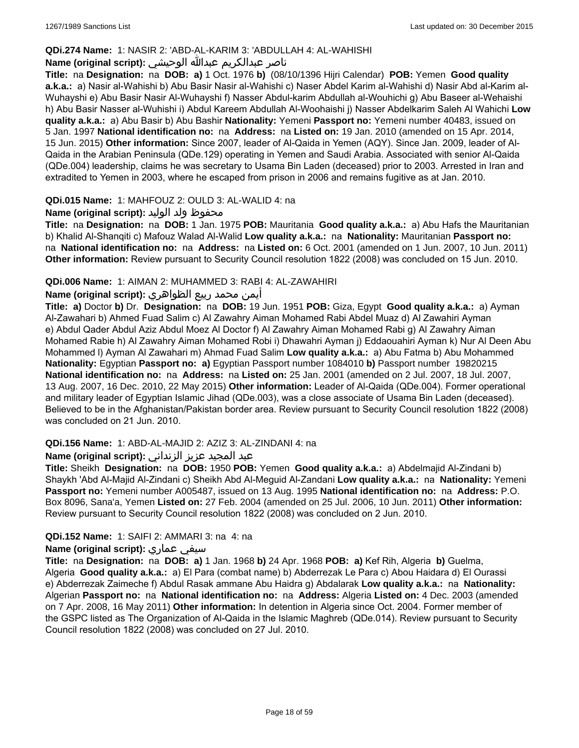### **QDi.274 Name:** 1: NASIR 2: 'ABD-AL-KARIM 3: 'ABDULLAH 4: AL-WAHISHI

# ناصر عبدالكريم عبدالله الوحيشي **:(script original (Name**

**Title:** na **Designation:** na **DOB: a)** 1 Oct. 1976 **b)** (08/10/1396 Hijri Calendar) **POB:** Yemen **Good quality a.k.a.:** a) Nasir al-Wahishi b) Abu Basir Nasir al-Wahishi c) Naser Abdel Karim al-Wahishi d) Nasir Abd al-Karim al-Wuhayshi e) Abu Basir Nasir Al-Wuhayshi f) Nasser Abdul-karim Abdullah al-Wouhichi g) Abu Baseer al-Wehaishi h) Abu Basir Nasser al-Wuhishi i) Abdul Kareem Abdullah Al-Woohaishi j) Nasser Abdelkarim Saleh Al Wahichi **Low quality a.k.a.:** a) Abu Basir b) Abu Bashir **Nationality:** Yemeni **Passport no:** Yemeni number 40483, issued on 5 Jan. 1997 **National identification no:** na **Address:** na **Listed on:** 19 Jan. 2010 (amended on 15 Apr. 2014, 15 Jun. 2015) **Other information:** Since 2007, leader of Al-Qaida in Yemen (AQY). Since Jan. 2009, leader of Al-Qaida in the Arabian Peninsula (QDe.129) operating in Yemen and Saudi Arabia. Associated with senior Al-Qaida (QDe.004) leadership, claims he was secretary to Usama Bin Laden (deceased) prior to 2003. Arrested in Iran and extradited to Yemen in 2003, where he escaped from prison in 2006 and remains fugitive as at Jan. 2010.

### **QDi.015 Name:** 1: MAHFOUZ 2: OULD 3: AL-WALID 4: na

### محفوظ ولد الوليد **:**(Name (original script

**Title:** na **Designation:** na **DOB:** 1 Jan. 1975 **POB:** Mauritania **Good quality a.k.a.:** a) Abu Hafs the Mauritanian b) Khalid Al-Shanqiti c) Mafouz Walad Al-Walid **Low quality a.k.a.:** na **Nationality:** Mauritanian **Passport no:**  na **National identification no:** na **Address:** na **Listed on:** 6 Oct. 2001 (amended on 1 Jun. 2007, 10 Jun. 2011) **Other information:** Review pursuant to Security Council resolution 1822 (2008) was concluded on 15 Jun. 2010.

#### **QDi.006 Name:** 1: AIMAN 2: MUHAMMED 3: RABI 4: AL-ZAWAHIRI

### أيمن محمد ربيع الظواهري **:(script original (Name**

**Title: a)** Doctor **b)** Dr. **Designation:** na **DOB:** 19 Jun. 1951 **POB:** Giza, Egypt **Good quality a.k.a.:** a) Ayman Al-Zawahari b) Ahmed Fuad Salim c) Al Zawahry Aiman Mohamed Rabi Abdel Muaz d) Al Zawahiri Ayman e) Abdul Qader Abdul Aziz Abdul Moez Al Doctor f) Al Zawahry Aiman Mohamed Rabi g) Al Zawahry Aiman Mohamed Rabie h) Al Zawahry Aiman Mohamed Robi i) Dhawahri Ayman j) Eddaouahiri Ayman k) Nur Al Deen Abu Mohammed l) Ayman Al Zawahari m) Ahmad Fuad Salim **Low quality a.k.a.:** a) Abu Fatma b) Abu Mohammed **Nationality:** Egyptian **Passport no: a)** Egyptian Passport number 1084010 **b)** Passport number 19820215 **National identification no:** na **Address:** na **Listed on:** 25 Jan. 2001 (amended on 2 Jul. 2007, 18 Jul. 2007, 13 Aug. 2007, 16 Dec. 2010, 22 May 2015) **Other information:** Leader of Al-Qaida (QDe.004). Former operational and military leader of Egyptian Islamic Jihad (QDe.003), was a close associate of Usama Bin Laden (deceased). Believed to be in the Afghanistan/Pakistan border area. Review pursuant to Security Council resolution 1822 (2008) was concluded on 21 Jun. 2010.

### **QDi.156 Name:** 1: ABD-AL-MAJID 2: AZIZ 3: AL-ZINDANI 4: na

### عبد المجيد عزيز الزنداني **:(script original (Name**

**Title:** Sheikh **Designation:** na **DOB:** 1950 **POB:** Yemen **Good quality a.k.a.:** a) Abdelmajid Al-Zindani b) Shaykh 'Abd Al-Majid Al-Zindani c) Sheikh Abd Al-Meguid Al-Zandani **Low quality a.k.a.:** na **Nationality:** Yemeni **Passport no:** Yemeni number A005487, issued on 13 Aug. 1995 **National identification no:** na **Address:** P.O. Box 8096, Sana'a, Yemen **Listed on:** 27 Feb. 2004 (amended on 25 Jul. 2006, 10 Jun. 2011) **Other information:** Review pursuant to Security Council resolution 1822 (2008) was concluded on 2 Jun. 2010.

#### **QDi.152 Name:** 1: SAIFI 2: AMMARI 3: na 4: na

#### **Name (original script):** عماري سيفي

**Title:** na **Designation:** na **DOB: a)** 1 Jan. 1968 **b)** 24 Apr. 1968 **POB: a)** Kef Rih, Algeria **b)** Guelma, Algeria **Good quality a.k.a.:** a) El Para (combat name) b) Abderrezak Le Para c) Abou Haidara d) El Ourassi e) Abderrezak Zaimeche f) Abdul Rasak ammane Abu Haidra g) Abdalarak **Low quality a.k.a.:** na **Nationality:** Algerian **Passport no:** na **National identification no:** na **Address:** Algeria **Listed on:** 4 Dec. 2003 (amended on 7 Apr. 2008, 16 May 2011) **Other information:** In detention in Algeria since Oct. 2004. Former member of the GSPC listed as The Organization of Al-Qaida in the Islamic Maghreb (QDe.014). Review pursuant to Security Council resolution 1822 (2008) was concluded on 27 Jul. 2010.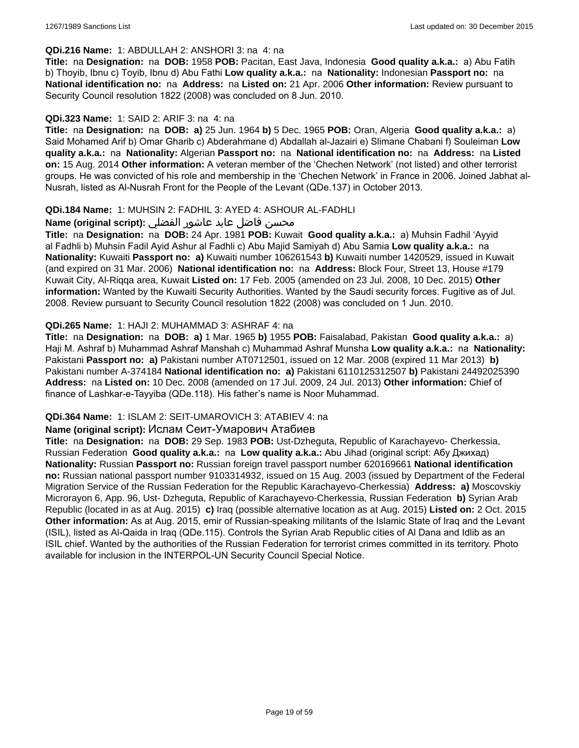#### **QDi.216 Name:** 1: ABDULLAH 2: ANSHORI 3: na 4: na

**Title:** na **Designation:** na **DOB:** 1958 **POB:** Pacitan, East Java, Indonesia **Good quality a.k.a.:** a) Abu Fatih b) Thoyib, Ibnu c) Toyib, Ibnu d) Abu Fathi **Low quality a.k.a.:** na **Nationality:** Indonesian **Passport no:** na **National identification no:** na **Address:** na **Listed on:** 21 Apr. 2006 **Other information:** Review pursuant to Security Council resolution 1822 (2008) was concluded on 8 Jun. 2010.

### **QDi.323 Name:** 1: SAID 2: ARIF 3: na 4: na

**Title:** na **Designation:** na **DOB: a)** 25 Jun. 1964 **b)** 5 Dec. 1965 **POB:** Oran, Algeria **Good quality a.k.a.:** a) Said Mohamed Arif b) Omar Gharib c) Abderahmane d) Abdallah al-Jazairi e) Slimane Chabani f) Souleiman **Low quality a.k.a.:** na **Nationality:** Algerian **Passport no:** na **National identification no:** na **Address:** na **Listed on:** 15 Aug. 2014 **Other information:** A veteran member of the 'Chechen Network' (not listed) and other terrorist groups. He was convicted of his role and membership in the 'Chechen Network' in France in 2006. Joined Jabhat al-Nusrah, listed as Al-Nusrah Front for the People of the Levant (QDe.137) in October 2013.

### **QDi.184 Name:** 1: MUHSIN 2: FADHIL 3: AYED 4: ASHOUR AL-FADHLI

### محسن فاضل عايد عاشور الفضلي **:Name (original script)**

**Title:** na **Designation:** na **DOB:** 24 Apr. 1981 **POB:** Kuwait **Good quality a.k.a.:** a) Muhsin Fadhil 'Ayyid al Fadhli b) Muhsin Fadil Ayid Ashur al Fadhli c) Abu Majid Samiyah d) Abu Samia **Low quality a.k.a.:** na **Nationality:** Kuwaiti **Passport no: a)** Kuwaiti number 106261543 **b)** Kuwaiti number 1420529, issued in Kuwait (and expired on 31 Mar. 2006) **National identification no:** na **Address:** Block Four, Street 13, House #179 Kuwait City, Al-Riqqa area, Kuwait **Listed on:** 17 Feb. 2005 (amended on 23 Jul. 2008, 10 Dec. 2015) **Other information:** Wanted by the Kuwaiti Security Authorities. Wanted by the Saudi security forces. Fugitive as of Jul. 2008. Review pursuant to Security Council resolution 1822 (2008) was concluded on 1 Jun. 2010.

### **QDi.265 Name:** 1: HAJI 2: MUHAMMAD 3: ASHRAF 4: na

**Title:** na **Designation:** na **DOB: a)** 1 Mar. 1965 **b)** 1955 **POB:** Faisalabad, Pakistan **Good quality a.k.a.:** a) Haji M. Ashraf b) Muhammad Ashraf Manshah c) Muhammad Ashraf Munsha **Low quality a.k.a.:** na **Nationality:** Pakistani **Passport no: a)** Pakistani number AT0712501, issued on 12 Mar. 2008 (expired 11 Mar 2013) **b)** Pakistani number A-374184 **National identification no: a)** Pakistani 6110125312507 **b)** Pakistani 24492025390 **Address:** na **Listed on:** 10 Dec. 2008 (amended on 17 Jul. 2009, 24 Jul. 2013) **Other information:** Chief of finance of Lashkar-e-Tayyiba (QDe.118). His father's name is Noor Muhammad.

#### **QDi.364 Name:** 1: ISLAM 2: SEIT-UMAROVICH 3: ATABIEV 4: na

#### **Name (original script):** Ислам Сеит-Умарович Атабиев

**Title:** na **Designation:** na **DOB:** 29 Sep. 1983 **POB:** Ust-Dzheguta, Republic of Karachayevo- Cherkessia, Russian Federation **Good quality a.k.a.:** na **Low quality a.k.a.:** Abu Jihad (original script: Абу Джихад) **Nationality:** Russian **Passport no:** Russian foreign travel passport number 620169661 **National identification no:** Russian national passport number 9103314932, issued on 15 Aug. 2003 (issued by Department of the Federal Migration Service of the Russian Federation for the Republic Karachayevo-Cherkessia) **Address: a)** Moscovskiy Microrayon 6, App. 96, Ust- Dzheguta, Republic of Karachayevo-Cherkessia, Russian Federation **b)** Syrian Arab Republic (located in as at Aug. 2015) **c)** Iraq (possible alternative location as at Aug. 2015) **Listed on:** 2 Oct. 2015 **Other information:** As at Aug. 2015, emir of Russian-speaking militants of the Islamic State of Iraq and the Levant (ISIL), listed as Al-Qaida in Iraq (QDe.115). Controls the Syrian Arab Republic cities of Al Dana and Idlib as an ISIL chief. Wanted by the authorities of the Russian Federation for terrorist crimes committed in its territory. Photo available for inclusion in the INTERPOL-UN Security Council Special Notice.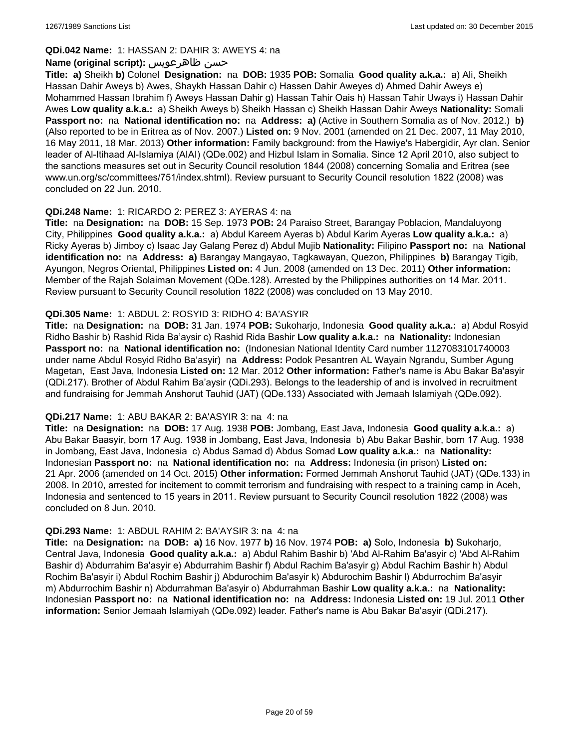### **QDi.042 Name:** 1: HASSAN 2: DAHIR 3: AWEYS 4: na

### **Name (original script):** ظاهرعويس حسن

**Title: a)** Sheikh **b)** Colonel **Designation:** na **DOB:** 1935 **POB:** Somalia **Good quality a.k.a.:** a) Ali, Sheikh Hassan Dahir Aweys b) Awes, Shaykh Hassan Dahir c) Hassen Dahir Aweyes d) Ahmed Dahir Aweys e) Mohammed Hassan Ibrahim f) Aweys Hassan Dahir g) Hassan Tahir Oais h) Hassan Tahir Uways i) Hassan Dahir Awes **Low quality a.k.a.:** a) Sheikh Aweys b) Sheikh Hassan c) Sheikh Hassan Dahir Aweys **Nationality:** Somali **Passport no:** na **National identification no:** na **Address: a)** (Active in Southern Somalia as of Nov. 2012.) **b)** (Also reported to be in Eritrea as of Nov. 2007.) **Listed on:** 9 Nov. 2001 (amended on 21 Dec. 2007, 11 May 2010, 16 May 2011, 18 Mar. 2013) **Other information:** Family background: from the Hawiye's Habergidir, Ayr clan. Senior leader of Al-Itihaad Al-Islamiya (AIAI) (QDe.002) and Hizbul Islam in Somalia. Since 12 April 2010, also subject to the sanctions measures set out in Security Council resolution 1844 (2008) concerning Somalia and Eritrea (see www.un.org/sc/committees/751/index.shtml). Review pursuant to Security Council resolution 1822 (2008) was concluded on 22 Jun. 2010.

### **QDi.248 Name:** 1: RICARDO 2: PEREZ 3: AYERAS 4: na

**Title:** na **Designation:** na **DOB:** 15 Sep. 1973 **POB:** 24 Paraiso Street, Barangay Poblacion, Mandaluyong City, Philippines **Good quality a.k.a.:** a) Abdul Kareem Ayeras b) Abdul Karim Ayeras **Low quality a.k.a.:** a) Ricky Ayeras b) Jimboy c) Isaac Jay Galang Perez d) Abdul Mujib **Nationality:** Filipino **Passport no:** na **National identification no:** na **Address: a)** Barangay Mangayao, Tagkawayan, Quezon, Philippines **b)** Barangay Tigib, Ayungon, Negros Oriental, Philippines **Listed on:** 4 Jun. 2008 (amended on 13 Dec. 2011) **Other information:** Member of the Rajah Solaiman Movement (QDe.128). Arrested by the Philippines authorities on 14 Mar. 2011. Review pursuant to Security Council resolution 1822 (2008) was concluded on 13 May 2010.

### **QDi.305 Name:** 1: ABDUL 2: ROSYID 3: RIDHO 4: BA'ASYIR

**Title:** na **Designation:** na **DOB:** 31 Jan. 1974 **POB:** Sukoharjo, Indonesia **Good quality a.k.a.:** a) Abdul Rosyid Ridho Bashir b) Rashid Rida Ba'aysir c) Rashid Rida Bashir **Low quality a.k.a.:** na **Nationality:** Indonesian **Passport no:** na **National identification no:** (Indonesian National Identity Card number 1127083101740003 under name Abdul Rosyid Ridho Ba'asyir) na **Address:** Podok Pesantren AL Wayain Ngrandu, Sumber Agung Magetan, East Java, Indonesia **Listed on:** 12 Mar. 2012 **Other information:** Father's name is Abu Bakar Ba'asyir (QDi.217). Brother of Abdul Rahim Ba'aysir (QDi.293). Belongs to the leadership of and is involved in recruitment and fundraising for Jemmah Anshorut Tauhid (JAT) (QDe.133) Associated with Jemaah Islamiyah (QDe.092).

#### **QDi.217 Name:** 1: ABU BAKAR 2: BA'ASYIR 3: na 4: na

**Title:** na **Designation:** na **DOB:** 17 Aug. 1938 **POB:** Jombang, East Java, Indonesia **Good quality a.k.a.:** a) Abu Bakar Baasyir, born 17 Aug. 1938 in Jombang, East Java, Indonesia b) Abu Bakar Bashir, born 17 Aug. 1938 in Jombang, East Java, Indonesia c) Abdus Samad d) Abdus Somad **Low quality a.k.a.:** na **Nationality:** Indonesian **Passport no:** na **National identification no:** na **Address:** Indonesia (in prison) **Listed on:** 21 Apr. 2006 (amended on 14 Oct. 2015) **Other information:** Formed Jemmah Anshorut Tauhid (JAT) (QDe.133) in 2008. In 2010, arrested for incitement to commit terrorism and fundraising with respect to a training camp in Aceh, Indonesia and sentenced to 15 years in 2011. Review pursuant to Security Council resolution 1822 (2008) was concluded on 8 Jun. 2010.

### **QDi.293 Name:** 1: ABDUL RAHIM 2: BA'AYSIR 3: na 4: na

**Title:** na **Designation:** na **DOB: a)** 16 Nov. 1977 **b)** 16 Nov. 1974 **POB: a)** Solo, Indonesia **b)** Sukoharjo, Central Java, Indonesia **Good quality a.k.a.:** a) Abdul Rahim Bashir b) 'Abd Al-Rahim Ba'asyir c) 'Abd Al-Rahim Bashir d) Abdurrahim Ba'asyir e) Abdurrahim Bashir f) Abdul Rachim Ba'asyir g) Abdul Rachim Bashir h) Abdul Rochim Ba'asyir i) Abdul Rochim Bashir j) Abdurochim Ba'asyir k) Abdurochim Bashir l) Abdurrochim Ba'asyir m) Abdurrochim Bashir n) Abdurrahman Ba'asyir o) Abdurrahman Bashir **Low quality a.k.a.:** na **Nationality:** Indonesian **Passport no:** na **National identification no:** na **Address:** Indonesia **Listed on:** 19 Jul. 2011 **Other information:** Senior Jemaah Islamiyah (QDe.092) leader. Father's name is Abu Bakar Ba'asyir (QDi.217).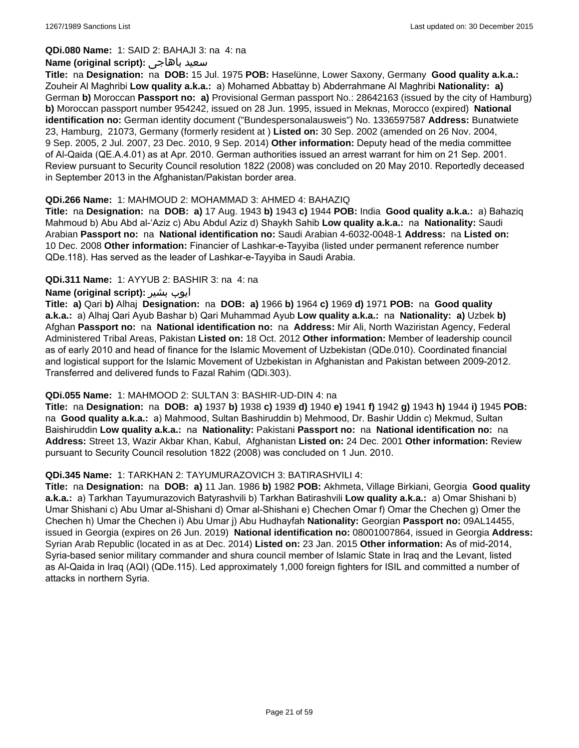#### **QDi.080 Name:** 1: SAID 2: BAHAJI 3: na 4: na

#### **Name (original script):** باهاجى سعيد

**Title:** na **Designation:** na **DOB:** 15 Jul. 1975 **POB:** Haselünne, Lower Saxony, Germany **Good quality a.k.a.:** Zouheir Al Maghribi **Low quality a.k.a.:** a) Mohamed Abbattay b) Abderrahmane Al Maghribi **Nationality: a)** German **b)** Moroccan **Passport no: a)** Provisional German passport No.: 28642163 (issued by the city of Hamburg) **b)** Moroccan passport number 954242, issued on 28 Jun. 1995, issued in Meknas, Morocco (expired) **National identification no:** German identity document ("Bundespersonalausweis") No. 1336597587 **Address:** Bunatwiete 23, Hamburg, 21073, Germany (formerly resident at ) **Listed on:** 30 Sep. 2002 (amended on 26 Nov. 2004, 9 Sep. 2005, 2 Jul. 2007, 23 Dec. 2010, 9 Sep. 2014) **Other information:** Deputy head of the media committee of Al-Qaida (QE.A.4.01) as at Apr. 2010. German authorities issued an arrest warrant for him on 21 Sep. 2001. Review pursuant to Security Council resolution 1822 (2008) was concluded on 20 May 2010. Reportedly deceased in September 2013 in the Afghanistan/Pakistan border area.

### **QDi.266 Name:** 1: MAHMOUD 2: MOHAMMAD 3: AHMED 4: BAHAZIQ

**Title:** na **Designation:** na **DOB: a)** 17 Aug. 1943 **b)** 1943 **c)** 1944 **POB:** India **Good quality a.k.a.:** a) Bahaziq Mahmoud b) Abu Abd al-'Aziz c) Abu Abdul Aziz d) Shaykh Sahib **Low quality a.k.a.:** na **Nationality:** Saudi Arabian **Passport no:** na **National identification no:** Saudi Arabian 4-6032-0048-1 **Address:** na **Listed on:** 10 Dec. 2008 **Other information:** Financier of Lashkar-e-Tayyiba (listed under permanent reference number QDe.118). Has served as the leader of Lashkar-e-Tayyiba in Saudi Arabia.

### **QDi.311 Name:** 1: AYYUB 2: BASHIR 3: na 4: na

### **Name (original script):** بشیر ایوب

**Title: a)** Qari **b)** Alhaj **Designation:** na **DOB: a)** 1966 **b)** 1964 **c)** 1969 **d)** 1971 **POB:** na **Good quality a.k.a.:** a) Alhaj Qari Ayub Bashar b) Qari Muhammad Ayub **Low quality a.k.a.:** na **Nationality: a)** Uzbek **b)** Afghan **Passport no:** na **National identification no:** na **Address:** Mir Ali, North Waziristan Agency, Federal Administered Tribal Areas, Pakistan **Listed on:** 18 Oct. 2012 **Other information:** Member of leadership council as of early 2010 and head of finance for the Islamic Movement of Uzbekistan (QDe.010). Coordinated financial and logistical support for the Islamic Movement of Uzbekistan in Afghanistan and Pakistan between 2009-2012. Transferred and delivered funds to Fazal Rahim (QDi.303).

#### **QDi.055 Name:** 1: MAHMOOD 2: SULTAN 3: BASHIR-UD-DIN 4: na

**Title:** na **Designation:** na **DOB: a)** 1937 **b)** 1938 **c)** 1939 **d)** 1940 **e)** 1941 **f)** 1942 **g)** 1943 **h)** 1944 **i)** 1945 **POB:**  na **Good quality a.k.a.:** a) Mahmood, Sultan Bashiruddin b) Mehmood, Dr. Bashir Uddin c) Mekmud, Sultan Baishiruddin **Low quality a.k.a.:** na **Nationality:** Pakistani **Passport no:** na **National identification no:** na **Address:** Street 13, Wazir Akbar Khan, Kabul, Afghanistan **Listed on:** 24 Dec. 2001 **Other information:** Review pursuant to Security Council resolution 1822 (2008) was concluded on 1 Jun. 2010.

#### **QDi.345 Name:** 1: TARKHAN 2: TAYUMURAZOVICH 3: BATIRASHVILI 4:

**Title:** na **Designation:** na **DOB: a)** 11 Jan. 1986 **b)** 1982 **POB:** Akhmeta, Village Birkiani, Georgia **Good quality a.k.a.:** a) Tarkhan Tayumurazovich Batyrashvili b) Tarkhan Batirashvili **Low quality a.k.a.:** a) Omar Shishani b) Umar Shishani c) Abu Umar al-Shishani d) Omar al-Shishani e) Chechen Omar f) Omar the Chechen g) Omer the Chechen h) Umar the Chechen i) Abu Umar j) Abu Hudhayfah **Nationality:** Georgian **Passport no:** 09AL14455, issued in Georgia (expires on 26 Jun. 2019) **National identification no:** 08001007864, issued in Georgia **Address:** Syrian Arab Republic (located in as at Dec. 2014) **Listed on:** 23 Jan. 2015 **Other information:** As of mid-2014, Syria-based senior military commander and shura council member of Islamic State in Iraq and the Levant, listed as Al-Qaida in Iraq (AQI) (QDe.115). Led approximately 1,000 foreign fighters for ISIL and committed a number of attacks in northern Syria.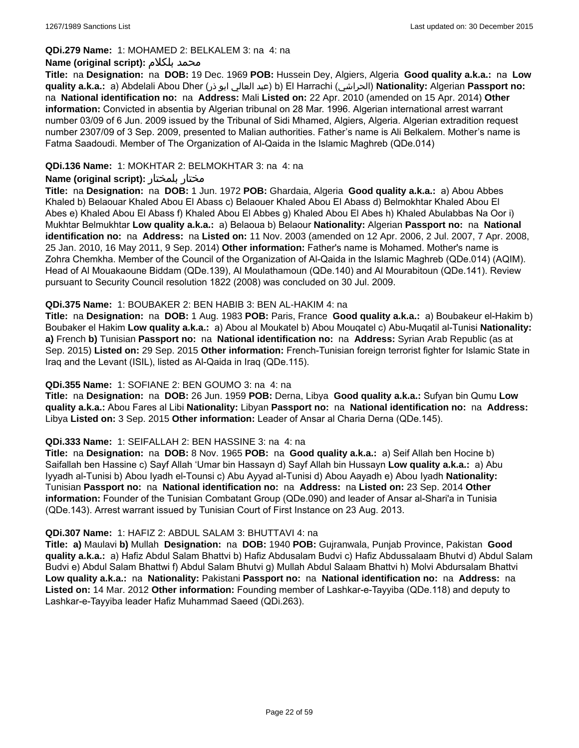#### **QDi.279 Name:** 1: MOHAMED 2: BELKALEM 3: na 4: na

### **Name (original script):** بلكلام محمد

**Title:** na **Designation:** na **DOB:** 19 Dec. 1969 **POB:** Hussein Dey, Algiers, Algeria **Good quality a.k.a.:** na **Low quality a.k.a.:** a) Abdelali Abou Dher (ذر ابو العالي عبد (b) El Harrachi (الحراشي(**Nationality:** Algerian **Passport no:**  na **National identification no:** na **Address:** Mali **Listed on:** 22 Apr. 2010 (amended on 15 Apr. 2014) **Other information:** Convicted in absentia by Algerian tribunal on 28 Mar. 1996. Algerian international arrest warrant number 03/09 of 6 Jun. 2009 issued by the Tribunal of Sidi Mhamed, Algiers, Algeria. Algerian extradition request number 2307/09 of 3 Sep. 2009, presented to Malian authorities. Father's name is Ali Belkalem. Mother's name is Fatma Saadoudi. Member of The Organization of Al-Qaida in the Islamic Maghreb (QDe.014)

### **QDi.136 Name:** 1: MOKHTAR 2: BELMOKHTAR 3: na 4: na

### **Name (original script):** بلمختار مختار

**Title:** na **Designation:** na **DOB:** 1 Jun. 1972 **POB:** Ghardaia, Algeria **Good quality a.k.a.:** a) Abou Abbes Khaled b) Belaouar Khaled Abou El Abass c) Belaouer Khaled Abou El Abass d) Belmokhtar Khaled Abou El Abes e) Khaled Abou El Abass f) Khaled Abou El Abbes g) Khaled Abou El Abes h) Khaled Abulabbas Na Oor i) Mukhtar Belmukhtar **Low quality a.k.a.:** a) Belaoua b) Belaour **Nationality:** Algerian **Passport no:** na **National identification no:** na **Address:** na **Listed on:** 11 Nov. 2003 (amended on 12 Apr. 2006, 2 Jul. 2007, 7 Apr. 2008, 25 Jan. 2010, 16 May 2011, 9 Sep. 2014) **Other information:** Father's name is Mohamed. Mother's name is Zohra Chemkha. Member of the Council of the Organization of Al-Qaida in the Islamic Maghreb (QDe.014) (AQIM). Head of Al Mouakaoune Biddam (QDe.139), Al Moulathamoun (QDe.140) and Al Mourabitoun (QDe.141). Review pursuant to Security Council resolution 1822 (2008) was concluded on 30 Jul. 2009.

### **QDi.375 Name:** 1: BOUBAKER 2: BEN HABIB 3: BEN AL-HAKIM 4: na

**Title:** na **Designation:** na **DOB:** 1 Aug. 1983 **POB:** Paris, France **Good quality a.k.a.:** a) Boubakeur el-Hakim b) Boubaker el Hakim **Low quality a.k.a.:** a) Abou al Moukatel b) Abou Mouqatel c) Abu-Muqatil al-Tunisi **Nationality: a)** French **b)** Tunisian **Passport no:** na **National identification no:** na **Address:** Syrian Arab Republic (as at Sep. 2015) **Listed on:** 29 Sep. 2015 **Other information:** French-Tunisian foreign terrorist fighter for Islamic State in Iraq and the Levant (ISIL), listed as Al-Qaida in Iraq (QDe.115).

#### **QDi.355 Name:** 1: SOFIANE 2: BEN GOUMO 3: na 4: na

**Title:** na **Designation:** na **DOB:** 26 Jun. 1959 **POB:** Derna, Libya **Good quality a.k.a.:** Sufyan bin Qumu **Low quality a.k.a.:** Abou Fares al Libi **Nationality:** Libyan **Passport no:** na **National identification no:** na **Address:** Libya **Listed on:** 3 Sep. 2015 **Other information:** Leader of Ansar al Charia Derna (QDe.145).

#### **QDi.333 Name:** 1: SEIFALLAH 2: BEN HASSINE 3: na 4: na

**Title:** na **Designation:** na **DOB:** 8 Nov. 1965 **POB:** na **Good quality a.k.a.:** a) Seif Allah ben Hocine b) Saifallah ben Hassine c) Sayf Allah 'Umar bin Hassayn d) Sayf Allah bin Hussayn **Low quality a.k.a.:** a) Abu Iyyadh al-Tunisi b) Abou Iyadh el-Tounsi c) Abu Ayyad al-Tunisi d) Abou Aayadh e) Abou Iyadh **Nationality:** Tunisian **Passport no:** na **National identification no:** na **Address:** na **Listed on:** 23 Sep. 2014 **Other information:** Founder of the Tunisian Combatant Group (QDe.090) and leader of Ansar al-Shari'a in Tunisia (QDe.143). Arrest warrant issued by Tunisian Court of First Instance on 23 Aug. 2013.

#### **QDi.307 Name:** 1: HAFIZ 2: ABDUL SALAM 3: BHUTTAVI 4: na

**Title: a)** Maulavi **b)** Mullah **Designation:** na **DOB:** 1940 **POB:** Gujranwala, Punjab Province, Pakistan **Good quality a.k.a.:** a) Hafiz Abdul Salam Bhattvi b) Hafiz Abdusalam Budvi c) Hafiz Abdussalaam Bhutvi d) Abdul Salam Budvi e) Abdul Salam Bhattwi f) Abdul Salam Bhutvi g) Mullah Abdul Salaam Bhattvi h) Molvi Abdursalam Bhattvi **Low quality a.k.a.:** na **Nationality:** Pakistani **Passport no:** na **National identification no:** na **Address:** na **Listed on:** 14 Mar. 2012 **Other information:** Founding member of Lashkar-e-Tayyiba (QDe.118) and deputy to Lashkar-e-Tayyiba leader Hafiz Muhammad Saeed (QDi.263).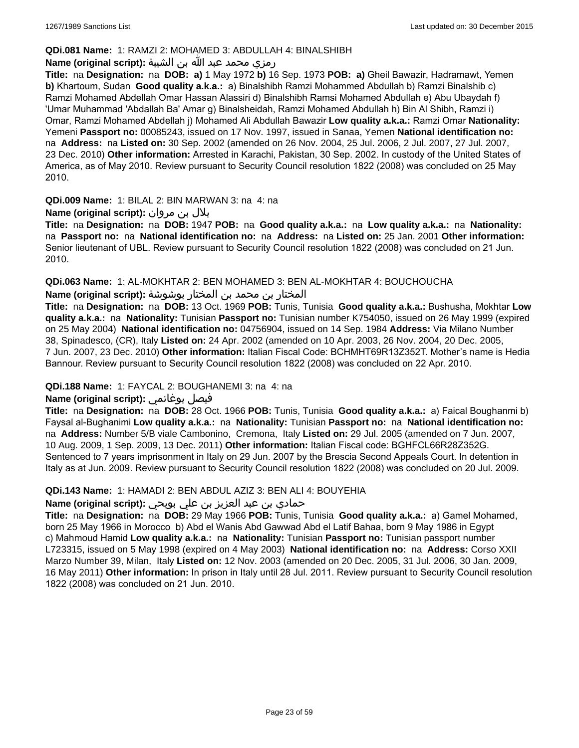### **QDi.081 Name:** 1: RAMZI 2: MOHAMED 3: ABDULLAH 4: BINALSHIBH

### رمزي محمد عبد الله بن الشيبة **:(script original (Name**

**Title:** na **Designation:** na **DOB: a)** 1 May 1972 **b)** 16 Sep. 1973 **POB: a)** Gheil Bawazir, Hadramawt, Yemen **b)** Khartoum, Sudan **Good quality a.k.a.:** a) Binalshibh Ramzi Mohammed Abdullah b) Ramzi Binalshib c) Ramzi Mohamed Abdellah Omar Hassan Alassiri d) Binalshibh Ramsi Mohamed Abdullah e) Abu Ubaydah f) 'Umar Muhammad 'Abdallah Ba' Amar g) Binalsheidah, Ramzi Mohamed Abdullah h) Bin Al Shibh, Ramzi i) Omar, Ramzi Mohamed Abdellah j) Mohamed Ali Abdullah Bawazir **Low quality a.k.a.:** Ramzi Omar **Nationality:** Yemeni **Passport no:** 00085243, issued on 17 Nov. 1997, issued in Sanaa, Yemen **National identification no:**  na **Address:** na **Listed on:** 30 Sep. 2002 (amended on 26 Nov. 2004, 25 Jul. 2006, 2 Jul. 2007, 27 Jul. 2007, 23 Dec. 2010) **Other information:** Arrested in Karachi, Pakistan, 30 Sep. 2002. In custody of the United States of America, as of May 2010. Review pursuant to Security Council resolution 1822 (2008) was concluded on 25 May 2010.

**QDi.009 Name:** 1: BILAL 2: BIN MARWAN 3: na 4: na

### بلال بن مروان **:(script original (Name**

**Title:** na **Designation:** na **DOB:** 1947 **POB:** na **Good quality a.k.a.:** na **Low quality a.k.a.:** na **Nationality:**  na **Passport no:** na **National identification no:** na **Address:** na **Listed on:** 25 Jan. 2001 **Other information:** Senior lieutenant of UBL. Review pursuant to Security Council resolution 1822 (2008) was concluded on 21 Jun. 2010.

**QDi.063 Name:** 1: AL-MOKHTAR 2: BEN MOHAMED 3: BEN AL-MOKHTAR 4: BOUCHOUCHA

المختار بن محمد بن المختار بوشوشة **:Name (original script)** 

**Title:** na **Designation:** na **DOB:** 13 Oct. 1969 **POB:** Tunis, Tunisia **Good quality a.k.a.:** Bushusha, Mokhtar **Low quality a.k.a.:** na **Nationality:** Tunisian **Passport no:** Tunisian number K754050, issued on 26 May 1999 (expired on 25 May 2004) **National identification no:** 04756904, issued on 14 Sep. 1984 **Address:** Via Milano Number 38, Spinadesco, (CR), Italy **Listed on:** 24 Apr. 2002 (amended on 10 Apr. 2003, 26 Nov. 2004, 20 Dec. 2005, 7 Jun. 2007, 23 Dec. 2010) **Other information:** Italian Fiscal Code: BCHMHT69R13Z352T. Mother's name is Hedia Bannour. Review pursuant to Security Council resolution 1822 (2008) was concluded on 22 Apr. 2010.

### **QDi.188 Name:** 1: FAYCAL 2: BOUGHANEMI 3: na 4: na

# **Name (original script):** بوغانمي فيصل

**Title:** na **Designation:** na **DOB:** 28 Oct. 1966 **POB:** Tunis, Tunisia **Good quality a.k.a.:** a) Faical Boughanmi b) Faysal al-Bughanimi **Low quality a.k.a.:** na **Nationality:** Tunisian **Passport no:** na **National identification no:**  na **Address:** Number 5/B viale Cambonino, Cremona, Italy **Listed on:** 29 Jul. 2005 (amended on 7 Jun. 2007, 10 Aug. 2009, 1 Sep. 2009, 13 Dec. 2011) **Other information:** Italian Fiscal code: BGHFCL66R28Z352G. Sentenced to 7 years imprisonment in Italy on 29 Jun. 2007 by the Brescia Second Appeals Court. In detention in Italy as at Jun. 2009. Review pursuant to Security Council resolution 1822 (2008) was concluded on 20 Jul. 2009.

#### **QDi.143 Name:** 1: HAMADI 2: BEN ABDUL AZIZ 3: BEN ALI 4: BOUYEHIA

# حمادي بن عبد العزيز بن علي بويحي **:(script original (Name**

**Title:** na **Designation:** na **DOB:** 29 May 1966 **POB:** Tunis, Tunisia **Good quality a.k.a.:** a) Gamel Mohamed, born 25 May 1966 in Morocco b) Abd el Wanis Abd Gawwad Abd el Latif Bahaa, born 9 May 1986 in Egypt c) Mahmoud Hamid **Low quality a.k.a.:** na **Nationality:** Tunisian **Passport no:** Tunisian passport number L723315, issued on 5 May 1998 (expired on 4 May 2003) **National identification no:** na **Address:** Corso XXII Marzo Number 39, Milan, Italy **Listed on:** 12 Nov. 2003 (amended on 20 Dec. 2005, 31 Jul. 2006, 30 Jan. 2009, 16 May 2011) **Other information:** In prison in Italy until 28 Jul. 2011. Review pursuant to Security Council resolution 1822 (2008) was concluded on 21 Jun. 2010.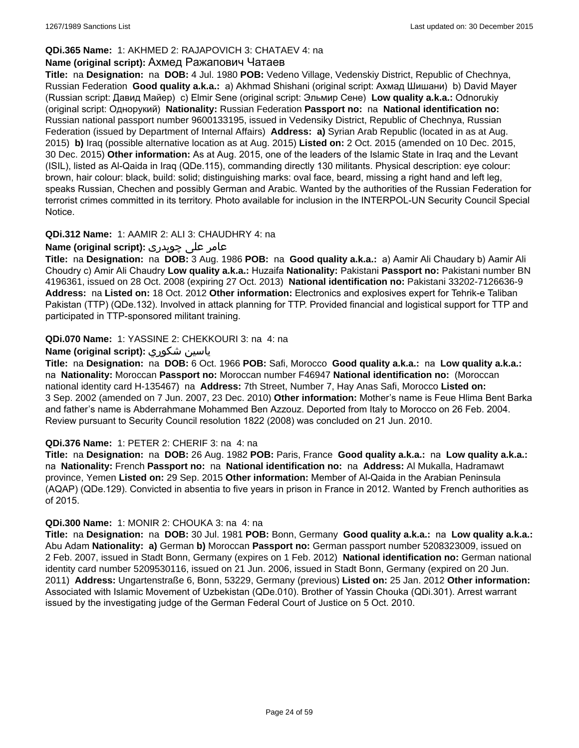### **QDi.365 Name:** 1: AKHMED 2: RAJAPOVICH 3: CHATAEV 4: na

### **Name (original script):** Ахмед Ражапович Чатаев

**Title:** na **Designation:** na **DOB:** 4 Jul. 1980 **POB:** Vedeno Village, Vedenskiy District, Republic of Chechnya, Russian Federation **Good quality a.k.a.:** a) Akhmad Shishani (original script: Ахмад Шишани) b) David Mayer (Russian script: Давид Майер) c) Elmir Sene (original script: Эльмир Сене) **Low quality a.k.a.:** Odnorukiy (original script: Однорукий) **Nationality:** Russian Federation **Passport no:** na **National identification no:** Russian national passport number 9600133195, issued in Vedensiky District, Republic of Chechnya, Russian Federation (issued by Department of Internal Affairs) **Address: a)** Syrian Arab Republic (located in as at Aug. 2015) **b)** Iraq (possible alternative location as at Aug. 2015) **Listed on:** 2 Oct. 2015 (amended on 10 Dec. 2015, 30 Dec. 2015) **Other information:** As at Aug. 2015, one of the leaders of the Islamic State in Iraq and the Levant (ISIL), listed as Al-Qaida in Iraq (QDe.115), commanding directly 130 militants. Physical description: eye colour: brown, hair colour: black, build: solid; distinguishing marks: oval face, beard, missing a right hand and left leg, speaks Russian, Chechen and possibly German and Arabic. Wanted by the authorities of the Russian Federation for terrorist crimes committed in its territory. Photo available for inclusion in the INTERPOL-UN Security Council Special Notice.

### **QDi.312 Name:** 1: AAMIR 2: ALI 3: CHAUDHRY 4: na

### عامر علی چوہدری **:(script original (Name**

**Title:** na **Designation:** na **DOB:** 3 Aug. 1986 **POB:** na **Good quality a.k.a.:** a) Aamir Ali Chaudary b) Aamir Ali Choudry c) Amir Ali Chaudry **Low quality a.k.a.:** Huzaifa **Nationality:** Pakistani **Passport no:** Pakistani number BN 4196361, issued on 28 Oct. 2008 (expiring 27 Oct. 2013) **National identification no:** Pakistani 33202-7126636-9 **Address:** na **Listed on:** 18 Oct. 2012 **Other information:** Electronics and explosives expert for Tehrik-e Taliban Pakistan (TTP) (QDe.132). Involved in attack planning for TTP. Provided financial and logistical support for TTP and participated in TTP-sponsored militant training.

### **QDi.070 Name:** 1: YASSINE 2: CHEKKOURI 3: na 4: na

### **Name (original script):** شكوري ياسين

**Title:** na **Designation:** na **DOB:** 6 Oct. 1966 **POB:** Safi, Morocco **Good quality a.k.a.:** na **Low quality a.k.a.:**  na **Nationality:** Moroccan **Passport no:** Moroccan number F46947 **National identification no:** (Moroccan national identity card H-135467) na **Address:** 7th Street, Number 7, Hay Anas Safi, Morocco **Listed on:** 3 Sep. 2002 (amended on 7 Jun. 2007, 23 Dec. 2010) **Other information:** Mother's name is Feue Hlima Bent Barka and father's name is Abderrahmane Mohammed Ben Azzouz. Deported from Italy to Morocco on 26 Feb. 2004. Review pursuant to Security Council resolution 1822 (2008) was concluded on 21 Jun. 2010.

#### **QDi.376 Name:** 1: PETER 2: CHERIF 3: na 4: na

**Title:** na **Designation:** na **DOB:** 26 Aug. 1982 **POB:** Paris, France **Good quality a.k.a.:** na **Low quality a.k.a.:**  na **Nationality:** French **Passport no:** na **National identification no:** na **Address:** Al Mukalla, Hadramawt province, Yemen **Listed on:** 29 Sep. 2015 **Other information:** Member of Al-Qaida in the Arabian Peninsula (AQAP) (QDe.129). Convicted in absentia to five years in prison in France in 2012. Wanted by French authorities as of 2015.

#### **QDi.300 Name:** 1: MONIR 2: CHOUKA 3: na 4: na

**Title:** na **Designation:** na **DOB:** 30 Jul. 1981 **POB:** Bonn, Germany **Good quality a.k.a.:** na **Low quality a.k.a.:** Abu Adam **Nationality: a)** German **b)** Moroccan **Passport no:** German passport number 5208323009, issued on 2 Feb. 2007, issued in Stadt Bonn, Germany (expires on 1 Feb. 2012) **National identification no:** German national identity card number 5209530116, issued on 21 Jun. 2006, issued in Stadt Bonn, Germany (expired on 20 Jun. 2011) **Address:** Ungartenstraße 6, Bonn, 53229, Germany (previous) **Listed on:** 25 Jan. 2012 **Other information:** Associated with Islamic Movement of Uzbekistan (QDe.010). Brother of Yassin Chouka (QDi.301). Arrest warrant issued by the investigating judge of the German Federal Court of Justice on 5 Oct. 2010.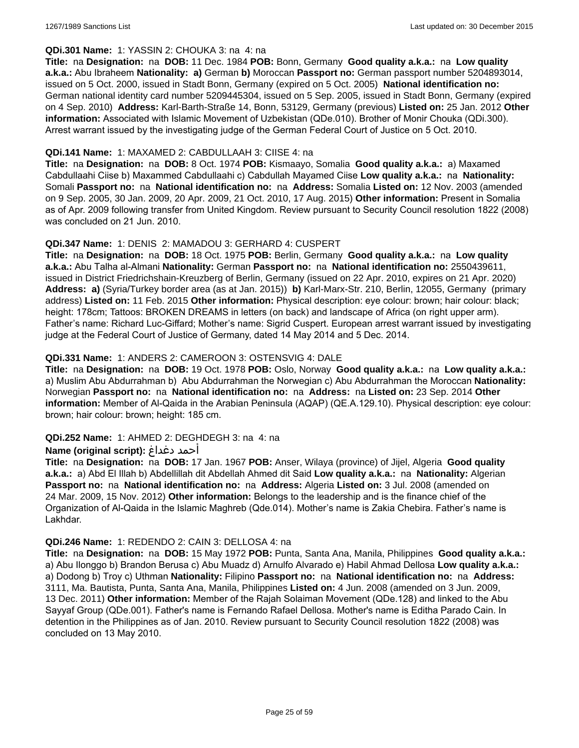### **QDi.301 Name:** 1: YASSIN 2: CHOUKA 3: na 4: na

**Title:** na **Designation:** na **DOB:** 11 Dec. 1984 **POB:** Bonn, Germany **Good quality a.k.a.:** na **Low quality a.k.a.:** Abu Ibraheem **Nationality: a)** German **b)** Moroccan **Passport no:** German passport number 5204893014, issued on 5 Oct. 2000, issued in Stadt Bonn, Germany (expired on 5 Oct. 2005) **National identification no:** German national identity card number 5209445304, issued on 5 Sep. 2005, issued in Stadt Bonn, Germany (expired on 4 Sep. 2010) **Address:** Karl-Barth-Straße 14, Bonn, 53129, Germany (previous) **Listed on:** 25 Jan. 2012 **Other information:** Associated with Islamic Movement of Uzbekistan (QDe.010). Brother of Monir Chouka (QDi.300). Arrest warrant issued by the investigating judge of the German Federal Court of Justice on 5 Oct. 2010.

### **QDi.141 Name:** 1: MAXAMED 2: CABDULLAAH 3: CIISE 4: na

**Title:** na **Designation:** na **DOB:** 8 Oct. 1974 **POB:** Kismaayo, Somalia **Good quality a.k.a.:** a) Maxamed Cabdullaahi Ciise b) Maxammed Cabdullaahi c) Cabdullah Mayamed Ciise **Low quality a.k.a.:** na **Nationality:** Somali **Passport no:** na **National identification no:** na **Address:** Somalia **Listed on:** 12 Nov. 2003 (amended on 9 Sep. 2005, 30 Jan. 2009, 20 Apr. 2009, 21 Oct. 2010, 17 Aug. 2015) **Other information:** Present in Somalia as of Apr. 2009 following transfer from United Kingdom. Review pursuant to Security Council resolution 1822 (2008) was concluded on 21 Jun. 2010.

### **QDi.347 Name:** 1: DENIS 2: MAMADOU 3: GERHARD 4: CUSPERT

**Title:** na **Designation:** na **DOB:** 18 Oct. 1975 **POB:** Berlin, Germany **Good quality a.k.a.:** na **Low quality a.k.a.:** Abu Talha al-Almani **Nationality:** German **Passport no:** na **National identification no:** 2550439611, issued in District Friedrichshain-Kreuzberg of Berlin, Germany (issued on 22 Apr. 2010, expires on 21 Apr. 2020) **Address: a)** (Syria/Turkey border area (as at Jan. 2015)) **b)** Karl-Marx-Str. 210, Berlin, 12055, Germany (primary address) **Listed on:** 11 Feb. 2015 **Other information:** Physical description: eye colour: brown; hair colour: black; height: 178cm; Tattoos: BROKEN DREAMS in letters (on back) and landscape of Africa (on right upper arm). Father's name: Richard Luc-Giffard; Mother's name: Sigrid Cuspert. European arrest warrant issued by investigating judge at the Federal Court of Justice of Germany, dated 14 May 2014 and 5 Dec. 2014.

### **QDi.331 Name:** 1: ANDERS 2: CAMEROON 3: OSTENSVIG 4: DALE

**Title:** na **Designation:** na **DOB:** 19 Oct. 1978 **POB:** Oslo, Norway **Good quality a.k.a.:** na **Low quality a.k.a.:**  a) Muslim Abu Abdurrahman b) Abu Abdurrahman the Norwegian c) Abu Abdurrahman the Moroccan **Nationality:** Norwegian **Passport no:** na **National identification no:** na **Address:** na **Listed on:** 23 Sep. 2014 **Other information:** Member of Al-Qaida in the Arabian Peninsula (AQAP) (QE.A.129.10). Physical description: eye colour: brown; hair colour: brown; height: 185 cm.

### **QDi.252 Name:** 1: AHMED 2: DEGHDEGH 3: na 4: na

#### **Name (original script):** دغداغ أحمد

**Title:** na **Designation:** na **DOB:** 17 Jan. 1967 **POB:** Anser, Wilaya (province) of Jijel, Algeria **Good quality a.k.a.:** a) Abd El Illah b) Abdellillah dit Abdellah Ahmed dit Said **Low quality a.k.a.:** na **Nationality:** Algerian **Passport no:** na **National identification no:** na **Address:** Algeria **Listed on:** 3 Jul. 2008 (amended on 24 Mar. 2009, 15 Nov. 2012) **Other information:** Belongs to the leadership and is the finance chief of the Organization of Al-Qaida in the Islamic Maghreb (Qde.014). Mother's name is Zakia Chebira. Father's name is Lakhdar.

#### **QDi.246 Name:** 1: REDENDO 2: CAIN 3: DELLOSA 4: na

**Title:** na **Designation:** na **DOB:** 15 May 1972 **POB:** Punta, Santa Ana, Manila, Philippines **Good quality a.k.a.:**  a) Abu Ilonggo b) Brandon Berusa c) Abu Muadz d) Arnulfo Alvarado e) Habil Ahmad Dellosa **Low quality a.k.a.:**  a) Dodong b) Troy c) Uthman **Nationality:** Filipino **Passport no:** na **National identification no:** na **Address:** 3111, Ma. Bautista, Punta, Santa Ana, Manila, Philippines **Listed on:** 4 Jun. 2008 (amended on 3 Jun. 2009, 13 Dec. 2011) **Other information:** Member of the Rajah Solaiman Movement (QDe.128) and linked to the Abu Sayyaf Group (QDe.001). Father's name is Fernando Rafael Dellosa. Mother's name is Editha Parado Cain. In detention in the Philippines as of Jan. 2010. Review pursuant to Security Council resolution 1822 (2008) was concluded on 13 May 2010.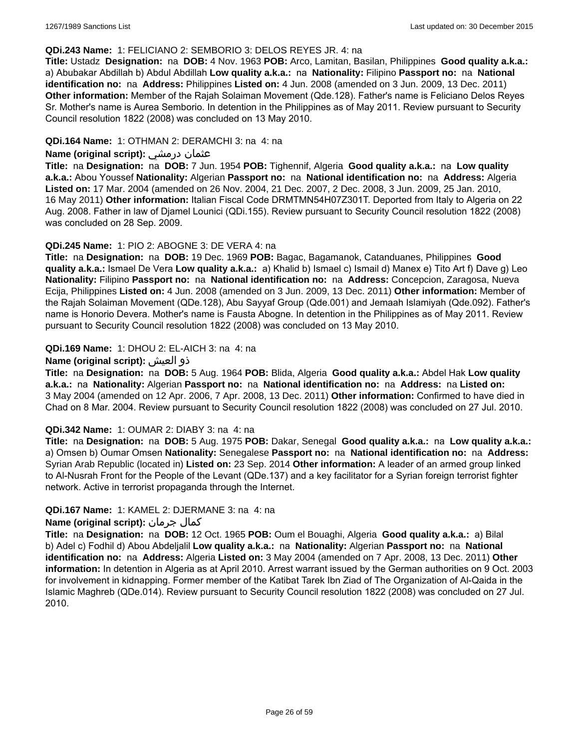#### **QDi.243 Name:** 1: FELICIANO 2: SEMBORIO 3: DELOS REYES JR. 4: na

**Title:** Ustadz **Designation:** na **DOB:** 4 Nov. 1963 **POB:** Arco, Lamitan, Basilan, Philippines **Good quality a.k.a.:**  a) Abubakar Abdillah b) Abdul Abdillah **Low quality a.k.a.:** na **Nationality:** Filipino **Passport no:** na **National identification no:** na **Address:** Philippines **Listed on:** 4 Jun. 2008 (amended on 3 Jun. 2009, 13 Dec. 2011) **Other information:** Member of the Rajah Solaiman Movement (Qde.128). Father's name is Feliciano Delos Reyes Sr. Mother's name is Aurea Semborio. In detention in the Philippines as of May 2011. Review pursuant to Security Council resolution 1822 (2008) was concluded on 13 May 2010.

### **QDi.164 Name:** 1: OTHMAN 2: DERAMCHI 3: na 4: na

### **Name (original script):** درمشي عثمان

**Title:** na **Designation:** na **DOB:** 7 Jun. 1954 **POB:** Tighennif, Algeria **Good quality a.k.a.:** na **Low quality a.k.a.:** Abou Youssef **Nationality:** Algerian **Passport no:** na **National identification no:** na **Address:** Algeria **Listed on:** 17 Mar. 2004 (amended on 26 Nov. 2004, 21 Dec. 2007, 2 Dec. 2008, 3 Jun. 2009, 25 Jan. 2010, 16 May 2011) **Other information:** Italian Fiscal Code DRMTMN54H07Z301T. Deported from Italy to Algeria on 22 Aug. 2008. Father in law of Djamel Lounici (QDi.155). Review pursuant to Security Council resolution 1822 (2008) was concluded on 28 Sep. 2009.

### **QDi.245 Name:** 1: PIO 2: ABOGNE 3: DE VERA 4: na

**Title:** na **Designation:** na **DOB:** 19 Dec. 1969 **POB:** Bagac, Bagamanok, Catanduanes, Philippines **Good quality a.k.a.:** Ismael De Vera **Low quality a.k.a.:** a) Khalid b) Ismael c) Ismail d) Manex e) Tito Art f) Dave g) Leo **Nationality:** Filipino **Passport no:** na **National identification no:** na **Address:** Concepcion, Zaragosa, Nueva Ecija, Philippines **Listed on:** 4 Jun. 2008 (amended on 3 Jun. 2009, 13 Dec. 2011) **Other information:** Member of the Rajah Solaiman Movement (QDe.128), Abu Sayyaf Group (Qde.001) and Jemaah Islamiyah (Qde.092). Father's name is Honorio Devera. Mother's name is Fausta Abogne. In detention in the Philippines as of May 2011. Review pursuant to Security Council resolution 1822 (2008) was concluded on 13 May 2010.

### **QDi.169 Name:** 1: DHOU 2: EL-AICH 3: na 4: na

### **Name (original script):** العيش ذو

**Title:** na **Designation:** na **DOB:** 5 Aug. 1964 **POB:** Blida, Algeria **Good quality a.k.a.:** Abdel Hak **Low quality a.k.a.:** na **Nationality:** Algerian **Passport no:** na **National identification no:** na **Address:** na **Listed on:** 3 May 2004 (amended on 12 Apr. 2006, 7 Apr. 2008, 13 Dec. 2011) **Other information:** Confirmed to have died in Chad on 8 Mar. 2004. Review pursuant to Security Council resolution 1822 (2008) was concluded on 27 Jul. 2010.

#### **QDi.342 Name:** 1: OUMAR 2: DIABY 3: na 4: na

**Title:** na **Designation:** na **DOB:** 5 Aug. 1975 **POB:** Dakar, Senegal **Good quality a.k.a.:** na **Low quality a.k.a.:** a) Omsen b) Oumar Omsen **Nationality:** Senegalese **Passport no:** na **National identification no:** na **Address:** Syrian Arab Republic (located in) **Listed on:** 23 Sep. 2014 **Other information:** A leader of an armed group linked to Al-Nusrah Front for the People of the Levant (QDe.137) and a key facilitator for a Syrian foreign terrorist fighter network. Active in terrorist propaganda through the Internet.

#### **QDi.167 Name:** 1: KAMEL 2: DJERMANE 3: na 4: na

### **Name (original script):** جرمان كمال

**Title:** na **Designation:** na **DOB:** 12 Oct. 1965 **POB:** Oum el Bouaghi, Algeria **Good quality a.k.a.:** a) Bilal b) Adel c) Fodhil d) Abou Abdeljalil **Low quality a.k.a.:** na **Nationality:** Algerian **Passport no:** na **National identification no:** na **Address:** Algeria **Listed on:** 3 May 2004 (amended on 7 Apr. 2008, 13 Dec. 2011) **Other information:** In detention in Algeria as at April 2010. Arrest warrant issued by the German authorities on 9 Oct. 2003 for involvement in kidnapping. Former member of the Katibat Tarek Ibn Ziad of The Organization of Al-Qaida in the Islamic Maghreb (QDe.014). Review pursuant to Security Council resolution 1822 (2008) was concluded on 27 Jul. 2010.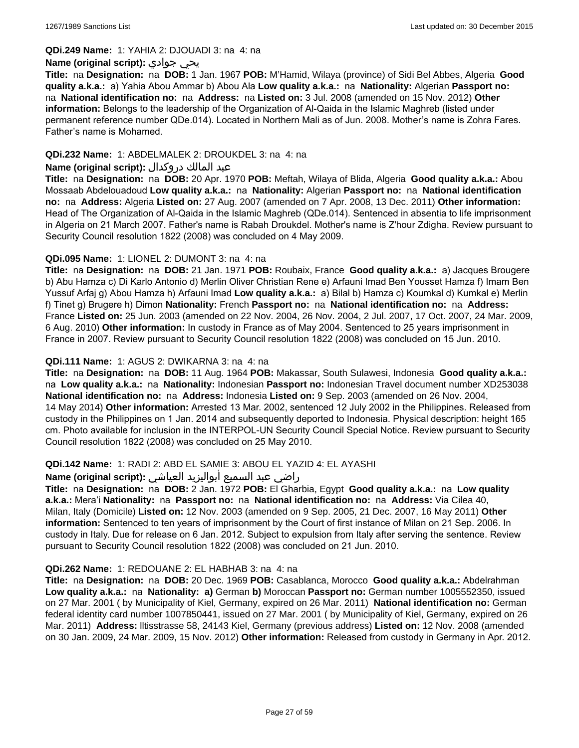#### **QDi.249 Name:** 1: YAHIA 2: DJOUADI 3: na 4: na

### **Name (original script):** جوادي يحي

**Title:** na **Designation:** na **DOB:** 1 Jan. 1967 **POB:** M'Hamid, Wilaya (province) of Sidi Bel Abbes, Algeria **Good quality a.k.a.:** a) Yahia Abou Ammar b) Abou Ala **Low quality a.k.a.:** na **Nationality:** Algerian **Passport no:**  na **National identification no:** na **Address:** na **Listed on:** 3 Jul. 2008 (amended on 15 Nov. 2012) **Other information:** Belongs to the leadership of the Organization of Al-Qaida in the Islamic Maghreb (listed under permanent reference number QDe.014). Located in Northern Mali as of Jun. 2008. Mother's name is Zohra Fares. Father's name is Mohamed.

### **QDi.232 Name:** 1: ABDELMALEK 2: DROUKDEL 3: na 4: na

### عبد المالك دروكدال **:(script original (Name**

**Title:** na **Designation:** na **DOB:** 20 Apr. 1970 **POB:** Meftah, Wilaya of Blida, Algeria **Good quality a.k.a.:** Abou Mossaab Abdelouadoud **Low quality a.k.a.:** na **Nationality:** Algerian **Passport no:** na **National identification no:** na **Address:** Algeria **Listed on:** 27 Aug. 2007 (amended on 7 Apr. 2008, 13 Dec. 2011) **Other information:** Head of The Organization of Al-Qaida in the Islamic Maghreb (QDe.014). Sentenced in absentia to life imprisonment in Algeria on 21 March 2007. Father's name is Rabah Droukdel. Mother's name is Z'hour Zdigha. Review pursuant to Security Council resolution 1822 (2008) was concluded on 4 May 2009.

### **QDi.095 Name:** 1: LIONEL 2: DUMONT 3: na 4: na

**Title:** na **Designation:** na **DOB:** 21 Jan. 1971 **POB:** Roubaix, France **Good quality a.k.a.:** a) Jacques Brougere b) Abu Hamza c) Di Karlo Antonio d) Merlin Oliver Christian Rene e) Arfauni Imad Ben Yousset Hamza f) Imam Ben Yussuf Arfaj g) Abou Hamza h) Arfauni Imad **Low quality a.k.a.:** a) Bilal b) Hamza c) Koumkal d) Kumkal e) Merlin f) Tinet g) Brugere h) Dimon **Nationality:** French **Passport no:** na **National identification no:** na **Address:** France **Listed on:** 25 Jun. 2003 (amended on 22 Nov. 2004, 26 Nov. 2004, 2 Jul. 2007, 17 Oct. 2007, 24 Mar. 2009, 6 Aug. 2010) **Other information:** In custody in France as of May 2004. Sentenced to 25 years imprisonment in France in 2007. Review pursuant to Security Council resolution 1822 (2008) was concluded on 15 Jun. 2010.

### **QDi.111 Name:** 1: AGUS 2: DWIKARNA 3: na 4: na

**Title:** na **Designation:** na **DOB:** 11 Aug. 1964 **POB:** Makassar, South Sulawesi, Indonesia **Good quality a.k.a.:**  na **Low quality a.k.a.:** na **Nationality:** Indonesian **Passport no:** Indonesian Travel document number XD253038 **National identification no:** na **Address:** Indonesia **Listed on:** 9 Sep. 2003 (amended on 26 Nov. 2004, 14 May 2014) **Other information:** Arrested 13 Mar. 2002, sentenced 12 July 2002 in the Philippines. Released from custody in the Philippines on 1 Jan. 2014 and subsequently deported to Indonesia. Physical description: height 165 cm. Photo available for inclusion in the INTERPOL-UN Security Council Special Notice. Review pursuant to Security Council resolution 1822 (2008) was concluded on 25 May 2010.

### **QDi.142 Name:** 1: RADI 2: ABD EL SAMIE 3: ABOU EL YAZID 4: EL AYASHI

#### راضي عبد السميع أبواليزيد العياشي **:(script original (Name**

**Title:** na **Designation:** na **DOB:** 2 Jan. 1972 **POB:** El Gharbia, Egypt **Good quality a.k.a.:** na **Low quality a.k.a.:** Mera'i **Nationality:** na **Passport no:** na **National identification no:** na **Address:** Via Cilea 40, Milan, Italy (Domicile) **Listed on:** 12 Nov. 2003 (amended on 9 Sep. 2005, 21 Dec. 2007, 16 May 2011) **Other information:** Sentenced to ten years of imprisonment by the Court of first instance of Milan on 21 Sep. 2006. In custody in Italy. Due for release on 6 Jan. 2012. Subject to expulsion from Italy after serving the sentence. Review pursuant to Security Council resolution 1822 (2008) was concluded on 21 Jun. 2010.

#### **QDi.262 Name:** 1: REDOUANE 2: EL HABHAB 3: na 4: na

**Title:** na **Designation:** na **DOB:** 20 Dec. 1969 **POB:** Casablanca, Morocco **Good quality a.k.a.:** Abdelrahman **Low quality a.k.a.:** na **Nationality: a)** German **b)** Moroccan **Passport no:** German number 1005552350, issued on 27 Mar. 2001 ( by Municipality of Kiel, Germany, expired on 26 Mar. 2011) **National identification no:** German federal identity card number 1007850441, issued on 27 Mar. 2001 ( by Municipality of Kiel, Germany, expired on 26 Mar. 2011) **Address:** lltisstrasse 58, 24143 Kiel, Germany (previous address) **Listed on:** 12 Nov. 2008 (amended on 30 Jan. 2009, 24 Mar. 2009, 15 Nov. 2012) **Other information:** Released from custody in Germany in Apr. 2012.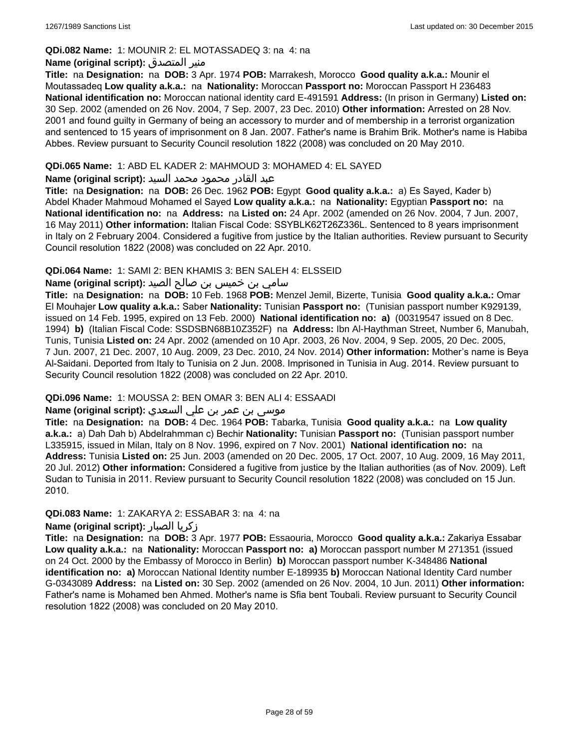### **QDi.082 Name:** 1: MOUNIR 2: EL MOTASSADEQ 3: na 4: na

#### **Name (original script):** المتصدق منير

**Title:** na **Designation:** na **DOB:** 3 Apr. 1974 **POB:** Marrakesh, Morocco **Good quality a.k.a.:** Mounir el Moutassadeq **Low quality a.k.a.:** na **Nationality:** Moroccan **Passport no:** Moroccan Passport H 236483 **National identification no:** Moroccan national identity card E-491591 **Address:** (In prison in Germany) **Listed on:** 30 Sep. 2002 (amended on 26 Nov. 2004, 7 Sep. 2007, 23 Dec. 2010) **Other information:** Arrested on 28 Nov. 2001 and found guilty in Germany of being an accessory to murder and of membership in a terrorist organization and sentenced to 15 years of imprisonment on 8 Jan. 2007. Father's name is Brahim Brik. Mother's name is Habiba Abbes. Review pursuant to Security Council resolution 1822 (2008) was concluded on 20 May 2010.

### **QDi.065 Name:** 1: ABD EL KADER 2: MAHMOUD 3: MOHAMED 4: EL SAYED

### عبد القادر محمود محمد السيد **:(script original (Name**

**Title:** na **Designation:** na **DOB:** 26 Dec. 1962 **POB:** Egypt **Good quality a.k.a.:** a) Es Sayed, Kader b) Abdel Khader Mahmoud Mohamed el Sayed **Low quality a.k.a.:** na **Nationality:** Egyptian **Passport no:** na **National identification no:** na **Address:** na **Listed on:** 24 Apr. 2002 (amended on 26 Nov. 2004, 7 Jun. 2007, 16 May 2011) **Other information:** Italian Fiscal Code: SSYBLK62T26Z336L. Sentenced to 8 years imprisonment in Italy on 2 February 2004. Considered a fugitive from justice by the Italian authorities. Review pursuant to Security Council resolution 1822 (2008) was concluded on 22 Apr. 2010.

### **QDi.064 Name:** 1: SAMI 2: BEN KHAMIS 3: BEN SALEH 4: ELSSEID

### سامي بن خميس بن صالح الصيد **:Name (original script**)

**Title:** na **Designation:** na **DOB:** 10 Feb. 1968 **POB:** Menzel Jemil, Bizerte, Tunisia **Good quality a.k.a.:** Omar El Mouhajer **Low quality a.k.a.:** Saber **Nationality:** Tunisian **Passport no:** (Tunisian passport number K929139, issued on 14 Feb. 1995, expired on 13 Feb. 2000) **National identification no: a)** (00319547 issued on 8 Dec. 1994) **b)** (Italian Fiscal Code: SSDSBN68B10Z352F) na **Address:** Ibn Al-Haythman Street, Number 6, Manubah, Tunis, Tunisia **Listed on:** 24 Apr. 2002 (amended on 10 Apr. 2003, 26 Nov. 2004, 9 Sep. 2005, 20 Dec. 2005, 7 Jun. 2007, 21 Dec. 2007, 10 Aug. 2009, 23 Dec. 2010, 24 Nov. 2014) **Other information:** Mother's name is Beya Al-Saidani. Deported from Italy to Tunisia on 2 Jun. 2008. Imprisoned in Tunisia in Aug. 2014. Review pursuant to Security Council resolution 1822 (2008) was concluded on 22 Apr. 2010.

### **QDi.096 Name:** 1: MOUSSA 2: BEN OMAR 3: BEN ALI 4: ESSAADI

# موسى بن عمر بن علي السعدي **:Name (original script**)

**Title:** na **Designation:** na **DOB:** 4 Dec. 1964 **POB:** Tabarka, Tunisia **Good quality a.k.a.:** na **Low quality a.k.a.:** a) Dah Dah b) Abdelrahmman c) Bechir **Nationality:** Tunisian **Passport no:** (Tunisian passport number L335915, issued in Milan, Italy on 8 Nov. 1996, expired on 7 Nov. 2001) **National identification no:** na **Address:** Tunisia **Listed on:** 25 Jun. 2003 (amended on 20 Dec. 2005, 17 Oct. 2007, 10 Aug. 2009, 16 May 2011, 20 Jul. 2012) **Other information:** Considered a fugitive from justice by the Italian authorities (as of Nov. 2009). Left Sudan to Tunisia in 2011. Review pursuant to Security Council resolution 1822 (2008) was concluded on 15 Jun. 2010.

### **QDi.083 Name:** 1: ZAKARYA 2: ESSABAR 3: na 4: na

#### **Name (original script):** الصبار زكريا

**Title:** na **Designation:** na **DOB:** 3 Apr. 1977 **POB:** Essaouria, Morocco **Good quality a.k.a.:** Zakariya Essabar **Low quality a.k.a.:** na **Nationality:** Moroccan **Passport no: a)** Moroccan passport number M 271351 (issued on 24 Oct. 2000 by the Embassy of Morocco in Berlin) **b)** Moroccan passport number K-348486 **National identification no: a)** Moroccan National Identity number E-189935 **b)** Moroccan National Identity Card number G-0343089 **Address:** na **Listed on:** 30 Sep. 2002 (amended on 26 Nov. 2004, 10 Jun. 2011) **Other information:** Father's name is Mohamed ben Ahmed. Mother's name is Sfia bent Toubali. Review pursuant to Security Council resolution 1822 (2008) was concluded on 20 May 2010.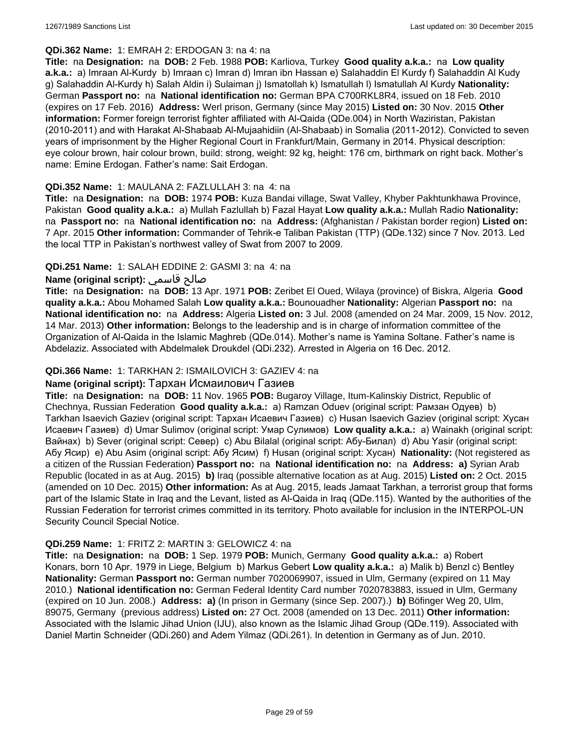#### **QDi.362 Name:** 1: EMRAH 2: ERDOGAN 3: na 4: na

**Title:** na **Designation:** na **DOB:** 2 Feb. 1988 **POB:** Karliova, Turkey **Good quality a.k.a.:** na **Low quality a.k.a.:** a) Imraan Al-Kurdy b) Imraan c) Imran d) Imran ibn Hassan e) Salahaddin El Kurdy f) Salahaddin Al Kudy g) Salahaddin Al-Kurdy h) Salah Aldin i) Sulaiman j) Ismatollah k) Ismatullah l) Ismatullah Al Kurdy **Nationality:** German **Passport no:** na **National identification no:** German BPA C700RKL8R4, issued on 18 Feb. 2010 (expires on 17 Feb. 2016) **Address:** Werl prison, Germany (since May 2015) **Listed on:** 30 Nov. 2015 **Other information:** Former foreign terrorist fighter affiliated with Al-Qaida (QDe.004) in North Waziristan, Pakistan (2010-2011) and with Harakat Al-Shabaab Al-Mujaahidiin (Al-Shabaab) in Somalia (2011-2012). Convicted to seven years of imprisonment by the Higher Regional Court in Frankfurt/Main, Germany in 2014. Physical description: eye colour brown, hair colour brown, build: strong, weight: 92 kg, height: 176 cm, birthmark on right back. Mother's name: Emine Erdogan. Father's name: Sait Erdogan.

### **QDi.352 Name:** 1: MAULANA 2: FAZLULLAH 3: na 4: na

**Title:** na **Designation:** na **DOB:** 1974 **POB:** Kuza Bandai village, Swat Valley, Khyber Pakhtunkhawa Province, Pakistan **Good quality a.k.a.:** a) Mullah Fazlullah b) Fazal Hayat **Low quality a.k.a.:** Mullah Radio **Nationality:**  na **Passport no:** na **National identification no:** na **Address:** (Afghanistan / Pakistan border region) **Listed on:** 7 Apr. 2015 **Other information:** Commander of Tehrik-e Taliban Pakistan (TTP) (QDe.132) since 7 Nov. 2013. Led the local TTP in Pakistan's northwest valley of Swat from 2007 to 2009.

# **QDi.251 Name:** 1: SALAH EDDINE 2: GASMI 3: na 4: na

# **Name (original script):** قاسمي صالح

**Title:** na **Designation:** na **DOB:** 13 Apr. 1971 **POB:** Zeribet El Oued, Wilaya (province) of Biskra, Algeria **Good quality a.k.a.:** Abou Mohamed Salah **Low quality a.k.a.:** Bounouadher **Nationality:** Algerian **Passport no:** na **National identification no:** na **Address:** Algeria **Listed on:** 3 Jul. 2008 (amended on 24 Mar. 2009, 15 Nov. 2012, 14 Mar. 2013) **Other information:** Belongs to the leadership and is in charge of information committee of the Organization of Al-Qaida in the Islamic Maghreb (QDe.014). Mother's name is Yamina Soltane. Father's name is Abdelaziz. Associated with Abdelmalek Droukdel (QDi.232). Arrested in Algeria on 16 Dec. 2012.

## **QDi.366 Name:** 1: TARKHAN 2: ISMAILOVICH 3: GAZIEV 4: na

### **Name (original script):** Тархан Исмаилович Газиев

**Title:** na **Designation:** na **DOB:** 11 Nov. 1965 **POB:** Bugaroy Village, Itum-Kalinskiy District, Republic of Chechnya, Russian Federation **Good quality a.k.a.:** a) Ramzan Oduev (original script: Рамзан Одуев) b) Tarkhan Isaevich Gaziev (original script: Тархан Исаевич Газиев) c) Husan Isaevich Gaziev (original script: Хусан Исаевич Газиев) d) Umar Sulimov (original script: Умар Сулимов) **Low quality a.k.a.:** a) Wainakh (original script: Вайнах) b) Sever (original script: Север) c) Abu Bilalal (original script: Абу-Билал) d) Abu Yasir (original script: Абу Ясир) e) Abu Asim (original script: Абу Ясим) f) Husan (original script: Хусан) **Nationality:** (Not registered as a citizen of the Russian Federation) **Passport no:** na **National identification no:** na **Address: a)** Syrian Arab Republic (located in as at Aug. 2015) **b)** Iraq (possible alternative location as at Aug. 2015) **Listed on:** 2 Oct. 2015 (amended on 10 Dec. 2015) **Other information:** As at Aug. 2015, leads Jamaat Tarkhan, a terrorist group that forms part of the Islamic State in Iraq and the Levant, listed as Al-Qaida in Iraq (QDe.115). Wanted by the authorities of the Russian Federation for terrorist crimes committed in its territory. Photo available for inclusion in the INTERPOL-UN Security Council Special Notice.

# **QDi.259 Name:** 1: FRITZ 2: MARTIN 3: GELOWICZ 4: na

**Title:** na **Designation:** na **DOB:** 1 Sep. 1979 **POB:** Munich, Germany **Good quality a.k.a.:** a) Robert Konars, born 10 Apr. 1979 in Liege, Belgium b) Markus Gebert **Low quality a.k.a.:** a) Malik b) Benzl c) Bentley **Nationality:** German **Passport no:** German number 7020069907, issued in Ulm, Germany (expired on 11 May 2010.) **National identification no:** German Federal Identity Card number 7020783883, issued in Ulm, Germany (expired on 10 Jun. 2008.) **Address: a)** (In prison in Germany (since Sep. 2007).) **b)** Böfinger Weg 20, Ulm, 89075, Germany (previous address) **Listed on:** 27 Oct. 2008 (amended on 13 Dec. 2011) **Other information:** Associated with the Islamic Jihad Union (IJU), also known as the Islamic Jihad Group (QDe.119). Associated with Daniel Martin Schneider (QDi.260) and Adem Yilmaz (QDi.261). In detention in Germany as of Jun. 2010.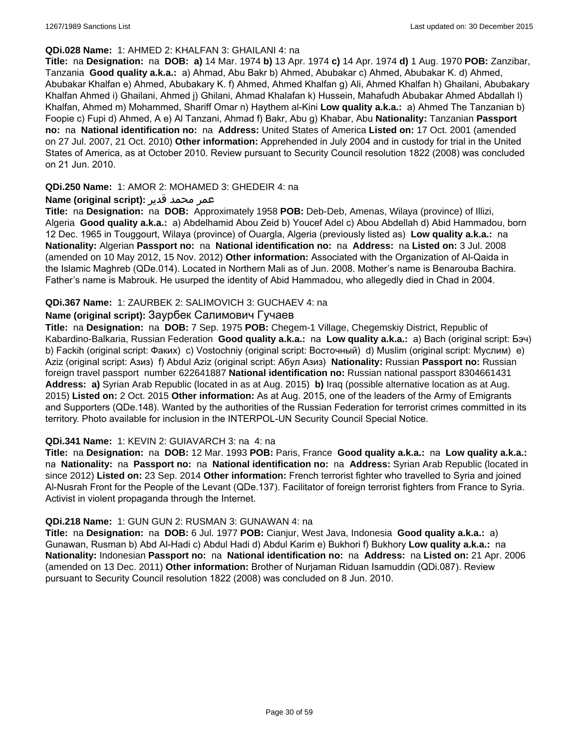#### **QDi.028 Name:** 1: AHMED 2: KHALFAN 3: GHAILANI 4: na

**Title:** na **Designation:** na **DOB: a)** 14 Mar. 1974 **b)** 13 Apr. 1974 **c)** 14 Apr. 1974 **d)** 1 Aug. 1970 **POB:** Zanzibar, Tanzania **Good quality a.k.a.:** a) Ahmad, Abu Bakr b) Ahmed, Abubakar c) Ahmed, Abubakar K. d) Ahmed, Abubakar Khalfan e) Ahmed, Abubakary K. f) Ahmed, Ahmed Khalfan g) Ali, Ahmed Khalfan h) Ghailani, Abubakary Khalfan Ahmed i) Ghailani, Ahmed j) Ghilani, Ahmad Khalafan k) Hussein, Mahafudh Abubakar Ahmed Abdallah l) Khalfan, Ahmed m) Mohammed, Shariff Omar n) Haythem al-Kini **Low quality a.k.a.:** a) Ahmed The Tanzanian b) Foopie c) Fupi d) Ahmed, A e) Al Tanzani, Ahmad f) Bakr, Abu g) Khabar, Abu **Nationality:** Tanzanian **Passport no:** na **National identification no:** na **Address:** United States of America **Listed on:** 17 Oct. 2001 (amended on 27 Jul. 2007, 21 Oct. 2010) **Other information:** Apprehended in July 2004 and in custody for trial in the United States of America, as at October 2010. Review pursuant to Security Council resolution 1822 (2008) was concluded on 21 Jun. 2010.

### **QDi.250 Name:** 1: AMOR 2: MOHAMED 3: GHEDEIR 4: na

### عمر محمد قدير **:(script original (Name**

**Title:** na **Designation:** na **DOB:** Approximately 1958 **POB:** Deb-Deb, Amenas, Wilaya (province) of Illizi, Algeria **Good quality a.k.a.:** a) Abdelhamid Abou Zeid b) Youcef Adel c) Abou Abdellah d) Abid Hammadou, born 12 Dec. 1965 in Touggourt, Wilaya (province) of Ouargla, Algeria (previously listed as) **Low quality a.k.a.:** na **Nationality:** Algerian **Passport no:** na **National identification no:** na **Address:** na **Listed on:** 3 Jul. 2008 (amended on 10 May 2012, 15 Nov. 2012) **Other information:** Associated with the Organization of Al-Qaida in the Islamic Maghreb (QDe.014). Located in Northern Mali as of Jun. 2008. Mother's name is Benarouba Bachira. Father's name is Mabrouk. He usurped the identity of Abid Hammadou, who allegedly died in Chad in 2004.

### **QDi.367 Name:** 1: ZAURBEK 2: SALIMOVICH 3: GUCHAEV 4: na

# **Name (original script):** Заурбек Салимович Гучаев

**Title:** na **Designation:** na **DOB:** 7 Sep. 1975 **POB:** Chegem-1 Village, Chegemskiy District, Republic of Kabardino-Balkaria, Russian Federation **Good quality a.k.a.:** na **Low quality a.k.a.:** a) Bach (original script: Бэч) b) Fackih (original script: Факих) c) Vostochniy (original script: Восточный) d) Muslim (original script: Муслим) e) Aziz (original script: Азиз) f) Abdul Aziz (original script: Абул Азиз) **Nationality:** Russian **Passport no:** Russian foreign travel passport number 622641887 **National identification no:** Russian national passport 8304661431 **Address: a)** Syrian Arab Republic (located in as at Aug. 2015) **b)** Iraq (possible alternative location as at Aug. 2015) **Listed on:** 2 Oct. 2015 **Other information:** As at Aug. 2015, one of the leaders of the Army of Emigrants and Supporters (QDe.148). Wanted by the authorities of the Russian Federation for terrorist crimes committed in its territory. Photo available for inclusion in the INTERPOL-UN Security Council Special Notice.

### **QDi.341 Name:** 1: KEVIN 2: GUIAVARCH 3: na 4: na

**Title:** na **Designation:** na **DOB:** 12 Mar. 1993 **POB:** Paris, France **Good quality a.k.a.:** na **Low quality a.k.a.:**  na **Nationality:** na **Passport no:** na **National identification no:** na **Address:** Syrian Arab Republic (located in since 2012) **Listed on:** 23 Sep. 2014 **Other information:** French terrorist fighter who travelled to Syria and joined Al-Nusrah Front for the People of the Levant (QDe.137). Facilitator of foreign terrorist fighters from France to Syria. Activist in violent propaganda through the Internet.

### **QDi.218 Name:** 1: GUN GUN 2: RUSMAN 3: GUNAWAN 4: na

**Title:** na **Designation:** na **DOB:** 6 Jul. 1977 **POB:** Cianjur, West Java, Indonesia **Good quality a.k.a.:** a) Gunawan, Rusman b) Abd Al-Hadi c) Abdul Hadi d) Abdul Karim e) Bukhori f) Bukhory **Low quality a.k.a.:** na **Nationality:** Indonesian **Passport no:** na **National identification no:** na **Address:** na **Listed on:** 21 Apr. 2006 (amended on 13 Dec. 2011) **Other information:** Brother of Nurjaman Riduan Isamuddin (QDi.087). Review pursuant to Security Council resolution 1822 (2008) was concluded on 8 Jun. 2010.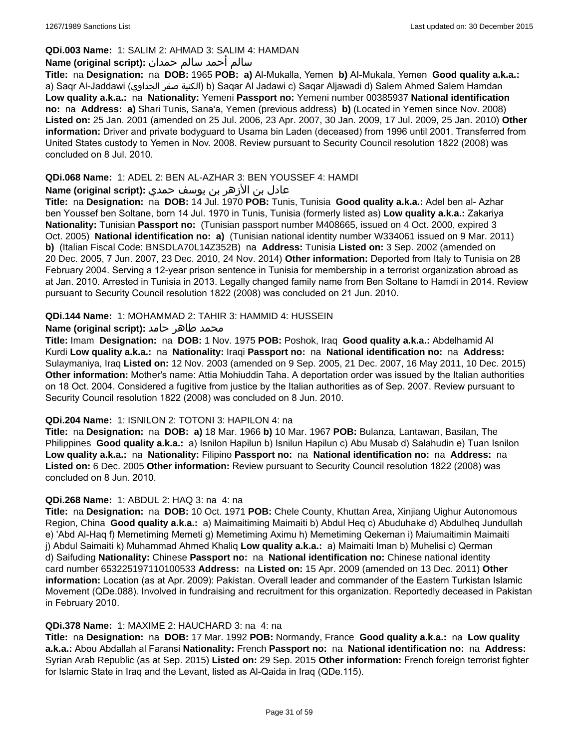# **QDi.003 Name:** 1: SALIM 2: AHMAD 3: SALIM 4: HAMDAN

### سالم أحمد سالم حمدان **:(script original (Name**

**Title:** na **Designation:** na **DOB:** 1965 **POB: a)** Al-Mukalla, Yemen **b)** AI-Mukala, Yemen **Good quality a.k.a.:**  a) Saqr Al-Jaddawi (الجداوي صقر الكنية (b) Saqar Al Jadawi c) Saqar Aljawadi d) Salem Ahmed Salem Hamdan **Low quality a.k.a.:** na **Nationality:** Yemeni **Passport no:** Yemeni number 00385937 **National identification no:** na **Address: a)** Shari Tunis, Sana'a, Yemen (previous address) **b)** (Located in Yemen since Nov. 2008) **Listed on:** 25 Jan. 2001 (amended on 25 Jul. 2006, 23 Apr. 2007, 30 Jan. 2009, 17 Jul. 2009, 25 Jan. 2010) **Other information:** Driver and private bodyguard to Usama bin Laden (deceased) from 1996 until 2001. Transferred from United States custody to Yemen in Nov. 2008. Review pursuant to Security Council resolution 1822 (2008) was concluded on 8 Jul. 2010.

### **QDi.068 Name:** 1: ADEL 2: BEN AL-AZHAR 3: BEN YOUSSEF 4: HAMDI

# عادل بن الأزهر بن يوسف حمدي **:(script original (Name**

**Title:** na **Designation:** na **DOB:** 14 Jul. 1970 **POB:** Tunis, Tunisia **Good quality a.k.a.:** Adel ben al- Azhar ben Youssef ben Soltane, born 14 Jul. 1970 in Tunis, Tunisia (formerly listed as) **Low quality a.k.a.:** Zakariya **Nationality:** Tunisian **Passport no:** (Tunisian passport number M408665, issued on 4 Oct. 2000, expired 3 Oct. 2005) **National identification no: a)** (Tunisian national identity number W334061 issued on 9 Mar. 2011) **b)** (Italian Fiscal Code: BNSDLA70L14Z352B) na **Address:** Tunisia **Listed on:** 3 Sep. 2002 (amended on 20 Dec. 2005, 7 Jun. 2007, 23 Dec. 2010, 24 Nov. 2014) **Other information:** Deported from Italy to Tunisia on 28 February 2004. Serving a 12-year prison sentence in Tunisia for membership in a terrorist organization abroad as at Jan. 2010. Arrested in Tunisia in 2013. Legally changed family name from Ben Soltane to Hamdi in 2014. Review pursuant to Security Council resolution 1822 (2008) was concluded on 21 Jun. 2010.

### **QDi.144 Name:** 1: MOHAMMAD 2: TAHIR 3: HAMMID 4: HUSSEIN

### محمد طاهر حامد **:**(Name (original script

**Title:** Imam **Designation:** na **DOB:** 1 Nov. 1975 **POB:** Poshok, Iraq **Good quality a.k.a.:** Abdelhamid Al Kurdi **Low quality a.k.a.:** na **Nationality:** Iraqi **Passport no:** na **National identification no:** na **Address:** Sulaymaniya, Iraq **Listed on:** 12 Nov. 2003 (amended on 9 Sep. 2005, 21 Dec. 2007, 16 May 2011, 10 Dec. 2015) **Other information:** Mother's name: Attia Mohiuddin Taha. A deportation order was issued by the Italian authorities on 18 Oct. 2004. Considered a fugitive from justice by the Italian authorities as of Sep. 2007. Review pursuant to Security Council resolution 1822 (2008) was concluded on 8 Jun. 2010.

### **QDi.204 Name:** 1: ISNILON 2: TOTONI 3: HAPILON 4: na

**Title:** na **Designation:** na **DOB: a)** 18 Mar. 1966 **b)** 10 Mar. 1967 **POB:** Bulanza, Lantawan, Basilan, The Philippines **Good quality a.k.a.:** a) Isnilon Hapilun b) Isnilun Hapilun c) Abu Musab d) Salahudin e) Tuan Isnilon **Low quality a.k.a.:** na **Nationality:** Filipino **Passport no:** na **National identification no:** na **Address:** na **Listed on:** 6 Dec. 2005 **Other information:** Review pursuant to Security Council resolution 1822 (2008) was concluded on 8 Jun. 2010.

### **QDi.268 Name:** 1: ABDUL 2: HAQ 3: na 4: na

**Title:** na **Designation:** na **DOB:** 10 Oct. 1971 **POB:** Chele County, Khuttan Area, Xinjiang Uighur Autonomous Region, China **Good quality a.k.a.:** a) Maimaitiming Maimaiti b) Abdul Heq c) Abuduhake d) Abdulheq Jundullah e) 'Abd Al-Haq f) Memetiming Memeti g) Memetiming Aximu h) Memetiming Qekeman i) Maiumaitimin Maimaiti j) Abdul Saimaiti k) Muhammad Ahmed Khaliq **Low quality a.k.a.:** a) Maimaiti Iman b) Muhelisi c) Qerman d) Saifuding **Nationality:** Chinese **Passport no:** na **National identification no:** Chinese national identity card number 653225197110100533 **Address:** na **Listed on:** 15 Apr. 2009 (amended on 13 Dec. 2011) **Other information:** Location (as at Apr. 2009): Pakistan. Overall leader and commander of the Eastern Turkistan Islamic Movement (QDe.088). Involved in fundraising and recruitment for this organization. Reportedly deceased in Pakistan in February 2010.

#### **QDi.378 Name:** 1: MAXIME 2: HAUCHARD 3: na 4: na

**Title:** na **Designation:** na **DOB:** 17 Mar. 1992 **POB:** Normandy, France **Good quality a.k.a.:** na **Low quality a.k.a.:** Abou Abdallah al Faransi **Nationality:** French **Passport no:** na **National identification no:** na **Address:** Syrian Arab Republic (as at Sep. 2015) **Listed on:** 29 Sep. 2015 **Other information:** French foreign terrorist fighter for Islamic State in Iraq and the Levant, listed as Al-Qaida in Iraq (QDe.115).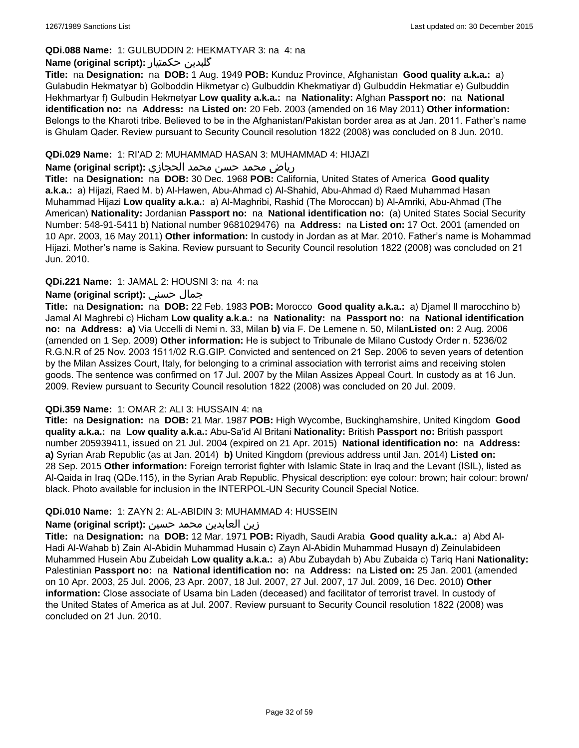### **QDi.088 Name:** 1: GULBUDDIN 2: HEKMATYAR 3: na 4: na

### **Name (original script):** حکمتیار گلبدین

**Title:** na **Designation:** na **DOB:** 1 Aug. 1949 **POB:** Kunduz Province, Afghanistan **Good quality a.k.a.:** a) Gulabudin Hekmatyar b) Golboddin Hikmetyar c) Gulbuddin Khekmatiyar d) Gulbuddin Hekmatiar e) Gulbuddin Hekhmartyar f) Gulbudin Hekmetyar **Low quality a.k.a.:** na **Nationality:** Afghan **Passport no:** na **National identification no:** na **Address:** na **Listed on:** 20 Feb. 2003 (amended on 16 May 2011) **Other information:** Belongs to the Kharoti tribe. Believed to be in the Afghanistan/Pakistan border area as at Jan. 2011. Father's name is Ghulam Qader. Review pursuant to Security Council resolution 1822 (2008) was concluded on 8 Jun. 2010.

### **QDi.029 Name:** 1: RI'AD 2: MUHAMMAD HASAN 3: MUHAMMAD 4: HIJAZI

### رياض محمد حسن محمد الحجازي **:(script original (Name**

**Title:** na **Designation:** na **DOB:** 30 Dec. 1968 **POB:** California, United States of America **Good quality a.k.a.:** a) Hijazi, Raed M. b) Al-Hawen, Abu-Ahmad c) Al-Shahid, Abu-Ahmad d) Raed Muhammad Hasan Muhammad Hijazi **Low quality a.k.a.:** a) Al-Maghribi, Rashid (The Moroccan) b) Al-Amriki, Abu-Ahmad (The American) **Nationality:** Jordanian **Passport no:** na **National identification no:** (a) United States Social Security Number: 548-91-5411 b) National number 9681029476) na **Address:** na **Listed on:** 17 Oct. 2001 (amended on 10 Apr. 2003, 16 May 2011) **Other information:** In custody in Jordan as at Mar. 2010. Father's name is Mohammad Hijazi. Mother's name is Sakina. Review pursuant to Security Council resolution 1822 (2008) was concluded on 21 Jun. 2010.

### **QDi.221 Name:** 1: JAMAL 2: HOUSNI 3: na 4: na

### **Name (original script):** حسني جمال

**Title:** na **Designation:** na **DOB:** 22 Feb. 1983 **POB:** Morocco **Good quality a.k.a.:** a) Djamel Il marocchino b) Jamal Al Maghrebi c) Hicham **Low quality a.k.a.:** na **Nationality:** na **Passport no:** na **National identification no:** na **Address: a)** Via Uccelli di Nemi n. 33, Milan **b)** via F. De Lemene n. 50, Milan**Listed on:** 2 Aug. 2006 (amended on 1 Sep. 2009) **Other information:** He is subject to Tribunale de Milano Custody Order n. 5236/02 R.G.N.R of 25 Nov. 2003 1511/02 R.G.GIP. Convicted and sentenced on 21 Sep. 2006 to seven years of detention by the Milan Assizes Court, Italy, for belonging to a criminal association with terrorist aims and receiving stolen goods. The sentence was confirmed on 17 Jul. 2007 by the Milan Assizes Appeal Court. In custody as at 16 Jun. 2009. Review pursuant to Security Council resolution 1822 (2008) was concluded on 20 Jul. 2009.

### **QDi.359 Name:** 1: OMAR 2: ALI 3: HUSSAIN 4: na

**Title:** na **Designation:** na **DOB:** 21 Mar. 1987 **POB:** High Wycombe, Buckinghamshire, United Kingdom **Good quality a.k.a.:** na **Low quality a.k.a.:** Abu-Sa'id Al Britani **Nationality:** British **Passport no:** British passport number 205939411, issued on 21 Jul. 2004 (expired on 21 Apr. 2015) **National identification no:** na **Address: a)** Syrian Arab Republic (as at Jan. 2014) **b)** United Kingdom (previous address until Jan. 2014) **Listed on:** 28 Sep. 2015 **Other information:** Foreign terrorist fighter with Islamic State in Iraq and the Levant (ISIL), listed as Al-Qaida in Iraq (QDe.115), in the Syrian Arab Republic. Physical description: eye colour: brown; hair colour: brown/ black. Photo available for inclusion in the INTERPOL-UN Security Council Special Notice.

### **QDi.010 Name:** 1: ZAYN 2: AL-ABIDIN 3: MUHAMMAD 4: HUSSEIN

### زين العابدين محمد حسين **:(script original (Name**

**Title:** na **Designation:** na **DOB:** 12 Mar. 1971 **POB:** Riyadh, Saudi Arabia **Good quality a.k.a.:** a) Abd Al-Hadi Al-Wahab b) Zain Al-Abidin Muhammad Husain c) Zayn Al-Abidin Muhammad Husayn d) Zeinulabideen Muhammed Husein Abu Zubeidah **Low quality a.k.a.:** a) Abu Zubaydah b) Abu Zubaida c) Tariq Hani **Nationality:** Palestinian **Passport no:** na **National identification no:** na **Address:** na **Listed on:** 25 Jan. 2001 (amended on 10 Apr. 2003, 25 Jul. 2006, 23 Apr. 2007, 18 Jul. 2007, 27 Jul. 2007, 17 Jul. 2009, 16 Dec. 2010) **Other information:** Close associate of Usama bin Laden (deceased) and facilitator of terrorist travel. In custody of the United States of America as at Jul. 2007. Review pursuant to Security Council resolution 1822 (2008) was concluded on 21 Jun. 2010.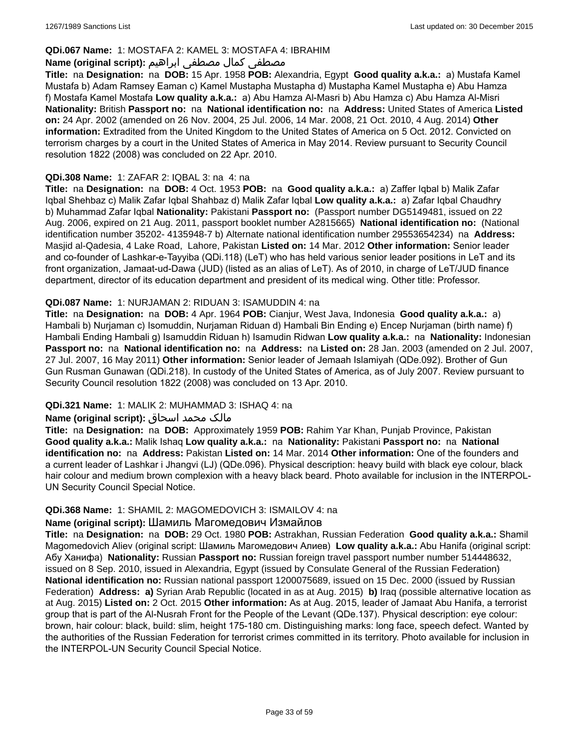### **QDi.067 Name:** 1: MOSTAFA 2: KAMEL 3: MOSTAFA 4: IBRAHIM

### مصطفى كمال مصطفى ابراهيم **:Name (original script**)

**Title:** na **Designation:** na **DOB:** 15 Apr. 1958 **POB:** Alexandria, Egypt **Good quality a.k.a.:** a) Mustafa Kamel Mustafa b) Adam Ramsey Eaman c) Kamel Mustapha Mustapha d) Mustapha Kamel Mustapha e) Abu Hamza f) Mostafa Kamel Mostafa **Low quality a.k.a.:** a) Abu Hamza Al-Masri b) Abu Hamza c) Abu Hamza Al-Misri **Nationality:** British **Passport no:** na **National identification no:** na **Address:** United States of America **Listed on:** 24 Apr. 2002 (amended on 26 Nov. 2004, 25 Jul. 2006, 14 Mar. 2008, 21 Oct. 2010, 4 Aug. 2014) **Other information:** Extradited from the United Kingdom to the United States of America on 5 Oct. 2012. Convicted on terrorism charges by a court in the United States of America in May 2014. Review pursuant to Security Council resolution 1822 (2008) was concluded on 22 Apr. 2010.

### **QDi.308 Name:** 1: ZAFAR 2: IQBAL 3: na 4: na

**Title:** na **Designation:** na **DOB:** 4 Oct. 1953 **POB:** na **Good quality a.k.a.:** a) Zaffer Iqbal b) Malik Zafar Iqbal Shehbaz c) Malik Zafar Iqbal Shahbaz d) Malik Zafar Iqbal **Low quality a.k.a.:** a) Zafar Iqbal Chaudhry b) Muhammad Zafar Iqbal **Nationality:** Pakistani **Passport no:** (Passport number DG5149481, issued on 22 Aug. 2006, expired on 21 Aug. 2011, passport booklet number A2815665) **National identification no:** (National identification number 35202- 4135948-7 b) Alternate national identification number 29553654234) na **Address:** Masjid al-Qadesia, 4 Lake Road, Lahore, Pakistan **Listed on:** 14 Mar. 2012 **Other information:** Senior leader and co-founder of Lashkar-e-Tayyiba (QDi.118) (LeT) who has held various senior leader positions in LeT and its front organization, Jamaat-ud-Dawa (JUD) (listed as an alias of LeT). As of 2010, in charge of LeT/JUD finance department, director of its education department and president of its medical wing. Other title: Professor.

### **QDi.087 Name:** 1: NURJAMAN 2: RIDUAN 3: ISAMUDDIN 4: na

**Title:** na **Designation:** na **DOB:** 4 Apr. 1964 **POB:** Cianjur, West Java, Indonesia **Good quality a.k.a.:** a) Hambali b) Nurjaman c) Isomuddin, Nurjaman Riduan d) Hambali Bin Ending e) Encep Nurjaman (birth name) f) Hambali Ending Hambali g) Isamuddin Riduan h) Isamudin Ridwan **Low quality a.k.a.:** na **Nationality:** Indonesian **Passport no:** na **National identification no:** na **Address:** na **Listed on:** 28 Jan. 2003 (amended on 2 Jul. 2007, 27 Jul. 2007, 16 May 2011) **Other information:** Senior leader of Jemaah Islamiyah (QDe.092). Brother of Gun Gun Rusman Gunawan (QDi.218). In custody of the United States of America, as of July 2007. Review pursuant to Security Council resolution 1822 (2008) was concluded on 13 Apr. 2010.

### **QDi.321 Name:** 1: MALIK 2: MUHAMMAD 3: ISHAQ 4: na

#### مالک محمد اسحاق : Name (original script)

**Title:** na **Designation:** na **DOB:** Approximately 1959 **POB:** Rahim Yar Khan, Punjab Province, Pakistan **Good quality a.k.a.:** Malik Ishaq **Low quality a.k.a.:** na **Nationality:** Pakistani **Passport no:** na **National identification no:** na **Address:** Pakistan **Listed on:** 14 Mar. 2014 **Other information:** One of the founders and a current leader of Lashkar i Jhangvi (LJ) (QDe.096). Physical description: heavy build with black eye colour, black hair colour and medium brown complexion with a heavy black beard. Photo available for inclusion in the INTERPOL-UN Security Council Special Notice.

#### **QDi.368 Name:** 1: SHAMIL 2: MAGOMEDOVICH 3: ISMAILOV 4: na

# **Name (original script):** Шамиль Магомедович Измайлов

**Title:** na **Designation:** na **DOB:** 29 Oct. 1980 **POB:** Astrakhan, Russian Federation **Good quality a.k.a.:** Shamil Magomedovich Aliev (original script: Шамиль Магомедович Алиев) **Low quality a.k.a.:** Abu Hanifa (original script: Абу Ханифа) **Nationality:** Russian **Passport no:** Russian foreign travel passport number number 514448632, issued on 8 Sep. 2010, issued in Alexandria, Egypt (issued by Consulate General of the Russian Federation) **National identification no:** Russian national passport 1200075689, issued on 15 Dec. 2000 (issued by Russian Federation) **Address: a)** Syrian Arab Republic (located in as at Aug. 2015) **b)** Iraq (possible alternative location as at Aug. 2015) **Listed on:** 2 Oct. 2015 **Other information:** As at Aug. 2015, leader of Jamaat Abu Hanifa, a terrorist group that is part of the Al-Nusrah Front for the People of the Levant (QDe.137). Physical description: eye colour: brown, hair colour: black, build: slim, height 175-180 cm. Distinguishing marks: long face, speech defect. Wanted by the authorities of the Russian Federation for terrorist crimes committed in its territory. Photo available for inclusion in the INTERPOL-UN Security Council Special Notice.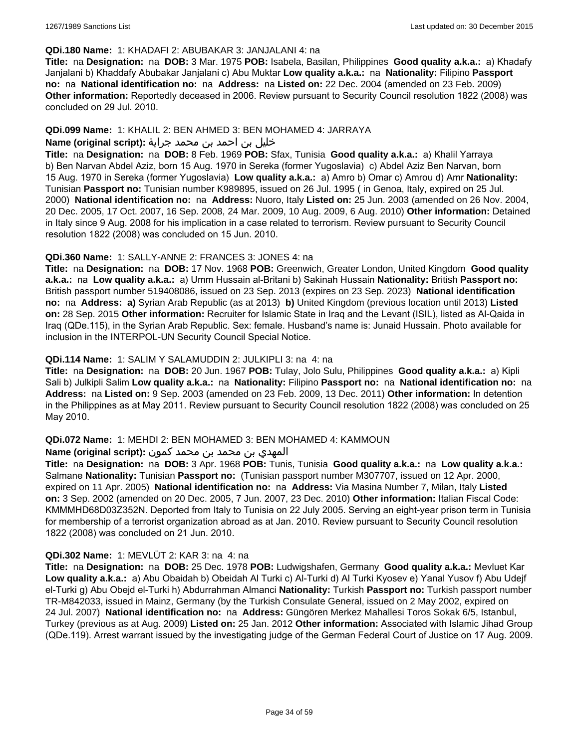#### **QDi.180 Name:** 1: KHADAFI 2: ABUBAKAR 3: JANJALANI 4: na

**Title:** na **Designation:** na **DOB:** 3 Mar. 1975 **POB:** Isabela, Basilan, Philippines **Good quality a.k.a.:** a) Khadafy Janjalani b) Khaddafy Abubakar Janjalani c) Abu Muktar **Low quality a.k.a.:** na **Nationality:** Filipino **Passport no:** na **National identification no:** na **Address:** na **Listed on:** 22 Dec. 2004 (amended on 23 Feb. 2009) **Other information:** Reportedly deceased in 2006. Review pursuant to Security Council resolution 1822 (2008) was concluded on 29 Jul. 2010.

### **QDi.099 Name:** 1: KHALIL 2: BEN AHMED 3: BEN MOHAMED 4: JARRAYA

# خليل بن احمد بن محمد جراية **:(script original (Name**

**Title:** na **Designation:** na **DOB:** 8 Feb. 1969 **POB:** Sfax, Tunisia **Good quality a.k.a.:** a) Khalil Yarraya b) Ben Narvan Abdel Aziz, born 15 Aug. 1970 in Sereka (former Yugoslavia) c) Abdel Aziz Ben Narvan, born 15 Aug. 1970 in Sereka (former Yugoslavia) **Low quality a.k.a.:** a) Amro b) Omar c) Amrou d) Amr **Nationality:** Tunisian **Passport no:** Tunisian number K989895, issued on 26 Jul. 1995 ( in Genoa, Italy, expired on 25 Jul. 2000) **National identification no:** na **Address:** Nuoro, Italy **Listed on:** 25 Jun. 2003 (amended on 26 Nov. 2004, 20 Dec. 2005, 17 Oct. 2007, 16 Sep. 2008, 24 Mar. 2009, 10 Aug. 2009, 6 Aug. 2010) **Other information:** Detained in Italy since 9 Aug. 2008 for his implication in a case related to terrorism. Review pursuant to Security Council resolution 1822 (2008) was concluded on 15 Jun. 2010.

### **QDi.360 Name:** 1: SALLY-ANNE 2: FRANCES 3: JONES 4: na

**Title:** na **Designation:** na **DOB:** 17 Nov. 1968 **POB:** Greenwich, Greater London, United Kingdom **Good quality a.k.a.:** na **Low quality a.k.a.:** a) Umm Hussain al-Britani b) Sakinah Hussain **Nationality:** British **Passport no:** British passport number 519408086, issued on 23 Sep. 2013 (expires on 23 Sep. 2023) **National identification no:** na **Address: a)** Syrian Arab Republic (as at 2013) **b)** United Kingdom (previous location until 2013) **Listed on:** 28 Sep. 2015 **Other information:** Recruiter for Islamic State in Iraq and the Levant (ISIL), listed as Al-Qaida in Iraq (QDe.115), in the Syrian Arab Republic. Sex: female. Husband's name is: Junaid Hussain. Photo available for inclusion in the INTERPOL-UN Security Council Special Notice.

### **QDi.114 Name:** 1: SALIM Y SALAMUDDIN 2: JULKIPLI 3: na 4: na

**Title:** na **Designation:** na **DOB:** 20 Jun. 1967 **POB:** Tulay, Jolo Sulu, Philippines **Good quality a.k.a.:** a) Kipli Sali b) Julkipli Salim **Low quality a.k.a.:** na **Nationality:** Filipino **Passport no:** na **National identification no:** na **Address:** na **Listed on:** 9 Sep. 2003 (amended on 23 Feb. 2009, 13 Dec. 2011) **Other information:** In detention in the Philippines as at May 2011. Review pursuant to Security Council resolution 1822 (2008) was concluded on 25 May 2010.

### **QDi.072 Name:** 1: MEHDI 2: BEN MOHAMED 3: BEN MOHAMED 4: KAMMOUN

#### المهدي بن محمد بن محمد كمون **:(script original (Name**

**Title:** na **Designation:** na **DOB:** 3 Apr. 1968 **POB:** Tunis, Tunisia **Good quality a.k.a.:** na **Low quality a.k.a.:** Salmane **Nationality:** Tunisian **Passport no:** (Tunisian passport number M307707, issued on 12 Apr. 2000, expired on 11 Apr. 2005) **National identification no:** na **Address:** Via Masina Number 7, Milan, Italy **Listed on:** 3 Sep. 2002 (amended on 20 Dec. 2005, 7 Jun. 2007, 23 Dec. 2010) **Other information:** Italian Fiscal Code: KMMMHD68D03Z352N. Deported from Italy to Tunisia on 22 July 2005. Serving an eight-year prison term in Tunisia for membership of a terrorist organization abroad as at Jan. 2010. Review pursuant to Security Council resolution 1822 (2008) was concluded on 21 Jun. 2010.

### **QDi.302 Name:** 1: MEVLÜT 2: KAR 3: na 4: na

**Title:** na **Designation:** na **DOB:** 25 Dec. 1978 **POB:** Ludwigshafen, Germany **Good quality a.k.a.:** Mevluet Kar **Low quality a.k.a.:** a) Abu Obaidah b) Obeidah Al Turki c) Al-Turki d) Al Turki Kyosev e) Yanal Yusov f) Abu Udejf el-Turki g) Abu Obejd el-Turki h) Abdurrahman Almanci **Nationality:** Turkish **Passport no:** Turkish passport number TR-M842033, issued in Mainz, Germany (by the Turkish Consulate General, issued on 2 May 2002, expired on 24 Jul. 2007) **National identification no:** na **Address:** Güngören Merkez Mahallesi Toros Sokak 6/5, Istanbul, Turkey (previous as at Aug. 2009) **Listed on:** 25 Jan. 2012 **Other information:** Associated with Islamic Jihad Group (QDe.119). Arrest warrant issued by the investigating judge of the German Federal Court of Justice on 17 Aug. 2009.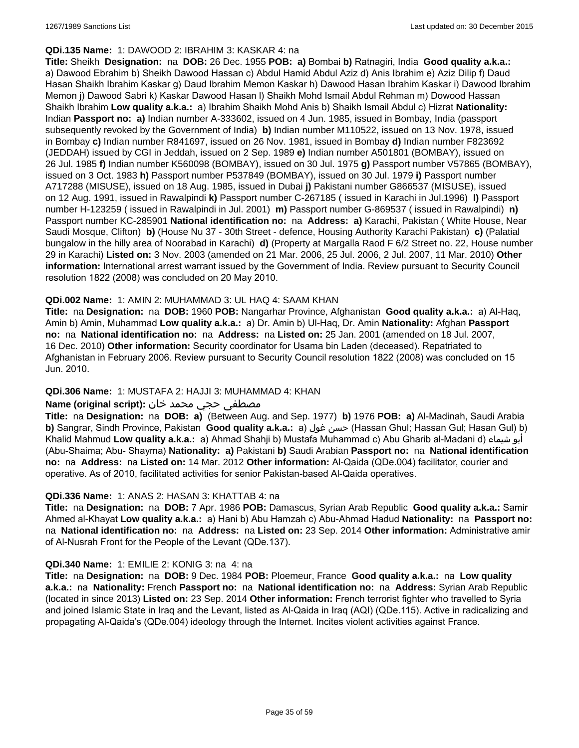#### **QDi.135 Name:** 1: DAWOOD 2: IBRAHIM 3: KASKAR 4: na

**Title:** Sheikh **Designation:** na **DOB:** 26 Dec. 1955 **POB: a)** Bombai **b)** Ratnagiri, India **Good quality a.k.a.:**  a) Dawood Ebrahim b) Sheikh Dawood Hassan c) Abdul Hamid Abdul Aziz d) Anis Ibrahim e) Aziz Dilip f) Daud Hasan Shaikh Ibrahim Kaskar g) Daud Ibrahim Memon Kaskar h) Dawood Hasan Ibrahim Kaskar i) Dawood Ibrahim Memon j) Dawood Sabri k) Kaskar Dawood Hasan l) Shaikh Mohd Ismail Abdul Rehman m) Dowood Hassan Shaikh Ibrahim **Low quality a.k.a.:** a) Ibrahim Shaikh Mohd Anis b) Shaikh Ismail Abdul c) Hizrat **Nationality:** Indian **Passport no: a)** Indian number A-333602, issued on 4 Jun. 1985, issued in Bombay, India (passport subsequently revoked by the Government of India) **b)** Indian number M110522, issued on 13 Nov. 1978, issued in Bombay **c)** Indian number R841697, issued on 26 Nov. 1981, issued in Bombay **d)** Indian number F823692 (JEDDAH) issued by CGI in Jeddah, issued on 2 Sep. 1989 **e)** Indian number A501801 (BOMBAY), issued on 26 Jul. 1985 **f)** Indian number K560098 (BOMBAY), issued on 30 Jul. 1975 **g)** Passport number V57865 (BOMBAY), issued on 3 Oct. 1983 **h)** Passport number P537849 (BOMBAY), issued on 30 Jul. 1979 **i)** Passport number A717288 (MISUSE), issued on 18 Aug. 1985, issued in Dubai **j)** Pakistani number G866537 (MISUSE), issued on 12 Aug. 1991, issued in Rawalpindi **k)** Passport number C-267185 ( issued in Karachi in Jul.1996) **l)** Passport number H-123259 ( issued in Rawalpindi in Jul. 2001) **m)** Passport number G-869537 ( issued in Rawalpindi) **n)** Passport number KC-285901 **National identification no:** na **Address: a)** Karachi, Pakistan ( White House, Near Saudi Mosque, Clifton) **b)** (House Nu 37 - 30th Street - defence, Housing Authority Karachi Pakistan) **c)** (Palatial bungalow in the hilly area of Noorabad in Karachi) **d)** (Property at Margalla Raod F 6/2 Street no. 22, House number 29 in Karachi) **Listed on:** 3 Nov. 2003 (amended on 21 Mar. 2006, 25 Jul. 2006, 2 Jul. 2007, 11 Mar. 2010) **Other information:** International arrest warrant issued by the Government of India. Review pursuant to Security Council resolution 1822 (2008) was concluded on 20 May 2010.

### **QDi.002 Name:** 1: AMIN 2: MUHAMMAD 3: UL HAQ 4: SAAM KHAN

**Title:** na **Designation:** na **DOB:** 1960 **POB:** Nangarhar Province, Afghanistan **Good quality a.k.a.:** a) Al-Haq, Amin b) Amin, Muhammad **Low quality a.k.a.:** a) Dr. Amin b) Ul-Haq, Dr. Amin **Nationality:** Afghan **Passport no:** na **National identification no:** na **Address:** na **Listed on:** 25 Jan. 2001 (amended on 18 Jul. 2007, 16 Dec. 2010) **Other information:** Security coordinator for Usama bin Laden (deceased). Repatriated to Afghanistan in February 2006. Review pursuant to Security Council resolution 1822 (2008) was concluded on 15 Jun. 2010.

### **QDi.306 Name:** 1: MUSTAFA 2: HAJJI 3: MUHAMMAD 4: KHAN

### مصطفى حجي محمد خان **:**Name (original script)

**Title:** na **Designation:** na **DOB: a)** (Between Aug. and Sep. 1977) **b)** 1976 **POB: a)** Al-Madinah, Saudi Arabia **b)** Sangrar, Sindh Province, Pakistan Good quality a.k.a.: a) حسن غول (Hassan Ghul; Hassan Gul; Hasan Gul) b) Khalid Mahmud **Low quality a.k.a.:** a) Ahmad Shahji b) Mustafa Muhammad c) Abu Gharib al-Madani d) شيماء أبو (Abu-Shaima; Abu- Shayma) **Nationality: a)** Pakistani **b)** Saudi Arabian **Passport no:** na **National identification no:** na **Address:** na **Listed on:** 14 Mar. 2012 **Other information:** Al-Qaida (QDe.004) facilitator, courier and operative. As of 2010, facilitated activities for senior Pakistan-based Al-Qaida operatives.

#### **QDi.336 Name:** 1: ANAS 2: HASAN 3: KHATTAB 4: na

**Title:** na **Designation:** na **DOB:** 7 Apr. 1986 **POB:** Damascus, Syrian Arab Republic **Good quality a.k.a.:** Samir Ahmed al-Khayat **Low quality a.k.a.:** a) Hani b) Abu Hamzah c) Abu-Ahmad Hadud **Nationality:** na **Passport no:** na **National identification no:** na **Address:** na **Listed on:** 23 Sep. 2014 **Other information:** Administrative amir of Al-Nusrah Front for the People of the Levant (QDe.137).

#### **QDi.340 Name:** 1: EMILIE 2: KONIG 3: na 4: na

**Title:** na **Designation:** na **DOB:** 9 Dec. 1984 **POB:** Ploemeur, France **Good quality a.k.a.:** na **Low quality a.k.a.:** na **Nationality:** French **Passport no:** na **National identification no:** na **Address:** Syrian Arab Republic (located in since 2013) **Listed on:** 23 Sep. 2014 **Other information:** French terrorist fighter who travelled to Syria and joined Islamic State in Iraq and the Levant, listed as Al-Qaida in Iraq (AQI) (QDe.115). Active in radicalizing and propagating Al-Qaida's (QDe.004) ideology through the Internet. Incites violent activities against France.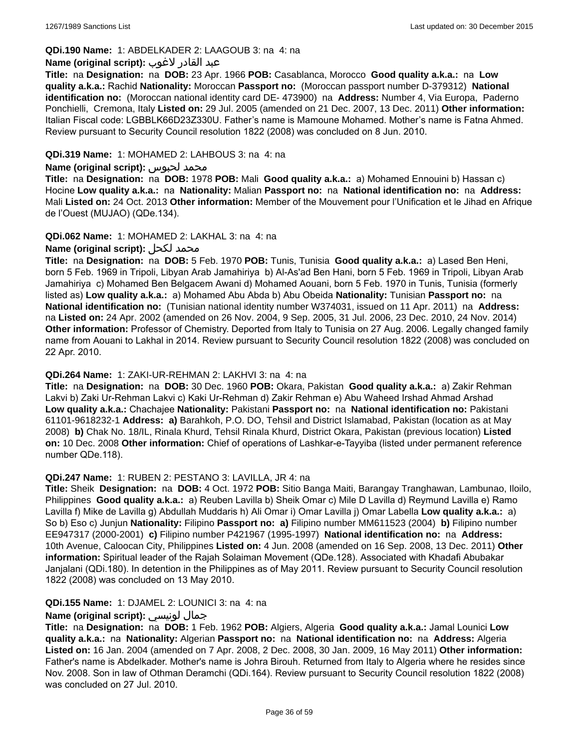## **QDi.190 Name:** 1: ABDELKADER 2: LAAGOUB 3: na 4: na

#### عبد القادر لاغوب **:(script original (Name**

**Title:** na **Designation:** na **DOB:** 23 Apr. 1966 **POB:** Casablanca, Morocco **Good quality a.k.a.:** na **Low quality a.k.a.:** Rachid **Nationality:** Moroccan **Passport no:** (Moroccan passport number D-379312) **National identification no:** (Moroccan national identity card DE- 473900) na **Address:** Number 4, Via Europa, Paderno Ponchielli, Cremona, Italy **Listed on:** 29 Jul. 2005 (amended on 21 Dec. 2007, 13 Dec. 2011) **Other information:** Italian Fiscal code: LGBBLK66D23Z330U. Father's name is Mamoune Mohamed. Mother's name is Fatna Ahmed. Review pursuant to Security Council resolution 1822 (2008) was concluded on 8 Jun. 2010.

### **QDi.319 Name:** 1: MOHAMED 2: LAHBOUS 3: na 4: na

#### **Name (original script):** لحبوس محمد

**Title:** na **Designation:** na **DOB:** 1978 **POB:** Mali **Good quality a.k.a.:** a) Mohamed Ennouini b) Hassan c) Hocine **Low quality a.k.a.:** na **Nationality:** Malian **Passport no:** na **National identification no:** na **Address:** Mali **Listed on:** 24 Oct. 2013 **Other information:** Member of the Mouvement pour l'Unification et le Jihad en Afrique de l'Ouest (MUJAO) (QDe.134).

### **QDi.062 Name:** 1: MOHAMED 2: LAKHAL 3: na 4: na

# **Name (original script):** لكحل محمد

**Title:** na **Designation:** na **DOB:** 5 Feb. 1970 **POB:** Tunis, Tunisia **Good quality a.k.a.:** a) Lased Ben Heni, born 5 Feb. 1969 in Tripoli, Libyan Arab Jamahiriya b) Al-As'ad Ben Hani, born 5 Feb. 1969 in Tripoli, Libyan Arab Jamahiriya c) Mohamed Ben Belgacem Awani d) Mohamed Aouani, born 5 Feb. 1970 in Tunis, Tunisia (formerly listed as) **Low quality a.k.a.:** a) Mohamed Abu Abda b) Abu Obeida **Nationality:** Tunisian **Passport no:** na **National identification no:** (Tunisian national identity number W374031, issued on 11 Apr. 2011) na **Address:**  na **Listed on:** 24 Apr. 2002 (amended on 26 Nov. 2004, 9 Sep. 2005, 31 Jul. 2006, 23 Dec. 2010, 24 Nov. 2014) **Other information:** Professor of Chemistry. Deported from Italy to Tunisia on 27 Aug. 2006. Legally changed family name from Aouani to Lakhal in 2014. Review pursuant to Security Council resolution 1822 (2008) was concluded on 22 Apr. 2010.

#### **QDi.264 Name:** 1: ZAKI-UR-REHMAN 2: LAKHVI 3: na 4: na

**Title:** na **Designation:** na **DOB:** 30 Dec. 1960 **POB:** Okara, Pakistan **Good quality a.k.a.:** a) Zakir Rehman Lakvi b) Zaki Ur-Rehman Lakvi c) Kaki Ur-Rehman d) Zakir Rehman e) Abu Waheed Irshad Ahmad Arshad **Low quality a.k.a.:** Chachajee **Nationality:** Pakistani **Passport no:** na **National identification no:** Pakistani 61101-9618232-1 **Address: a)** Barahkoh, P.O. DO, Tehsil and District Islamabad, Pakistan (location as at May 2008) **b)** Chak No. 18/IL, Rinala Khurd, Tehsil Rinala Khurd, District Okara, Pakistan (previous location) **Listed on:** 10 Dec. 2008 **Other information:** Chief of operations of Lashkar-e-Tayyiba (listed under permanent reference number QDe.118).

#### **QDi.247 Name:** 1: RUBEN 2: PESTANO 3: LAVILLA, JR 4: na

**Title:** Sheik **Designation:** na **DOB:** 4 Oct. 1972 **POB:** Sitio Banga Maiti, Barangay Tranghawan, Lambunao, Iloilo, Philippines **Good quality a.k.a.:** a) Reuben Lavilla b) Sheik Omar c) Mile D Lavilla d) Reymund Lavilla e) Ramo Lavilla f) Mike de Lavilla g) Abdullah Muddaris h) Ali Omar i) Omar Lavilla j) Omar Labella **Low quality a.k.a.:** a) So b) Eso c) Junjun **Nationality:** Filipino **Passport no: a)** Filipino number MM611523 (2004) **b)** Filipino number EE947317 (2000-2001) **c)** Filipino number P421967 (1995-1997) **National identification no:** na **Address:** 10th Avenue, Caloocan City, Philippines **Listed on:** 4 Jun. 2008 (amended on 16 Sep. 2008, 13 Dec. 2011) **Other information:** Spiritual leader of the Rajah Solaiman Movement (QDe.128). Associated with Khadafi Abubakar Janjalani (QDi.180). In detention in the Philippines as of May 2011. Review pursuant to Security Council resolution 1822 (2008) was concluded on 13 May 2010.

### **QDi.155 Name:** 1: DJAMEL 2: LOUNICI 3: na 4: na

### **Name (original script):** لونيسي جمال

**Title:** na **Designation:** na **DOB:** 1 Feb. 1962 **POB:** Algiers, Algeria **Good quality a.k.a.:** Jamal Lounici **Low quality a.k.a.:** na **Nationality:** Algerian **Passport no:** na **National identification no:** na **Address:** Algeria **Listed on:** 16 Jan. 2004 (amended on 7 Apr. 2008, 2 Dec. 2008, 30 Jan. 2009, 16 May 2011) **Other information:** Father's name is Abdelkader. Mother's name is Johra Birouh. Returned from Italy to Algeria where he resides since Nov. 2008. Son in law of Othman Deramchi (QDi.164). Review pursuant to Security Council resolution 1822 (2008) was concluded on 27 Jul. 2010.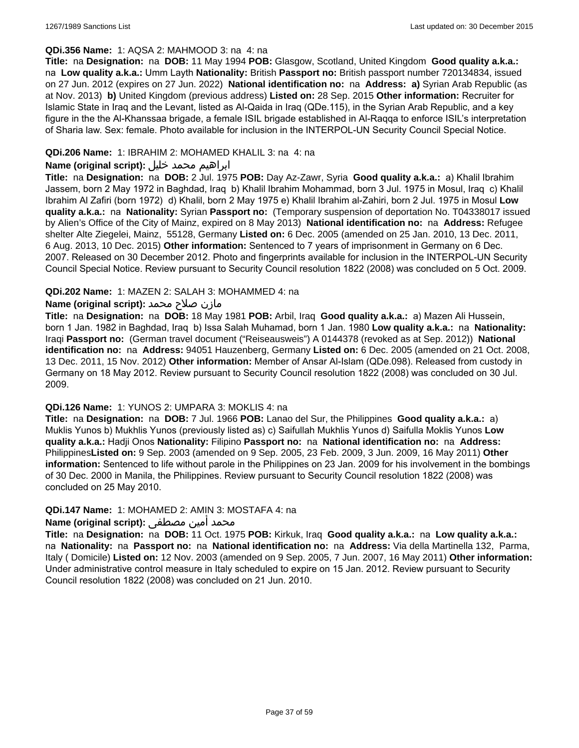### **QDi.356 Name:** 1: AQSA 2: MAHMOOD 3: na 4: na

**Title:** na **Designation:** na **DOB:** 11 May 1994 **POB:** Glasgow, Scotland, United Kingdom **Good quality a.k.a.:**  na **Low quality a.k.a.:** Umm Layth **Nationality:** British **Passport no:** British passport number 720134834, issued on 27 Jun. 2012 (expires on 27 Jun. 2022) **National identification no:** na **Address: a)** Syrian Arab Republic (as at Nov. 2013) **b)** United Kingdom (previous address) **Listed on:** 28 Sep. 2015 **Other information:** Recruiter for Islamic State in Iraq and the Levant, listed as Al-Qaida in Iraq (QDe.115), in the Syrian Arab Republic, and a key figure in the the Al-Khanssaa brigade, a female ISIL brigade established in Al-Raqqa to enforce ISIL's interpretation of Sharia law. Sex: female. Photo available for inclusion in the INTERPOL-UN Security Council Special Notice.

### **QDi.206 Name:** 1: IBRAHIM 2: MOHAMED KHALIL 3: na 4: na

### ابراهيم محمد خليل **:(script original (Name**

**Title:** na **Designation:** na **DOB:** 2 Jul. 1975 **POB:** Day Az-Zawr, Syria **Good quality a.k.a.:** a) Khalil Ibrahim Jassem, born 2 May 1972 in Baghdad, Iraq b) Khalil Ibrahim Mohammad, born 3 Jul. 1975 in Mosul, Iraq c) Khalil Ibrahim Al Zafiri (born 1972) d) Khalil, born 2 May 1975 e) Khalil Ibrahim al-Zahiri, born 2 Jul. 1975 in Mosul **Low quality a.k.a.:** na **Nationality:** Syrian **Passport no:** (Temporary suspension of deportation No. T04338017 issued by Alien's Office of the City of Mainz, expired on 8 May 2013) **National identification no:** na **Address:** Refugee shelter Alte Ziegelei, Mainz, 55128, Germany **Listed on:** 6 Dec. 2005 (amended on 25 Jan. 2010, 13 Dec. 2011, 6 Aug. 2013, 10 Dec. 2015) **Other information:** Sentenced to 7 years of imprisonment in Germany on 6 Dec. 2007. Released on 30 December 2012. Photo and fingerprints available for inclusion in the INTERPOL-UN Security Council Special Notice. Review pursuant to Security Council resolution 1822 (2008) was concluded on 5 Oct. 2009.

### **QDi.202 Name:** 1: MAZEN 2: SALAH 3: MOHAMMED 4: na

## مازن صلاح محمد **:Name (original script)**

**Title:** na **Designation:** na **DOB:** 18 May 1981 **POB:** Arbil, Iraq **Good quality a.k.a.:** a) Mazen Ali Hussein, born 1 Jan. 1982 in Baghdad, Iraq b) Issa Salah Muhamad, born 1 Jan. 1980 **Low quality a.k.a.:** na **Nationality:** Iraqi **Passport no:** (German travel document ("Reiseausweis") A 0144378 (revoked as at Sep. 2012)) **National identification no:** na **Address:** 94051 Hauzenberg, Germany **Listed on:** 6 Dec. 2005 (amended on 21 Oct. 2008, 13 Dec. 2011, 15 Nov. 2012) **Other information:** Member of Ansar Al-Islam (QDe.098). Released from custody in Germany on 18 May 2012. Review pursuant to Security Council resolution 1822 (2008) was concluded on 30 Jul. 2009.

#### **QDi.126 Name:** 1: YUNOS 2: UMPARA 3: MOKLIS 4: na

**Title:** na **Designation:** na **DOB:** 7 Jul. 1966 **POB:** Lanao del Sur, the Philippines **Good quality a.k.a.:** a) Muklis Yunos b) Mukhlis Yunos (previously listed as) c) Saifullah Mukhlis Yunos d) Saifulla Moklis Yunos **Low quality a.k.a.:** Hadji Onos **Nationality:** Filipino **Passport no:** na **National identification no:** na **Address:** Philippines**Listed on:** 9 Sep. 2003 (amended on 9 Sep. 2005, 23 Feb. 2009, 3 Jun. 2009, 16 May 2011) **Other information:** Sentenced to life without parole in the Philippines on 23 Jan. 2009 for his involvement in the bombings of 30 Dec. 2000 in Manila, the Philippines. Review pursuant to Security Council resolution 1822 (2008) was concluded on 25 May 2010.

#### **QDi.147 Name:** 1: MOHAMED 2: AMIN 3: MOSTAFA 4: na

### محمد أمين مصطفى :**(Name (original script**

**Title:** na **Designation:** na **DOB:** 11 Oct. 1975 **POB:** Kirkuk, Iraq **Good quality a.k.a.:** na **Low quality a.k.a.:**  na **Nationality:** na **Passport no:** na **National identification no:** na **Address:** Via della Martinella 132, Parma, Italy ( Domicile) **Listed on:** 12 Nov. 2003 (amended on 9 Sep. 2005, 7 Jun. 2007, 16 May 2011) **Other information:** Under administrative control measure in Italy scheduled to expire on 15 Jan. 2012. Review pursuant to Security Council resolution 1822 (2008) was concluded on 21 Jun. 2010.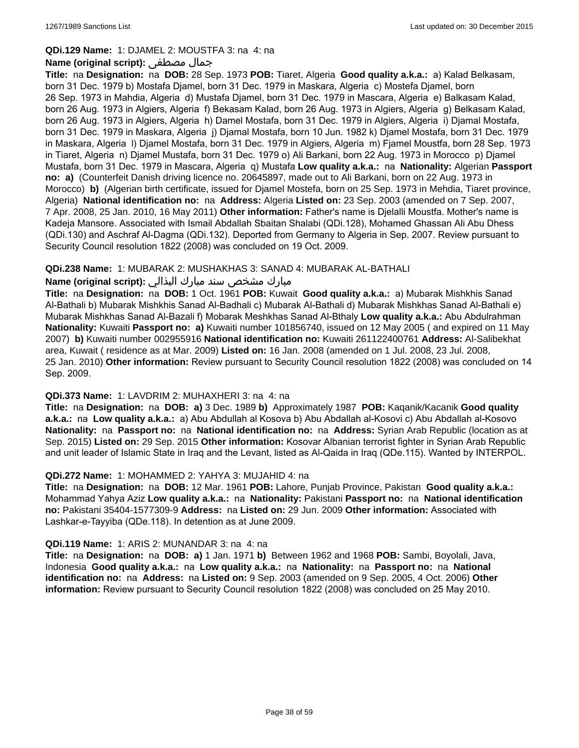#### **QDi.129 Name:** 1: DJAMEL 2: MOUSTFA 3: na 4: na

#### **Name (original script):** مصطفى جمال

**Title:** na **Designation:** na **DOB:** 28 Sep. 1973 **POB:** Tiaret, Algeria **Good quality a.k.a.:** a) Kalad Belkasam, born 31 Dec. 1979 b) Mostafa Djamel, born 31 Dec. 1979 in Maskara, Algeria c) Mostefa Djamel, born 26 Sep. 1973 in Mahdia, Algeria d) Mustafa Djamel, born 31 Dec. 1979 in Mascara, Algeria e) Balkasam Kalad, born 26 Aug. 1973 in Algiers, Algeria f) Bekasam Kalad, born 26 Aug. 1973 in Algiers, Algeria g) Belkasam Kalad, born 26 Aug. 1973 in Algiers, Algeria h) Damel Mostafa, born 31 Dec. 1979 in Algiers, Algeria i) Djamal Mostafa, born 31 Dec. 1979 in Maskara, Algeria j) Djamal Mostafa, born 10 Jun. 1982 k) Djamel Mostafa, born 31 Dec. 1979 in Maskara, Algeria l) Djamel Mostafa, born 31 Dec. 1979 in Algiers, Algeria m) Fjamel Moustfa, born 28 Sep. 1973 in Tiaret, Algeria n) Djamel Mustafa, born 31 Dec. 1979 o) Ali Barkani, born 22 Aug. 1973 in Morocco p) Djamel Mustafa, born 31 Dec. 1979 in Mascara, Algeria q) Mustafa **Low quality a.k.a.:** na **Nationality:** Algerian **Passport no: a)** (Counterfeit Danish driving licence no. 20645897, made out to Ali Barkani, born on 22 Aug. 1973 in Morocco) **b)** (Algerian birth certificate, issued for Djamel Mostefa, born on 25 Sep. 1973 in Mehdia, Tiaret province, Algeria) **National identification no:** na **Address:** Algeria **Listed on:** 23 Sep. 2003 (amended on 7 Sep. 2007, 7 Apr. 2008, 25 Jan. 2010, 16 May 2011) **Other information:** Father's name is Djelalli Moustfa. Mother's name is Kadeja Mansore. Associated with Ismail Abdallah Sbaitan Shalabi (QDi.128), Mohamed Ghassan Ali Abu Dhess (QDi.130) and Aschraf Al-Dagma (QDi.132). Deported from Germany to Algeria in Sep. 2007. Review pursuant to Security Council resolution 1822 (2008) was concluded on 19 Oct. 2009.

### **QDi.238 Name:** 1: MUBARAK 2: MUSHAKHAS 3: SANAD 4: MUBARAK AL-BATHALI

### مبارك مشخص سند مبارك البذالي **:Name (original script)**

**Title:** na **Designation:** na **DOB:** 1 Oct. 1961 **POB:** Kuwait **Good quality a.k.a.:** a) Mubarak Mishkhis Sanad Al-Bathali b) Mubarak Mishkhis Sanad Al-Badhali c) Mubarak Al-Bathali d) Mubarak Mishkhas Sanad Al-Bathali e) Mubarak Mishkhas Sanad Al-Bazali f) Mobarak Meshkhas Sanad Al-Bthaly **Low quality a.k.a.:** Abu Abdulrahman **Nationality:** Kuwaiti **Passport no: a)** Kuwaiti number 101856740, issued on 12 May 2005 ( and expired on 11 May 2007) **b)** Kuwaiti number 002955916 **National identification no:** Kuwaiti 261122400761 **Address:** Al-Salibekhat area, Kuwait ( residence as at Mar. 2009) **Listed on:** 16 Jan. 2008 (amended on 1 Jul. 2008, 23 Jul. 2008, 25 Jan. 2010) **Other information:** Review pursuant to Security Council resolution 1822 (2008) was concluded on 14 Sep. 2009.

#### **QDi.373 Name:** 1: LAVDRIM 2: MUHAXHERI 3: na 4: na

**Title:** na **Designation:** na **DOB: a)** 3 Dec. 1989 **b)** Approximately 1987 **POB:** Kaqanik/Kacanik **Good quality a.k.a.:** na **Low quality a.k.a.:** a) Abu Abdullah al Kosova b) Abu Abdallah al-Kosovi c) Abu Abdallah al-Kosovo **Nationality:** na **Passport no:** na **National identification no:** na **Address:** Syrian Arab Republic (location as at Sep. 2015) **Listed on:** 29 Sep. 2015 **Other information:** Kosovar Albanian terrorist fighter in Syrian Arab Republic and unit leader of Islamic State in Iraq and the Levant, listed as Al-Qaida in Iraq (QDe.115). Wanted by INTERPOL.

#### **QDi.272 Name:** 1: MOHAMMED 2: YAHYA 3: MUJAHID 4: na

**Title:** na **Designation:** na **DOB:** 12 Mar. 1961 **POB:** Lahore, Punjab Province, Pakistan **Good quality a.k.a.:** Mohammad Yahya Aziz **Low quality a.k.a.:** na **Nationality:** Pakistani **Passport no:** na **National identification no:** Pakistani 35404-1577309-9 **Address:** na **Listed on:** 29 Jun. 2009 **Other information:** Associated with Lashkar-e-Tayyiba (QDe.118). In detention as at June 2009.

#### **QDi.119 Name:** 1: ARIS 2: MUNANDAR 3: na 4: na

**Title:** na **Designation:** na **DOB: a)** 1 Jan. 1971 **b)** Between 1962 and 1968 **POB:** Sambi, Boyolali, Java, Indonesia **Good quality a.k.a.:** na **Low quality a.k.a.:** na **Nationality:** na **Passport no:** na **National identification no:** na **Address:** na **Listed on:** 9 Sep. 2003 (amended on 9 Sep. 2005, 4 Oct. 2006) **Other information:** Review pursuant to Security Council resolution 1822 (2008) was concluded on 25 May 2010.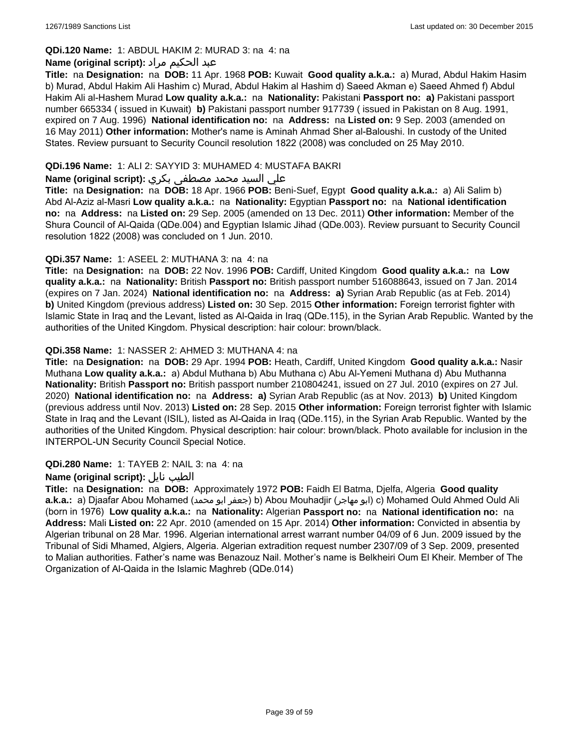### **QDi.120 Name:** 1: ABDUL HAKIM 2: MURAD 3: na 4: na

### عبد الحكيم مراد **:(script original (Name**

**Title:** na **Designation:** na **DOB:** 11 Apr. 1968 **POB:** Kuwait **Good quality a.k.a.:** a) Murad, Abdul Hakim Hasim b) Murad, Abdul Hakim Ali Hashim c) Murad, Abdul Hakim al Hashim d) Saeed Akman e) Saeed Ahmed f) Abdul Hakim Ali al-Hashem Murad **Low quality a.k.a.:** na **Nationality:** Pakistani **Passport no: a)** Pakistani passport number 665334 ( issued in Kuwait) **b)** Pakistani passport number 917739 ( issued in Pakistan on 8 Aug. 1991, expired on 7 Aug. 1996) **National identification no:** na **Address:** na **Listed on:** 9 Sep. 2003 (amended on 16 May 2011) **Other information:** Mother's name is Aminah Ahmad Sher al-Baloushi. In custody of the United States. Review pursuant to Security Council resolution 1822 (2008) was concluded on 25 May 2010.

### **QDi.196 Name:** 1: ALI 2: SAYYID 3: MUHAMED 4: MUSTAFA BAKRI

### علي السيد محمد مصطفى بكري **:(script original (Name**

**Title:** na **Designation:** na **DOB:** 18 Apr. 1966 **POB:** Beni-Suef, Egypt **Good quality a.k.a.:** a) Ali Salim b) Abd Al-Aziz al-Masri **Low quality a.k.a.:** na **Nationality:** Egyptian **Passport no:** na **National identification no:** na **Address:** na **Listed on:** 29 Sep. 2005 (amended on 13 Dec. 2011) **Other information:** Member of the Shura Council of Al-Qaida (QDe.004) and Egyptian Islamic Jihad (QDe.003). Review pursuant to Security Council resolution 1822 (2008) was concluded on 1 Jun. 2010.

### **QDi.357 Name:** 1: ASEEL 2: MUTHANA 3: na 4: na

**Title:** na **Designation:** na **DOB:** 22 Nov. 1996 **POB:** Cardiff, United Kingdom **Good quality a.k.a.:** na **Low quality a.k.a.:** na **Nationality:** British **Passport no:** British passport number 516088643, issued on 7 Jan. 2014 (expires on 7 Jan. 2024) **National identification no:** na **Address: a)** Syrian Arab Republic (as at Feb. 2014) **b)** United Kingdom (previous address) **Listed on:** 30 Sep. 2015 **Other information:** Foreign terrorist fighter with Islamic State in Iraq and the Levant, listed as Al-Qaida in Iraq (QDe.115), in the Syrian Arab Republic. Wanted by the authorities of the United Kingdom. Physical description: hair colour: brown/black.

### **QDi.358 Name:** 1: NASSER 2: AHMED 3: MUTHANA 4: na

**Title:** na **Designation:** na **DOB:** 29 Apr. 1994 **POB:** Heath, Cardiff, United Kingdom **Good quality a.k.a.:** Nasir Muthana **Low quality a.k.a.:** a) Abdul Muthana b) Abu Muthana c) Abu Al-Yemeni Muthana d) Abu Muthanna **Nationality:** British **Passport no:** British passport number 210804241, issued on 27 Jul. 2010 (expires on 27 Jul. 2020) **National identification no:** na **Address: a)** Syrian Arab Republic (as at Nov. 2013) **b)** United Kingdom (previous address until Nov. 2013) **Listed on:** 28 Sep. 2015 **Other information:** Foreign terrorist fighter with Islamic State in Iraq and the Levant (ISIL), listed as Al-Qaida in Iraq (QDe.115), in the Syrian Arab Republic. Wanted by the authorities of the United Kingdom. Physical description: hair colour: brown/black. Photo available for inclusion in the INTERPOL-UN Security Council Special Notice.

#### **QDi.280 Name:** 1: TAYEB 2: NAIL 3: na 4: na

#### **Name (original script):** نايل الطيب

**Title:** na **Designation:** na **DOB:** Approximately 1972 **POB:** Faidh El Batma, Djelfa, Algeria **Good quality a.k.a.:** a) Djaafar Abou Mohamed (محمد ابو جعفر (b) Abou Mouhadjir (مهاجر ابو (c) Mohamed Ould Ahmed Ould Ali (born in 1976) **Low quality a.k.a.:** na **Nationality:** Algerian **Passport no:** na **National identification no:** na **Address:** Mali **Listed on:** 22 Apr. 2010 (amended on 15 Apr. 2014) **Other information:** Convicted in absentia by Algerian tribunal on 28 Mar. 1996. Algerian international arrest warrant number 04/09 of 6 Jun. 2009 issued by the Tribunal of Sidi Mhamed, Algiers, Algeria. Algerian extradition request number 2307/09 of 3 Sep. 2009, presented to Malian authorities. Father's name was Benazouz Nail. Mother's name is Belkheiri Oum El Kheir. Member of The Organization of Al-Qaida in the Islamic Maghreb (QDe.014)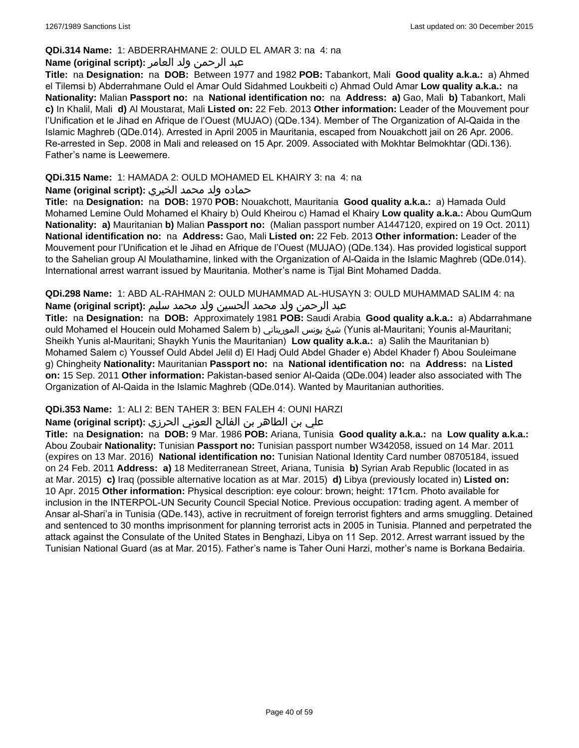### **QDi.314 Name:** 1: ABDERRAHMANE 2: OULD EL AMAR 3: na 4: na

### عبد الرحمن ولد العامر **:(script original (Name**

**Title:** na **Designation:** na **DOB:** Between 1977 and 1982 **POB:** Tabankort, Mali **Good quality a.k.a.:** a) Ahmed el Tilemsi b) Abderrahmane Ould el Amar Ould Sidahmed Loukbeiti c) Ahmad Ould Amar **Low quality a.k.a.:** na **Nationality:** Malian **Passport no:** na **National identification no:** na **Address: a)** Gao, Mali **b)** Tabankort, Mali **c)** In Khalil, Mali **d)** Al Moustarat, Mali **Listed on:** 22 Feb. 2013 **Other information:** Leader of the Mouvement pour l'Unification et le Jihad en Afrique de l'Ouest (MUJAO) (QDe.134). Member of The Organization of Al-Qaida in the Islamic Maghreb (QDe.014). Arrested in April 2005 in Mauritania, escaped from Nouakchott jail on 26 Apr. 2006. Re-arrested in Sep. 2008 in Mali and released on 15 Apr. 2009. Associated with Mokhtar Belmokhtar (QDi.136). Father's name is Leewemere.

### **QDi.315 Name:** 1: HAMADA 2: OULD MOHAMED EL KHAIRY 3: na 4: na

### حماده ولد محمد الخيري **:(script original (Name**

**Title:** na **Designation:** na **DOB:** 1970 **POB:** Nouakchott, Mauritania **Good quality a.k.a.:** a) Hamada Ould Mohamed Lemine Ould Mohamed el Khairy b) Ould Kheirou c) Hamad el Khairy **Low quality a.k.a.:** Abou QumQum **Nationality: a)** Mauritanian **b)** Malian **Passport no:** (Malian passport number A1447120, expired on 19 Oct. 2011) **National identification no:** na **Address:** Gao, Mali **Listed on:** 22 Feb. 2013 **Other information:** Leader of the Mouvement pour l'Unification et le Jihad en Afrique de l'Ouest (MUJAO) (QDe.134). Has provided logistical support to the Sahelian group Al Moulathamine, linked with the Organization of Al-Qaida in the Islamic Maghreb (QDe.014). International arrest warrant issued by Mauritania. Mother's name is Tijal Bint Mohamed Dadda.

**QDi.298 Name:** 1: ABD AL-RAHMAN 2: OULD MUHAMMAD AL-HUSAYN 3: OULD MUHAMMAD SALIM 4: na عبد الرحمن ولد محمد الحسين ولد محمد سليم **:(script original (Name**

**Title:** na **Designation:** na **DOB:** Approximately 1981 **POB:** Saudi Arabia **Good quality a.k.a.:** a) Abdarrahmane ould Mohamed el Houcein ould Mohamed Salem b) الموريتاني يونس شيخ) Yunis al-Mauritani; Younis al-Mauritani; Sheikh Yunis al-Mauritani; Shaykh Yunis the Mauritanian) **Low quality a.k.a.:** a) Salih the Mauritanian b) Mohamed Salem c) Youssef Ould Abdel Jelil d) El Hadj Ould Abdel Ghader e) Abdel Khader f) Abou Souleimane g) Chingheity **Nationality:** Mauritanian **Passport no:** na **National identification no:** na **Address:** na **Listed on:** 15 Sep. 2011 **Other information:** Pakistan-based senior Al-Qaida (QDe.004) leader also associated with The Organization of Al-Qaida in the Islamic Maghreb (QDe.014). Wanted by Mauritanian authorities.

### **QDi.353 Name:** 1: ALI 2: BEN TAHER 3: BEN FALEH 4: OUNI HARZI

### علي بن الطاھر بن الفالح العوني الحرزي **:(script original (Name**

**Title:** na **Designation:** na **DOB:** 9 Mar. 1986 **POB:** Ariana, Tunisia **Good quality a.k.a.:** na **Low quality a.k.a.:** Abou Zoubair **Nationality:** Tunisian **Passport no:** Tunisian passport number W342058, issued on 14 Mar. 2011 (expires on 13 Mar. 2016) **National identification no:** Tunisian National Identity Card number 08705184, issued on 24 Feb. 2011 **Address: a)** 18 Mediterranean Street, Ariana, Tunisia **b)** Syrian Arab Republic (located in as at Mar. 2015) **c)** Iraq (possible alternative location as at Mar. 2015) **d)** Libya (previously located in) **Listed on:** 10 Apr. 2015 **Other information:** Physical description: eye colour: brown; height: 171cm. Photo available for inclusion in the INTERPOL-UN Security Council Special Notice. Previous occupation: trading agent. A member of Ansar al-Shari'a in Tunisia (QDe.143), active in recruitment of foreign terrorist fighters and arms smuggling. Detained and sentenced to 30 months imprisonment for planning terrorist acts in 2005 in Tunisia. Planned and perpetrated the attack against the Consulate of the United States in Benghazi, Libya on 11 Sep. 2012. Arrest warrant issued by the Tunisian National Guard (as at Mar. 2015). Father's name is Taher Ouni Harzi, mother's name is Borkana Bedairia.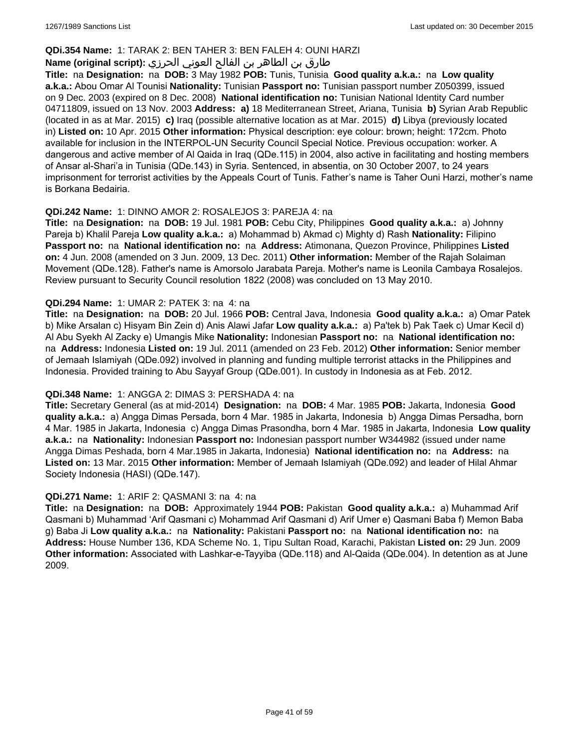### **QDi.354 Name:** 1: TARAK 2: BEN TAHER 3: BEN FALEH 4: OUNI HARZI

### طارق بن الطاھر بن الفالح العوني الحرزي **:(script original (Name**

**Title:** na **Designation:** na **DOB:** 3 May 1982 **POB:** Tunis, Tunisia **Good quality a.k.a.:** na **Low quality a.k.a.:** Abou Omar Al Tounisi **Nationality:** Tunisian **Passport no:** Tunisian passport number Z050399, issued on 9 Dec. 2003 (expired on 8 Dec. 2008) **National identification no:** Tunisian National Identity Card number 04711809, issued on 13 Nov. 2003 **Address: a)** 18 Mediterranean Street, Ariana, Tunisia **b)** Syrian Arab Republic (located in as at Mar. 2015) **c)** Iraq (possible alternative location as at Mar. 2015) **d)** Libya (previously located in) **Listed on:** 10 Apr. 2015 **Other information:** Physical description: eye colour: brown; height: 172cm. Photo available for inclusion in the INTERPOL-UN Security Council Special Notice. Previous occupation: worker. A dangerous and active member of Al Qaida in Iraq (QDe.115) in 2004, also active in facilitating and hosting members of Ansar al-Shari'a in Tunisia (QDe.143) in Syria. Sentenced, in absentia, on 30 October 2007, to 24 years imprisonment for terrorist activities by the Appeals Court of Tunis. Father's name is Taher Ouni Harzi, mother's name is Borkana Bedairia.

### **QDi.242 Name:** 1: DINNO AMOR 2: ROSALEJOS 3: PAREJA 4: na

**Title:** na **Designation:** na **DOB:** 19 Jul. 1981 **POB:** Cebu City, Philippines **Good quality a.k.a.:** a) Johnny Pareja b) Khalil Pareja **Low quality a.k.a.:** a) Mohammad b) Akmad c) Mighty d) Rash **Nationality:** Filipino **Passport no:** na **National identification no:** na **Address:** Atimonana, Quezon Province, Philippines **Listed on:** 4 Jun. 2008 (amended on 3 Jun. 2009, 13 Dec. 2011) **Other information:** Member of the Rajah Solaiman Movement (QDe.128). Father's name is Amorsolo Jarabata Pareja. Mother's name is Leonila Cambaya Rosalejos. Review pursuant to Security Council resolution 1822 (2008) was concluded on 13 May 2010.

#### **QDi.294 Name:** 1: UMAR 2: PATEK 3: na 4: na

**Title:** na **Designation:** na **DOB:** 20 Jul. 1966 **POB:** Central Java, Indonesia **Good quality a.k.a.:** a) Omar Patek b) Mike Arsalan c) Hisyam Bin Zein d) Anis Alawi Jafar **Low quality a.k.a.:** a) Pa'tek b) Pak Taek c) Umar Kecil d) Al Abu Syekh Al Zacky e) Umangis Mike **Nationality:** Indonesian **Passport no:** na **National identification no:**  na **Address:** Indonesia **Listed on:** 19 Jul. 2011 (amended on 23 Feb. 2012) **Other information:** Senior member of Jemaah Islamiyah (QDe.092) involved in planning and funding multiple terrorist attacks in the Philippines and Indonesia. Provided training to Abu Sayyaf Group (QDe.001). In custody in Indonesia as at Feb. 2012.

#### **QDi.348 Name:** 1: ANGGA 2: DIMAS 3: PERSHADA 4: na

**Title:** Secretary General (as at mid-2014) **Designation:** na **DOB:** 4 Mar. 1985 **POB:** Jakarta, Indonesia **Good quality a.k.a.:** a) Angga Dimas Persada, born 4 Mar. 1985 in Jakarta, Indonesia b) Angga Dimas Persadha, born 4 Mar. 1985 in Jakarta, Indonesia c) Angga Dimas Prasondha, born 4 Mar. 1985 in Jakarta, Indonesia **Low quality a.k.a.:** na **Nationality:** Indonesian **Passport no:** Indonesian passport number W344982 (issued under name Angga Dimas Peshada, born 4 Mar.1985 in Jakarta, Indonesia) **National identification no:** na **Address:** na **Listed on:** 13 Mar. 2015 **Other information:** Member of Jemaah Islamiyah (QDe.092) and leader of Hilal Ahmar Society Indonesia (HASI) (QDe.147).

#### **QDi.271 Name:** 1: ARIF 2: QASMANI 3: na 4: na

**Title:** na **Designation:** na **DOB:** Approximately 1944 **POB:** Pakistan **Good quality a.k.a.:** a) Muhammad Arif Qasmani b) Muhammad 'Arif Qasmani c) Mohammad Arif Qasmani d) Arif Umer e) Qasmani Baba f) Memon Baba g) Baba Ji **Low quality a.k.a.:** na **Nationality:** Pakistani **Passport no:** na **National identification no:** na **Address:** House Number 136, KDA Scheme No. 1, Tipu Sultan Road, Karachi, Pakistan **Listed on:** 29 Jun. 2009 **Other information:** Associated with Lashkar-e-Tayyiba (QDe.118) and Al-Qaida (QDe.004). In detention as at June 2009.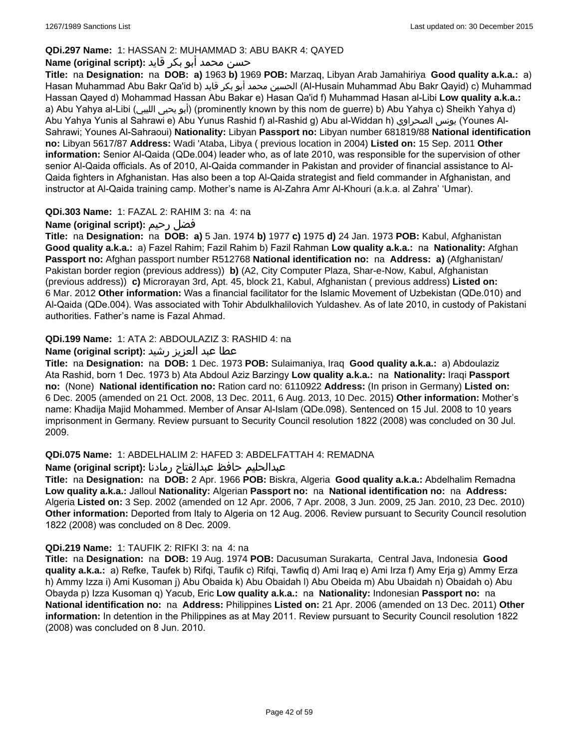# **QDi.297 Name:** 1: HASSAN 2: MUHAMMAD 3: ABU BAKR 4: QAYED

# حسن محمد أبو بكر قايد **:(script original (Name**

**Title:** na **Designation:** na **DOB: a)** 1963 **b)** 1969 **POB:** Marzaq, Libyan Arab Jamahiriya **Good quality a.k.a.:** a) Hasan Muhammad Abu Bakr Qa'id b) قايد بكر أبو محمد الحسين) Al-Husain Muhammad Abu Bakr Qayid) c) Muhammad Hassan Qayed d) Mohammad Hassan Abu Bakar e) Hasan Qa'id f) Muhammad Hasan al-Libi **Low quality a.k.a.:**  a) Abu Yahya al-Libi (الليبي يحيى أبو) (prominently known by this nom de guerre) b) Abu Yahya c) Sheikh Yahya d) Abu Yahya Yunis al Sahrawi e) Abu Yunus Rashid f) al-Rashid g) Abu al-Widdan h) الصحراوي يونس) Younes Al-Sahrawi; Younes Al-Sahraoui) **Nationality:** Libyan **Passport no:** Libyan number 681819/88 **National identification no:** Libyan 5617/87 **Address:** Wadi 'Ataba, Libya ( previous location in 2004) **Listed on:** 15 Sep. 2011 **Other information:** Senior Al-Qaida (QDe.004) leader who, as of late 2010, was responsible for the supervision of other senior Al-Qaida officials. As of 2010, Al-Qaida commander in Pakistan and provider of financial assistance to Al-Qaida fighters in Afghanistan. Has also been a top Al-Qaida strategist and field commander in Afghanistan, and instructor at Al-Qaida training camp. Mother's name is Al-Zahra Amr Al-Khouri (a.k.a. al Zahra' 'Umar).

### **QDi.303 Name:** 1: FAZAL 2: RAHIM 3: na 4: na

# **Name (original script):** رحيم فضل

**Title:** na **Designation:** na **DOB: a)** 5 Jan. 1974 **b)** 1977 **c)** 1975 **d)** 24 Jan. 1973 **POB:** Kabul, Afghanistan **Good quality a.k.a.:** a) Fazel Rahim; Fazil Rahim b) Fazil Rahman **Low quality a.k.a.:** na **Nationality:** Afghan **Passport no:** Afghan passport number R512768 **National identification no:** na **Address: a)** (Afghanistan/ Pakistan border region (previous address)) **b)** (A2, City Computer Plaza, Shar-e-Now, Kabul, Afghanistan (previous address)) **c)** Microrayan 3rd, Apt. 45, block 21, Kabul, Afghanistan ( previous address) **Listed on:** 6 Mar. 2012 **Other information:** Was a financial facilitator for the Islamic Movement of Uzbekistan (QDe.010) and Al-Qaida (QDe.004). Was associated with Tohir Abdulkhalilovich Yuldashev. As of late 2010, in custody of Pakistani authorities. Father's name is Fazal Ahmad.

### **QDi.199 Name:** 1: ATA 2: ABDOULAZIZ 3: RASHID 4: na

### عطا عبد العزيز رشيد **:(script original (Name**

**Title:** na **Designation:** na **DOB:** 1 Dec. 1973 **POB:** Sulaimaniya, Iraq **Good quality a.k.a.:** a) Abdoulaziz Ata Rashid, born 1 Dec. 1973 b) Ata Abdoul Aziz Barzingy **Low quality a.k.a.:** na **Nationality:** Iraqi **Passport no:** (None) **National identification no:** Ration card no: 6110922 **Address:** (In prison in Germany) **Listed on:** 6 Dec. 2005 (amended on 21 Oct. 2008, 13 Dec. 2011, 6 Aug. 2013, 10 Dec. 2015) **Other information:** Mother's name: Khadija Majid Mohammed. Member of Ansar Al-Islam (QDe.098). Sentenced on 15 Jul. 2008 to 10 years imprisonment in Germany. Review pursuant to Security Council resolution 1822 (2008) was concluded on 30 Jul. 2009.

### **QDi.075 Name:** 1: ABDELHALIM 2: HAFED 3: ABDELFATTAH 4: REMADNA

#### عبدالحليم حافظ عبدالفتاح رمادنا **:(script original (Name**

**Title:** na **Designation:** na **DOB:** 2 Apr. 1966 **POB:** Biskra, Algeria **Good quality a.k.a.:** Abdelhalim Remadna **Low quality a.k.a.:** Jalloul **Nationality:** Algerian **Passport no:** na **National identification no:** na **Address:** Algeria **Listed on:** 3 Sep. 2002 (amended on 12 Apr. 2006, 7 Apr. 2008, 3 Jun. 2009, 25 Jan. 2010, 23 Dec. 2010) **Other information:** Deported from Italy to Algeria on 12 Aug. 2006. Review pursuant to Security Council resolution 1822 (2008) was concluded on 8 Dec. 2009.

#### **QDi.219 Name:** 1: TAUFIK 2: RIFKI 3: na 4: na

**Title:** na **Designation:** na **DOB:** 19 Aug. 1974 **POB:** Dacusuman Surakarta, Central Java, Indonesia **Good quality a.k.a.:** a) Refke, Taufek b) Rifqi, Taufik c) Rifqi, Tawfiq d) Ami Iraq e) Ami Irza f) Amy Erja g) Ammy Erza h) Ammy Izza i) Ami Kusoman j) Abu Obaida k) Abu Obaidah l) Abu Obeida m) Abu Ubaidah n) Obaidah o) Abu Obayda p) Izza Kusoman q) Yacub, Eric **Low quality a.k.a.:** na **Nationality:** Indonesian **Passport no:** na **National identification no:** na **Address:** Philippines **Listed on:** 21 Apr. 2006 (amended on 13 Dec. 2011) **Other information:** In detention in the Philippines as at May 2011. Review pursuant to Security Council resolution 1822 (2008) was concluded on 8 Jun. 2010.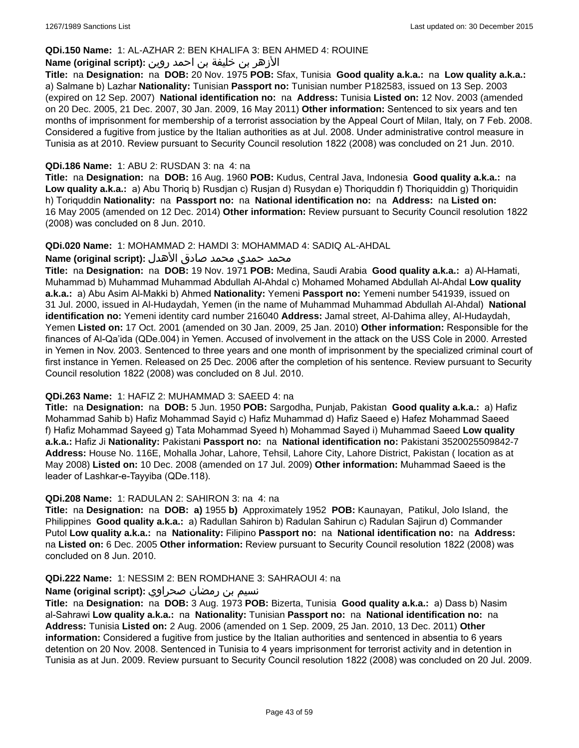### **QDi.150 Name:** 1: AL-AZHAR 2: BEN KHALIFA 3: BEN AHMED 4: ROUINE

### الأزهر بن خليفة بن احمد روين **:(script original (Name**

**Title:** na **Designation:** na **DOB:** 20 Nov. 1975 **POB:** Sfax, Tunisia **Good quality a.k.a.:** na **Low quality a.k.a.:**  a) Salmane b) Lazhar **Nationality:** Tunisian **Passport no:** Tunisian number P182583, issued on 13 Sep. 2003 (expired on 12 Sep. 2007) **National identification no:** na **Address:** Tunisia **Listed on:** 12 Nov. 2003 (amended on 20 Dec. 2005, 21 Dec. 2007, 30 Jan. 2009, 16 May 2011) **Other information:** Sentenced to six years and ten months of imprisonment for membership of a terrorist association by the Appeal Court of Milan, Italy, on 7 Feb. 2008. Considered a fugitive from justice by the Italian authorities as at Jul. 2008. Under administrative control measure in Tunisia as at 2010. Review pursuant to Security Council resolution 1822 (2008) was concluded on 21 Jun. 2010.

### **QDi.186 Name:** 1: ABU 2: RUSDAN 3: na 4: na

**Title:** na **Designation:** na **DOB:** 16 Aug. 1960 **POB:** Kudus, Central Java, Indonesia **Good quality a.k.a.:** na **Low quality a.k.a.:** a) Abu Thoriq b) Rusdjan c) Rusjan d) Rusydan e) Thoriquddin f) Thoriquiddin g) Thoriquidin h) Toriquddin **Nationality:** na **Passport no:** na **National identification no:** na **Address:** na **Listed on:** 16 May 2005 (amended on 12 Dec. 2014) **Other information:** Review pursuant to Security Council resolution 1822 (2008) was concluded on 8 Jun. 2010.

#### **QDi.020 Name:** 1: MOHAMMAD 2: HAMDI 3: MOHAMMAD 4: SADIQ AL-AHDAL

#### محمد حمدي محمد صادق الأهدل **:Name (original script)**

**Title:** na **Designation:** na **DOB:** 19 Nov. 1971 **POB:** Medina, Saudi Arabia **Good quality a.k.a.:** a) Al-Hamati, Muhammad b) Muhammad Muhammad Abdullah Al-Ahdal c) Mohamed Mohamed Abdullah Al-Ahdal **Low quality a.k.a.:** a) Abu Asim Al-Makki b) Ahmed **Nationality:** Yemeni **Passport no:** Yemeni number 541939, issued on 31 Jul. 2000, issued in Al-Hudaydah, Yemen (in the name of Muhammad Muhammad Abdullah Al-Ahdal) **National identification no:** Yemeni identity card number 216040 **Address:** Jamal street, Al-Dahima alley, Al-Hudaydah, Yemen **Listed on:** 17 Oct. 2001 (amended on 30 Jan. 2009, 25 Jan. 2010) **Other information:** Responsible for the finances of Al-Qa'ida (QDe.004) in Yemen. Accused of involvement in the attack on the USS Cole in 2000. Arrested in Yemen in Nov. 2003. Sentenced to three years and one month of imprisonment by the specialized criminal court of first instance in Yemen. Released on 25 Dec. 2006 after the completion of his sentence. Review pursuant to Security Council resolution 1822 (2008) was concluded on 8 Jul. 2010.

#### **QDi.263 Name:** 1: HAFIZ 2: MUHAMMAD 3: SAEED 4: na

**Title:** na **Designation:** na **DOB:** 5 Jun. 1950 **POB:** Sargodha, Punjab, Pakistan **Good quality a.k.a.:** a) Hafiz Mohammad Sahib b) Hafiz Mohammad Sayid c) Hafiz Muhammad d) Hafiz Saeed e) Hafez Mohammad Saeed f) Hafiz Mohammad Sayeed g) Tata Mohammad Syeed h) Mohammad Sayed i) Muhammad Saeed **Low quality a.k.a.:** Hafiz Ji **Nationality:** Pakistani **Passport no:** na **National identification no:** Pakistani 3520025509842-7 **Address:** House No. 116E, Mohalla Johar, Lahore, Tehsil, Lahore City, Lahore District, Pakistan ( location as at May 2008) **Listed on:** 10 Dec. 2008 (amended on 17 Jul. 2009) **Other information:** Muhammad Saeed is the leader of Lashkar-e-Tayyiba (QDe.118).

#### **QDi.208 Name:** 1: RADULAN 2: SAHIRON 3: na 4: na

**Title:** na **Designation:** na **DOB: a)** 1955 **b)** Approximately 1952 **POB:** Kaunayan, Patikul, Jolo Island, the Philippines **Good quality a.k.a.:** a) Radullan Sahiron b) Radulan Sahirun c) Radulan Sajirun d) Commander Putol **Low quality a.k.a.:** na **Nationality:** Filipino **Passport no:** na **National identification no:** na **Address:**  na **Listed on:** 6 Dec. 2005 **Other information:** Review pursuant to Security Council resolution 1822 (2008) was concluded on 8 Jun. 2010.

#### **QDi.222 Name:** 1: NESSIM 2: BEN ROMDHANE 3: SAHRAOUI 4: na

### نسيم بن رمضان صحراوي **:(script original (Name**

**Title:** na **Designation:** na **DOB:** 3 Aug. 1973 **POB:** Bizerta, Tunisia **Good quality a.k.a.:** a) Dass b) Nasim al-Sahrawi **Low quality a.k.a.:** na **Nationality:** Tunisian **Passport no:** na **National identification no:** na **Address:** Tunisia **Listed on:** 2 Aug. 2006 (amended on 1 Sep. 2009, 25 Jan. 2010, 13 Dec. 2011) **Other information:** Considered a fugitive from justice by the Italian authorities and sentenced in absentia to 6 years detention on 20 Nov. 2008. Sentenced in Tunisia to 4 years imprisonment for terrorist activity and in detention in Tunisia as at Jun. 2009. Review pursuant to Security Council resolution 1822 (2008) was concluded on 20 Jul. 2009.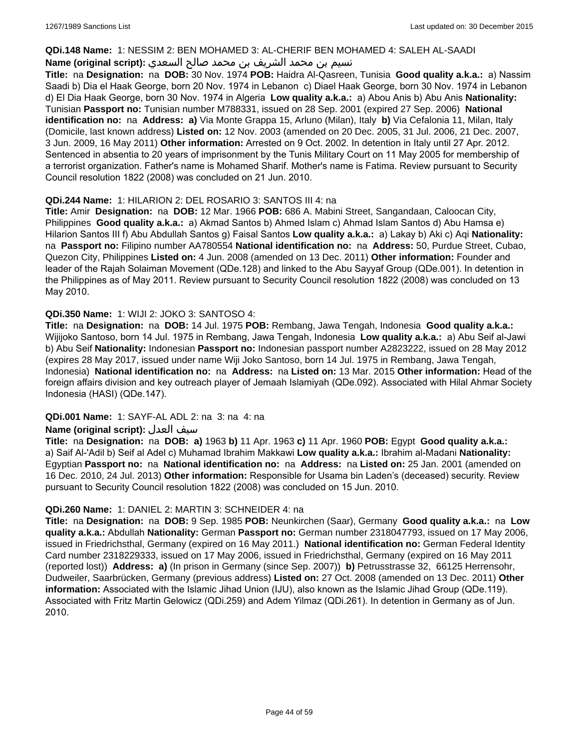#### **QDi.148 Name:** 1: NESSIM 2: BEN MOHAMED 3: AL-CHERIF BEN MOHAMED 4: SALEH AL-SAADI

### نسيم بن محمد الشريف بن محمد صالح السعدي **:(script original (Name**

**Title:** na **Designation:** na **DOB:** 30 Nov. 1974 **POB:** Haidra Al-Qasreen, Tunisia **Good quality a.k.a.:** a) Nassim Saadi b) Dia el Haak George, born 20 Nov. 1974 in Lebanon c) Diael Haak George, born 30 Nov. 1974 in Lebanon d) El Dia Haak George, born 30 Nov. 1974 in Algeria **Low quality a.k.a.:** a) Abou Anis b) Abu Anis **Nationality:** Tunisian **Passport no:** Tunisian number M788331, issued on 28 Sep. 2001 (expired 27 Sep. 2006) **National identification no:** na **Address: a)** Via Monte Grappa 15, Arluno (Milan), Italy **b)** Via Cefalonia 11, Milan, Italy (Domicile, last known address) **Listed on:** 12 Nov. 2003 (amended on 20 Dec. 2005, 31 Jul. 2006, 21 Dec. 2007, 3 Jun. 2009, 16 May 2011) **Other information:** Arrested on 9 Oct. 2002. In detention in Italy until 27 Apr. 2012. Sentenced in absentia to 20 years of imprisonment by the Tunis Military Court on 11 May 2005 for membership of a terrorist organization. Father's name is Mohamed Sharif. Mother's name is Fatima. Review pursuant to Security Council resolution 1822 (2008) was concluded on 21 Jun. 2010.

### **QDi.244 Name:** 1: HILARION 2: DEL ROSARIO 3: SANTOS III 4: na

**Title:** Amir **Designation:** na **DOB:** 12 Mar. 1966 **POB:** 686 A. Mabini Street, Sangandaan, Caloocan City, Philippines **Good quality a.k.a.:** a) Akmad Santos b) Ahmed Islam c) Ahmad Islam Santos d) Abu Hamsa e) Hilarion Santos III f) Abu Abdullah Santos g) Faisal Santos **Low quality a.k.a.:** a) Lakay b) Aki c) Aqi **Nationality:**  na **Passport no:** Filipino number AA780554 **National identification no:** na **Address:** 50, Purdue Street, Cubao, Quezon City, Philippines **Listed on:** 4 Jun. 2008 (amended on 13 Dec. 2011) **Other information:** Founder and leader of the Rajah Solaiman Movement (QDe.128) and linked to the Abu Sayyaf Group (QDe.001). In detention in the Philippines as of May 2011. Review pursuant to Security Council resolution 1822 (2008) was concluded on 13 May 2010.

### **QDi.350 Name:** 1: WIJI 2: JOKO 3: SANTOSO 4:

**Title:** na **Designation:** na **DOB:** 14 Jul. 1975 **POB:** Rembang, Jawa Tengah, Indonesia **Good quality a.k.a.:** Wijijoko Santoso, born 14 Jul. 1975 in Rembang, Jawa Tengah, Indonesia **Low quality a.k.a.:** a) Abu Seif al-Jawi b) Abu Seif **Nationality:** Indonesian **Passport no:** Indonesian passport number A2823222, issued on 28 May 2012 (expires 28 May 2017, issued under name Wiji Joko Santoso, born 14 Jul. 1975 in Rembang, Jawa Tengah, Indonesia) **National identification no:** na **Address:** na **Listed on:** 13 Mar. 2015 **Other information:** Head of the foreign affairs division and key outreach player of Jemaah Islamiyah (QDe.092). Associated with Hilal Ahmar Society Indonesia (HASI) (QDe.147).

### **QDi.001 Name:** 1: SAYF-AL ADL 2: na 3: na 4: na

### **Name (original script):** العدل سيف

**Title:** na **Designation:** na **DOB: a)** 1963 **b)** 11 Apr. 1963 **c)** 11 Apr. 1960 **POB:** Egypt **Good quality a.k.a.:**  a) Saif Al-'Adil b) Seif al Adel c) Muhamad Ibrahim Makkawi **Low quality a.k.a.:** Ibrahim al-Madani **Nationality:** Egyptian **Passport no:** na **National identification no:** na **Address:** na **Listed on:** 25 Jan. 2001 (amended on 16 Dec. 2010, 24 Jul. 2013) **Other information:** Responsible for Usama bin Laden's (deceased) security. Review pursuant to Security Council resolution 1822 (2008) was concluded on 15 Jun. 2010.

### **QDi.260 Name:** 1: DANIEL 2: MARTIN 3: SCHNEIDER 4: na

**Title:** na **Designation:** na **DOB:** 9 Sep. 1985 **POB:** Neunkirchen (Saar), Germany **Good quality a.k.a.:** na **Low quality a.k.a.:** Abdullah **Nationality:** German **Passport no:** German number 2318047793, issued on 17 May 2006, issued in Friedrichsthal, Germany (expired on 16 May 2011.) **National identification no:** German Federal Identity Card number 2318229333, issued on 17 May 2006, issued in Friedrichsthal, Germany (expired on 16 May 2011 (reported lost)) **Address: a)** (In prison in Germany (since Sep. 2007)) **b)** Petrusstrasse 32, 66125 Herrensohr, Dudweiler, Saarbrücken, Germany (previous address) **Listed on:** 27 Oct. 2008 (amended on 13 Dec. 2011) **Other information:** Associated with the Islamic Jihad Union (IJU), also known as the Islamic Jihad Group (QDe.119). Associated with Fritz Martin Gelowicz (QDi.259) and Adem Yilmaz (QDi.261). In detention in Germany as of Jun. 2010.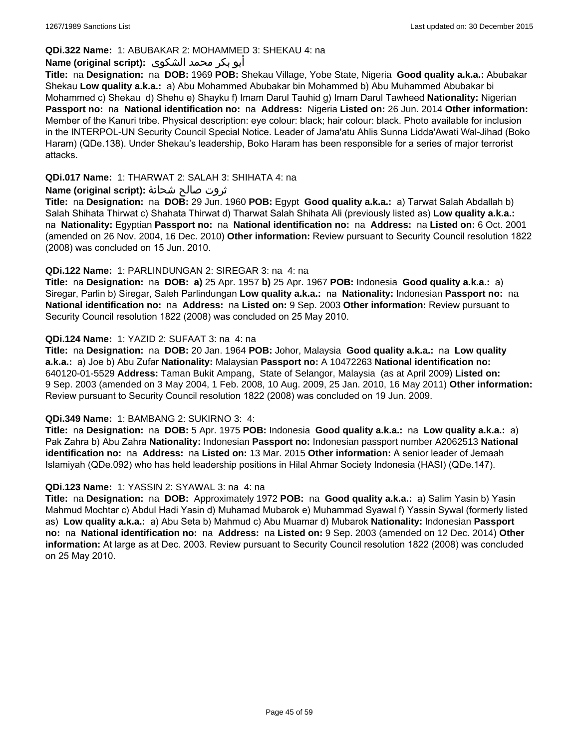### **QDi.322 Name:** 1: ABUBAKAR 2: MOHAMMED 3: SHEKAU 4: na

# أبو بكر محمد الشكوى **:(script original (Name**

**Title:** na **Designation:** na **DOB:** 1969 **POB:** Shekau Village, Yobe State, Nigeria **Good quality a.k.a.:** Abubakar Shekau **Low quality a.k.a.:** a) Abu Mohammed Abubakar bin Mohammed b) Abu Muhammed Abubakar bi Mohammed c) Shekau d) Shehu e) Shayku f) Imam Darul Tauhid g) Imam Darul Tawheed **Nationality:** Nigerian **Passport no:** na **National identification no:** na **Address:** Nigeria **Listed on:** 26 Jun. 2014 **Other information:** Member of the Kanuri tribe. Physical description: eye colour: black; hair colour: black. Photo available for inclusion in the INTERPOL-UN Security Council Special Notice. Leader of Jama'atu Ahlis Sunna Lidda'Awati Wal-Jihad (Boko Haram) (QDe.138). Under Shekau's leadership, Boko Haram has been responsible for a series of major terrorist attacks.

### **QDi.017 Name:** 1: THARWAT 2: SALAH 3: SHIHATA 4: na

### ثروت صالح شحاتة **:(script original (Name**

**Title:** na **Designation:** na **DOB:** 29 Jun. 1960 **POB:** Egypt **Good quality a.k.a.:** a) Tarwat Salah Abdallah b) Salah Shihata Thirwat c) Shahata Thirwat d) Tharwat Salah Shihata Ali (previously listed as) **Low quality a.k.a.:**  na **Nationality:** Egyptian **Passport no:** na **National identification no:** na **Address:** na **Listed on:** 6 Oct. 2001 (amended on 26 Nov. 2004, 16 Dec. 2010) **Other information:** Review pursuant to Security Council resolution 1822 (2008) was concluded on 15 Jun. 2010.

### **QDi.122 Name:** 1: PARLINDUNGAN 2: SIREGAR 3: na 4: na

**Title:** na **Designation:** na **DOB: a)** 25 Apr. 1957 **b)** 25 Apr. 1967 **POB:** Indonesia **Good quality a.k.a.:** a) Siregar, Parlin b) Siregar, Saleh Parlindungan **Low quality a.k.a.:** na **Nationality:** Indonesian **Passport no:** na **National identification no:** na **Address:** na **Listed on:** 9 Sep. 2003 **Other information:** Review pursuant to Security Council resolution 1822 (2008) was concluded on 25 May 2010.

### **QDi.124 Name:** 1: YAZID 2: SUFAAT 3: na 4: na

**Title:** na **Designation:** na **DOB:** 20 Jan. 1964 **POB:** Johor, Malaysia **Good quality a.k.a.:** na **Low quality a.k.a.:** a) Joe b) Abu Zufar **Nationality:** Malaysian **Passport no:** A 10472263 **National identification no:** 640120-01-5529 **Address:** Taman Bukit Ampang, State of Selangor, Malaysia (as at April 2009) **Listed on:** 9 Sep. 2003 (amended on 3 May 2004, 1 Feb. 2008, 10 Aug. 2009, 25 Jan. 2010, 16 May 2011) **Other information:** Review pursuant to Security Council resolution 1822 (2008) was concluded on 19 Jun. 2009.

#### **QDi.349 Name:** 1: BAMBANG 2: SUKIRNO 3: 4:

**Title:** na **Designation:** na **DOB:** 5 Apr. 1975 **POB:** Indonesia **Good quality a.k.a.:** na **Low quality a.k.a.:** a) Pak Zahra b) Abu Zahra **Nationality:** Indonesian **Passport no:** Indonesian passport number A2062513 **National identification no:** na **Address:** na **Listed on:** 13 Mar. 2015 **Other information:** A senior leader of Jemaah Islamiyah (QDe.092) who has held leadership positions in Hilal Ahmar Society Indonesia (HASI) (QDe.147).

#### **QDi.123 Name:** 1: YASSIN 2: SYAWAL 3: na 4: na

**Title:** na **Designation:** na **DOB:** Approximately 1972 **POB:** na **Good quality a.k.a.:** a) Salim Yasin b) Yasin Mahmud Mochtar c) Abdul Hadi Yasin d) Muhamad Mubarok e) Muhammad Syawal f) Yassin Sywal (formerly listed as) **Low quality a.k.a.:** a) Abu Seta b) Mahmud c) Abu Muamar d) Mubarok **Nationality:** Indonesian **Passport no:** na **National identification no:** na **Address:** na **Listed on:** 9 Sep. 2003 (amended on 12 Dec. 2014) **Other information:** At large as at Dec. 2003. Review pursuant to Security Council resolution 1822 (2008) was concluded on 25 May 2010.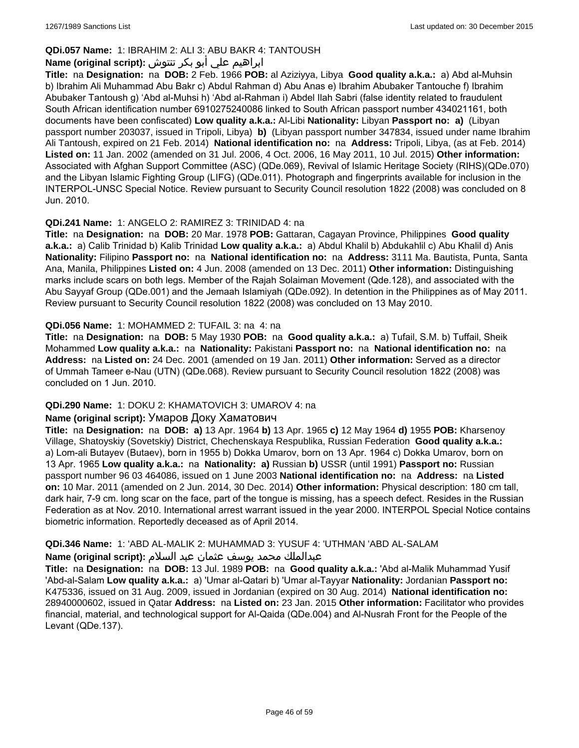# **QDi.057 Name:** 1: IBRAHIM 2: ALI 3: ABU BAKR 4: TANTOUSH

# ابراهيم علي أبو بكر تنتوش **:(script original (Name**

**Title:** na **Designation:** na **DOB:** 2 Feb. 1966 **POB:** al Aziziyya, Libya **Good quality a.k.a.:** a) Abd al-Muhsin b) Ibrahim Ali Muhammad Abu Bakr c) Abdul Rahman d) Abu Anas e) Ibrahim Abubaker Tantouche f) Ibrahim Abubaker Tantoush g) 'Abd al-Muhsi h) 'Abd al-Rahman i) Abdel Ilah Sabri (false identity related to fraudulent South African identification number 6910275240086 linked to South African passport number 434021161, both documents have been confiscated) **Low quality a.k.a.:** Al-Libi **Nationality:** Libyan **Passport no: a)** (Libyan passport number 203037, issued in Tripoli, Libya) **b)** (Libyan passport number 347834, issued under name Ibrahim Ali Tantoush, expired on 21 Feb. 2014) **National identification no:** na **Address:** Tripoli, Libya, (as at Feb. 2014) **Listed on:** 11 Jan. 2002 (amended on 31 Jul. 2006, 4 Oct. 2006, 16 May 2011, 10 Jul. 2015) **Other information:** Associated with Afghan Support Committee (ASC) (QDe.069), Revival of Islamic Heritage Society (RIHS)(QDe.070) and the Libyan Islamic Fighting Group (LIFG) (QDe.011). Photograph and fingerprints available for inclusion in the INTERPOL-UNSC Special Notice. Review pursuant to Security Council resolution 1822 (2008) was concluded on 8 Jun. 2010.

### **QDi.241 Name:** 1: ANGELO 2: RAMIREZ 3: TRINIDAD 4: na

**Title:** na **Designation:** na **DOB:** 20 Mar. 1978 **POB:** Gattaran, Cagayan Province, Philippines **Good quality a.k.a.:** a) Calib Trinidad b) Kalib Trinidad **Low quality a.k.a.:** a) Abdul Khalil b) Abdukahlil c) Abu Khalil d) Anis **Nationality:** Filipino **Passport no:** na **National identification no:** na **Address:** 3111 Ma. Bautista, Punta, Santa Ana, Manila, Philippines **Listed on:** 4 Jun. 2008 (amended on 13 Dec. 2011) **Other information:** Distinguishing marks include scars on both legs. Member of the Rajah Solaiman Movement (Qde.128), and associated with the Abu Sayyaf Group (QDe.001) and the Jemaah Islamiyah (QDe.092). In detention in the Philippines as of May 2011. Review pursuant to Security Council resolution 1822 (2008) was concluded on 13 May 2010.

### **QDi.056 Name:** 1: MOHAMMED 2: TUFAIL 3: na 4: na

**Title:** na **Designation:** na **DOB:** 5 May 1930 **POB:** na **Good quality a.k.a.:** a) Tufail, S.M. b) Tuffail, Sheik Mohammed **Low quality a.k.a.:** na **Nationality:** Pakistani **Passport no:** na **National identification no:** na **Address:** na **Listed on:** 24 Dec. 2001 (amended on 19 Jan. 2011) **Other information:** Served as a director of Ummah Tameer e-Nau (UTN) (QDe.068). Review pursuant to Security Council resolution 1822 (2008) was concluded on 1 Jun. 2010.

# **QDi.290 Name:** 1: DOKU 2: KHAMATOVICH 3: UMAROV 4: na

#### **Name (original script):** Умаров Доку Хаматович

**Title:** na **Designation:** na **DOB: a)** 13 Apr. 1964 **b)** 13 Apr. 1965 **c)** 12 May 1964 **d)** 1955 **POB:** Kharsenoy Village, Shatoyskiy (Sovetskiy) District, Chechenskaya Respublika, Russian Federation **Good quality a.k.a.:**  a) Lom-ali Butayev (Butaev), born in 1955 b) Dokka Umarov, born on 13 Apr. 1964 c) Dokka Umarov, born on 13 Apr. 1965 **Low quality a.k.a.:** na **Nationality: a)** Russian **b)** USSR (until 1991) **Passport no:** Russian passport number 96 03 464086, issued on 1 June 2003 **National identification no:** na **Address:** na **Listed on:** 10 Mar. 2011 (amended on 2 Jun. 2014, 30 Dec. 2014) **Other information:** Physical description: 180 cm tall, dark hair, 7-9 cm. long scar on the face, part of the tongue is missing, has a speech defect. Resides in the Russian Federation as at Nov. 2010. International arrest warrant issued in the year 2000. INTERPOL Special Notice contains biometric information. Reportedly deceased as of April 2014.

### **QDi.346 Name:** 1: 'ABD AL-MALIK 2: MUHAMMAD 3: YUSUF 4: 'UTHMAN 'ABD AL-SALAM

#### عبدالملك محمد يوسف عثمان عبد السلام **:(script original (Name**

**Title:** na **Designation:** na **DOB:** 13 Jul. 1989 **POB:** na **Good quality a.k.a.:** 'Abd al-Malik Muhammad Yusif 'Abd-al-Salam **Low quality a.k.a.:** a) 'Umar al-Qatari b) 'Umar al-Tayyar **Nationality:** Jordanian **Passport no:** K475336, issued on 31 Aug. 2009, issued in Jordanian (expired on 30 Aug. 2014) **National identification no:** 28940000602, issued in Qatar **Address:** na **Listed on:** 23 Jan. 2015 **Other information:** Facilitator who provides financial, material, and technological support for Al-Qaida (QDe.004) and Al-Nusrah Front for the People of the Levant (QDe.137).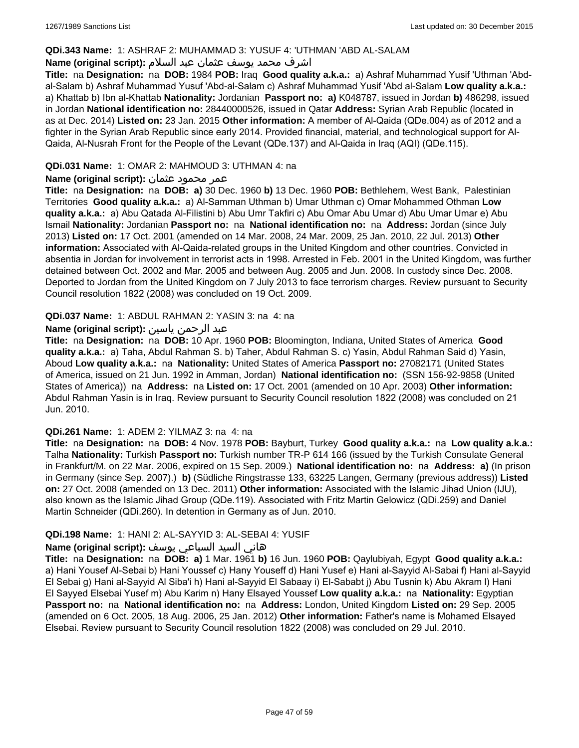### **QDi.343 Name:** 1: ASHRAF 2: MUHAMMAD 3: YUSUF 4: 'UTHMAN 'ABD AL-SALAM

### اشرف محمد يوسف عثمان عبد السلام **:(script original (Name**

**Title:** na **Designation:** na **DOB:** 1984 **POB:** Iraq **Good quality a.k.a.:** a) Ashraf Muhammad Yusif 'Uthman 'Abdal-Salam b) Ashraf Muhammad Yusuf 'Abd-al-Salam c) Ashraf Muhammad Yusif 'Abd al-Salam **Low quality a.k.a.:**  a) Khattab b) Ibn al-Khattab **Nationality:** Jordanian **Passport no: a)** K048787, issued in Jordan **b)** 486298, issued in Jordan **National identification no:** 28440000526, issued in Qatar **Address:** Syrian Arab Republic (located in as at Dec. 2014) **Listed on:** 23 Jan. 2015 **Other information:** A member of Al-Qaida (QDe.004) as of 2012 and a fighter in the Syrian Arab Republic since early 2014. Provided financial, material, and technological support for Al-Qaida, Al-Nusrah Front for the People of the Levant (QDe.137) and Al-Qaida in Iraq (AQI) (QDe.115).

### **QDi.031 Name:** 1: OMAR 2: MAHMOUD 3: UTHMAN 4: na

### عمر محمود عثمان **:(script original (Name**

**Title:** na **Designation:** na **DOB: a)** 30 Dec. 1960 **b)** 13 Dec. 1960 **POB:** Bethlehem, West Bank, Palestinian Territories **Good quality a.k.a.:** a) Al-Samman Uthman b) Umar Uthman c) Omar Mohammed Othman **Low quality a.k.a.:** a) Abu Qatada Al-Filistini b) Abu Umr Takfiri c) Abu Omar Abu Umar d) Abu Umar Umar e) Abu Ismail **Nationality:** Jordanian **Passport no:** na **National identification no:** na **Address:** Jordan (since July 2013) **Listed on:** 17 Oct. 2001 (amended on 14 Mar. 2008, 24 Mar. 2009, 25 Jan. 2010, 22 Jul. 2013) **Other information:** Associated with Al-Qaida-related groups in the United Kingdom and other countries. Convicted in absentia in Jordan for involvement in terrorist acts in 1998. Arrested in Feb. 2001 in the United Kingdom, was further detained between Oct. 2002 and Mar. 2005 and between Aug. 2005 and Jun. 2008. In custody since Dec. 2008. Deported to Jordan from the United Kingdom on 7 July 2013 to face terrorism charges. Review pursuant to Security Council resolution 1822 (2008) was concluded on 19 Oct. 2009.

### **QDi.037 Name:** 1: ABDUL RAHMAN 2: YASIN 3: na 4: na

### عبد الرحمن ياسين **:(script original (Name**

**Title:** na **Designation:** na **DOB:** 10 Apr. 1960 **POB:** Bloomington, Indiana, United States of America **Good quality a.k.a.:** a) Taha, Abdul Rahman S. b) Taher, Abdul Rahman S. c) Yasin, Abdul Rahman Said d) Yasin, Aboud **Low quality a.k.a.:** na **Nationality:** United States of America **Passport no:** 27082171 (United States of America, issued on 21 Jun. 1992 in Amman, Jordan) **National identification no:** (SSN 156-92-9858 (United States of America)) na **Address:** na **Listed on:** 17 Oct. 2001 (amended on 10 Apr. 2003) **Other information:** Abdul Rahman Yasin is in Iraq. Review pursuant to Security Council resolution 1822 (2008) was concluded on 21 Jun. 2010.

#### **QDi.261 Name:** 1: ADEM 2: YILMAZ 3: na 4: na

**Title:** na **Designation:** na **DOB:** 4 Nov. 1978 **POB:** Bayburt, Turkey **Good quality a.k.a.:** na **Low quality a.k.a.:** Talha **Nationality:** Turkish **Passport no:** Turkish number TR-P 614 166 (issued by the Turkish Consulate General in Frankfurt/M. on 22 Mar. 2006, expired on 15 Sep. 2009.) **National identification no:** na **Address: a)** (In prison in Germany (since Sep. 2007).) **b)** (Südliche Ringstrasse 133, 63225 Langen, Germany (previous address)) **Listed on:** 27 Oct. 2008 (amended on 13 Dec. 2011) **Other information:** Associated with the Islamic Jihad Union (IJU), also known as the Islamic Jihad Group (QDe.119). Associated with Fritz Martin Gelowicz (QDi.259) and Daniel Martin Schneider (QDi.260). In detention in Germany as of Jun. 2010.

### **QDi.198 Name:** 1: HANI 2: AL-SAYYID 3: AL-SEBAI 4: YUSIF

#### هاني السيد السباعي يوسف **:(script original (Name**

**Title:** na **Designation:** na **DOB: a)** 1 Mar. 1961 **b)** 16 Jun. 1960 **POB:** Qaylubiyah, Egypt **Good quality a.k.a.:**  a) Hani Yousef Al-Sebai b) Hani Youssef c) Hany Youseff d) Hani Yusef e) Hani al-Sayyid Al-Sabai f) Hani al-Sayyid El Sebai g) Hani al-Sayyid Al Siba'i h) Hani al-Sayyid El Sabaay i) El-Sababt j) Abu Tusnin k) Abu Akram l) Hani El Sayyed Elsebai Yusef m) Abu Karim n) Hany Elsayed Youssef **Low quality a.k.a.:** na **Nationality:** Egyptian **Passport no:** na **National identification no:** na **Address:** London, United Kingdom **Listed on:** 29 Sep. 2005 (amended on 6 Oct. 2005, 18 Aug. 2006, 25 Jan. 2012) **Other information:** Father's name is Mohamed Elsayed Elsebai. Review pursuant to Security Council resolution 1822 (2008) was concluded on 29 Jul. 2010.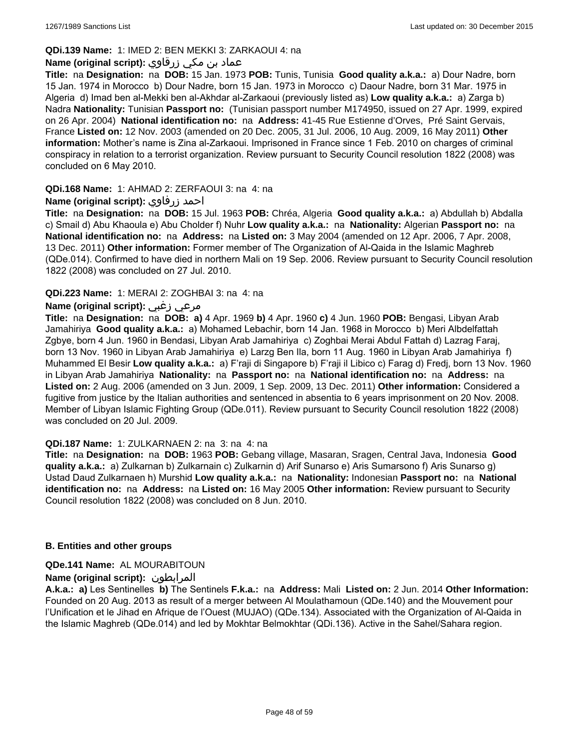### **QDi.139 Name:** 1: IMED 2: BEN MEKKI 3: ZARKAOUI 4: na

### عماد بن مكي زرقاوي **:(script original (Name**

**Title:** na **Designation:** na **DOB:** 15 Jan. 1973 **POB:** Tunis, Tunisia **Good quality a.k.a.:** a) Dour Nadre, born 15 Jan. 1974 in Morocco b) Dour Nadre, born 15 Jan. 1973 in Morocco c) Daour Nadre, born 31 Mar. 1975 in Algeria d) Imad ben al-Mekki ben al-Akhdar al-Zarkaoui (previously listed as) **Low quality a.k.a.:** a) Zarga b) Nadra **Nationality:** Tunisian **Passport no:** (Tunisian passport number M174950, issued on 27 Apr. 1999, expired on 26 Apr. 2004) **National identification no:** na **Address:** 41-45 Rue Estienne d'Orves, Pré Saint Gervais, France **Listed on:** 12 Nov. 2003 (amended on 20 Dec. 2005, 31 Jul. 2006, 10 Aug. 2009, 16 May 2011) **Other information:** Mother's name is Zina al-Zarkaoui. Imprisoned in France since 1 Feb. 2010 on charges of criminal conspiracy in relation to a terrorist organization. Review pursuant to Security Council resolution 1822 (2008) was concluded on 6 May 2010.

### **QDi.168 Name:** 1: AHMAD 2: ZERFAOUI 3: na 4: na

### **Name (original script):** زرفاوي احمد

**Title:** na **Designation:** na **DOB:** 15 Jul. 1963 **POB:** Chréa, Algeria **Good quality a.k.a.:** a) Abdullah b) Abdalla c) Smail d) Abu Khaoula e) Abu Cholder f) Nuhr **Low quality a.k.a.:** na **Nationality:** Algerian **Passport no:** na **National identification no:** na **Address:** na **Listed on:** 3 May 2004 (amended on 12 Apr. 2006, 7 Apr. 2008, 13 Dec. 2011) **Other information:** Former member of The Organization of Al-Qaida in the Islamic Maghreb (QDe.014). Confirmed to have died in northern Mali on 19 Sep. 2006. Review pursuant to Security Council resolution 1822 (2008) was concluded on 27 Jul. 2010.

### **QDi.223 Name:** 1: MERAI 2: ZOGHBAI 3: na 4: na

### **Name (original script):** زغبي مرعي

**Title:** na **Designation:** na **DOB: a)** 4 Apr. 1969 **b)** 4 Apr. 1960 **c)** 4 Jun. 1960 **POB:** Bengasi, Libyan Arab Jamahiriya **Good quality a.k.a.:** a) Mohamed Lebachir, born 14 Jan. 1968 in Morocco b) Meri Albdelfattah Zgbye, born 4 Jun. 1960 in Bendasi, Libyan Arab Jamahiriya c) Zoghbai Merai Abdul Fattah d) Lazrag Faraj, born 13 Nov. 1960 in Libyan Arab Jamahiriya e) Larzg Ben Ila, born 11 Aug. 1960 in Libyan Arab Jamahiriya f) Muhammed El Besir **Low quality a.k.a.:** a) F'raji di Singapore b) F'raji il Libico c) Farag d) Fredj, born 13 Nov. 1960 in Libyan Arab Jamahiriya **Nationality:** na **Passport no:** na **National identification no:** na **Address:** na **Listed on:** 2 Aug. 2006 (amended on 3 Jun. 2009, 1 Sep. 2009, 13 Dec. 2011) **Other information:** Considered a fugitive from justice by the Italian authorities and sentenced in absentia to 6 years imprisonment on 20 Nov. 2008. Member of Libyan Islamic Fighting Group (QDe.011). Review pursuant to Security Council resolution 1822 (2008) was concluded on 20 Jul. 2009.

#### **QDi.187 Name:** 1: ZULKARNAEN 2: na 3: na 4: na

**Title:** na **Designation:** na **DOB:** 1963 **POB:** Gebang village, Masaran, Sragen, Central Java, Indonesia **Good quality a.k.a.:** a) Zulkarnan b) Zulkarnain c) Zulkarnin d) Arif Sunarso e) Aris Sumarsono f) Aris Sunarso g) Ustad Daud Zulkarnaen h) Murshid **Low quality a.k.a.:** na **Nationality:** Indonesian **Passport no:** na **National identification no:** na **Address:** na **Listed on:** 16 May 2005 **Other information:** Review pursuant to Security Council resolution 1822 (2008) was concluded on 8 Jun. 2010.

#### **B. Entities and other groups**

#### **QDe.141 Name:** AL MOURABITOUN

### **Name (original script):** المرابطون

**A.k.a.: a)** Les Sentinelles **b)** The Sentinels **F.k.a.:** na **Address:** Mali **Listed on:** 2 Jun. 2014 **Other Information:**  Founded on 20 Aug. 2013 as result of a merger between Al Moulathamoun (QDe.140) and the Mouvement pour l'Unification et le Jihad en Afrique de l'Ouest (MUJAO) (QDe.134). Associated with the Organization of Al-Qaida in the Islamic Maghreb (QDe.014) and led by Mokhtar Belmokhtar (QDi.136). Active in the Sahel/Sahara region.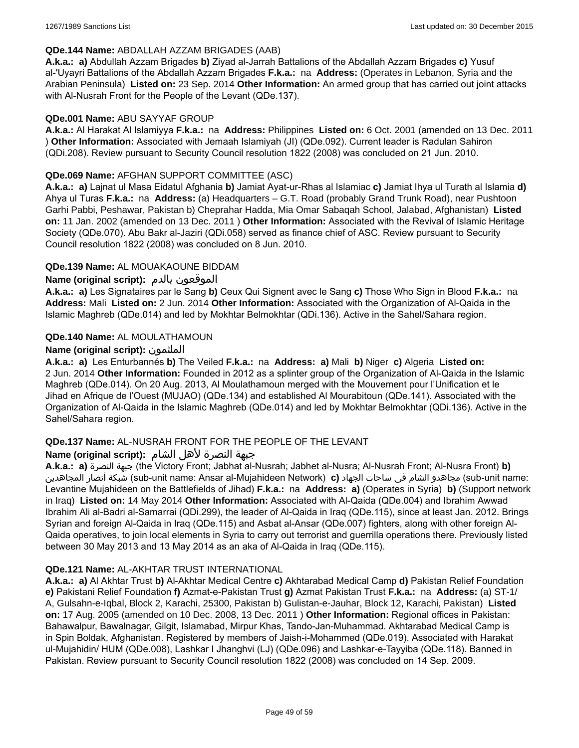#### **QDe.144 Name:** ABDALLAH AZZAM BRIGADES (AAB)

**A.k.a.: a)** Abdullah Azzam Brigades **b)** Ziyad al-Jarrah Battalions of the Abdallah Azzam Brigades **c)** Yusuf al-'Uyayri Battalions of the Abdallah Azzam Brigades **F.k.a.:** na **Address:** (Operates in Lebanon, Syria and the Arabian Peninsula) **Listed on:** 23 Sep. 2014 **Other Information:** An armed group that has carried out joint attacks with Al-Nusrah Front for the People of the Levant (QDe.137).

#### **QDe.001 Name:** ABU SAYYAF GROUP

**A.k.a.:** Al Harakat Al Islamiyya **F.k.a.:** na **Address:** Philippines **Listed on:** 6 Oct. 2001 (amended on 13 Dec. 2011 ) **Other Information:** Associated with Jemaah Islamiyah (JI) (QDe.092). Current leader is Radulan Sahiron (QDi.208). Review pursuant to Security Council resolution 1822 (2008) was concluded on 21 Jun. 2010.

### **QDe.069 Name:** AFGHAN SUPPORT COMMITTEE (ASC)

**A.k.a.: a)** Lajnat ul Masa Eidatul Afghania **b)** Jamiat Ayat-ur-Rhas al Islamiac **c)** Jamiat Ihya ul Turath al Islamia **d)** Ahya ul Turas **F.k.a.:** na **Address:** (a) Headquarters – G.T. Road (probably Grand Trunk Road), near Pushtoon Garhi Pabbi, Peshawar, Pakistan b) Cheprahar Hadda, Mia Omar Sabaqah School, Jalabad, Afghanistan) **Listed on:** 11 Jan. 2002 (amended on 13 Dec. 2011 ) **Other Information:** Associated with the Revival of Islamic Heritage Society (QDe.070). Abu Bakr al-Jaziri (QDi.058) served as finance chief of ASC. Review pursuant to Security Council resolution 1822 (2008) was concluded on 8 Jun. 2010.

### **QDe.139 Name:** AL MOUAKAOUNE BIDDAM

### **Name (original script):** بالدم الموقعون

**A.k.a.: a)** Les Signataires par le Sang **b)** Ceux Qui Signent avec le Sang **c)** Those Who Sign in Blood **F.k.a.:** na **Address:** Mali **Listed on:** 2 Jun. 2014 **Other Information:** Associated with the Organization of Al-Qaida in the Islamic Maghreb (QDe.014) and led by Mokhtar Belmokhtar (QDi.136). Active in the Sahel/Sahara region.

### **QDe.140 Name:** AL MOULATHAMOUN

### **Name (original script):** الملثمون

**A.k.a.: a)** Les Enturbannés **b)** The Veiled **F.k.a.:** na **Address: a)** Mali **b)** Niger **c)** Algeria **Listed on:** 2 Jun. 2014 **Other Information:** Founded in 2012 as a splinter group of the Organization of Al-Qaida in the Islamic Maghreb (QDe.014). On 20 Aug. 2013, Al Moulathamoun merged with the Mouvement pour l'Unification et le Jihad en Afrique de l'Ouest (MUJAO) (QDe.134) and established Al Mourabitoun (QDe.141). Associated with the Organization of Al-Qaida in the Islamic Maghreb (QDe.014) and led by Mokhtar Belmokhtar (QDi.136). Active in the Sahel/Sahara region.

### **QDe.137 Name:** AL-NUSRAH FRONT FOR THE PEOPLE OF THE LEVANT

### جبهة النصرة لأهل الشام **:(script original (Name**

**A.k.a.: a)** النصرة جبهة) the Victory Front; Jabhat al-Nusrah; Jabhet al-Nusra; Al-Nusrah Front; Al-Nusra Front) **b)**  المجاهدين أنصار شبكة) sub-unit name: Ansar al-Mujahideen Network) **c)** الجهاد ساحات في الشام مجاهدو) sub-unit name: Levantine Mujahideen on the Battlefields of Jihad) **F.k.a.:** na **Address: a)** (Operates in Syria) **b)** (Support network in Iraq) **Listed on:** 14 May 2014 **Other Information:** Associated with Al-Qaida (QDe.004) and Ibrahim Awwad Ibrahim Ali al-Badri al-Samarrai (QDi.299), the leader of Al-Qaida in Iraq (QDe.115), since at least Jan. 2012. Brings Syrian and foreign Al-Qaida in Iraq (QDe.115) and Asbat al-Ansar (QDe.007) fighters, along with other foreign Al-Qaida operatives, to join local elements in Syria to carry out terrorist and guerrilla operations there. Previously listed between 30 May 2013 and 13 May 2014 as an aka of Al-Qaida in Iraq (QDe.115).

#### **QDe.121 Name:** AL-AKHTAR TRUST INTERNATIONAL

**A.k.a.: a)** Al Akhtar Trust **b)** Al-Akhtar Medical Centre **c)** Akhtarabad Medical Camp **d)** Pakistan Relief Foundation **e)** Pakistani Relief Foundation **f)** Azmat-e-Pakistan Trust **g)** Azmat Pakistan Trust **F.k.a.:** na **Address:** (a) ST-1/ A, Gulsahn-e-Iqbal, Block 2, Karachi, 25300, Pakistan b) Gulistan-e-Jauhar, Block 12, Karachi, Pakistan) **Listed on:** 17 Aug. 2005 (amended on 10 Dec. 2008, 13 Dec. 2011 ) **Other Information:** Regional offices in Pakistan: Bahawalpur, Bawalnagar, Gilgit, Islamabad, Mirpur Khas, Tando-Jan-Muhammad. Akhtarabad Medical Camp is in Spin Boldak, Afghanistan. Registered by members of Jaish-i-Mohammed (QDe.019). Associated with Harakat ul-Mujahidin/ HUM (QDe.008), Lashkar I Jhanghvi (LJ) (QDe.096) and Lashkar-e-Tayyiba (QDe.118). Banned in Pakistan. Review pursuant to Security Council resolution 1822 (2008) was concluded on 14 Sep. 2009.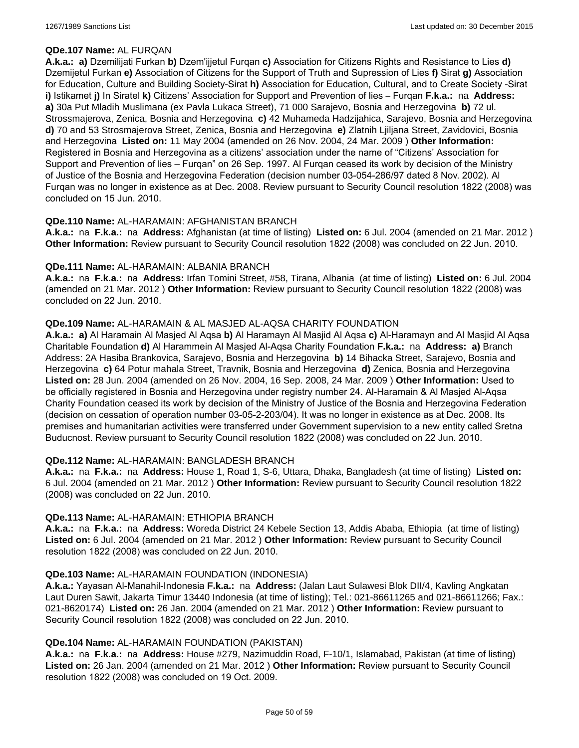### **QDe.107 Name:** AL FURQAN

**A.k.a.: a)** Dzemilijati Furkan **b)** Dzem'ijjetul Furqan **c)** Association for Citizens Rights and Resistance to Lies **d)** Dzemijetul Furkan **e)** Association of Citizens for the Support of Truth and Supression of Lies **f)** Sirat **g)** Association for Education, Culture and Building Society-Sirat **h)** Association for Education, Cultural, and to Create Society -Sirat **i)** Istikamet **j)** In Siratel **k)** Citizens' Association for Support and Prevention of lies – Furqan **F.k.a.:** na **Address: a)** 30a Put Mladih Muslimana (ex Pavla Lukaca Street), 71 000 Sarajevo, Bosnia and Herzegovina **b)** 72 ul. Strossmajerova, Zenica, Bosnia and Herzegovina **c)** 42 Muhameda Hadzijahica, Sarajevo, Bosnia and Herzegovina **d)** 70 and 53 Strosmajerova Street, Zenica, Bosnia and Herzegovina **e)** Zlatnih Ljiljana Street, Zavidovici, Bosnia and Herzegovina **Listed on:** 11 May 2004 (amended on 26 Nov. 2004, 24 Mar. 2009 ) **Other Information:** Registered in Bosnia and Herzegovina as a citizens' association under the name of "Citizens' Association for Support and Prevention of lies – Furqan" on 26 Sep. 1997. Al Furqan ceased its work by decision of the Ministry of Justice of the Bosnia and Herzegovina Federation (decision number 03-054-286/97 dated 8 Nov. 2002). Al Furqan was no longer in existence as at Dec. 2008. Review pursuant to Security Council resolution 1822 (2008) was concluded on 15 Jun. 2010.

### **QDe.110 Name:** AL-HARAMAIN: AFGHANISTAN BRANCH

**A.k.a.:** na **F.k.a.:** na **Address:** Afghanistan (at time of listing) **Listed on:** 6 Jul. 2004 (amended on 21 Mar. 2012 ) **Other Information:** Review pursuant to Security Council resolution 1822 (2008) was concluded on 22 Jun. 2010.

#### **QDe.111 Name:** AL-HARAMAIN: ALBANIA BRANCH

**A.k.a.:** na **F.k.a.:** na **Address:** Irfan Tomini Street, #58, Tirana, Albania (at time of listing) **Listed on:** 6 Jul. 2004 (amended on 21 Mar. 2012 ) **Other Information:** Review pursuant to Security Council resolution 1822 (2008) was concluded on 22 Jun. 2010.

### **QDe.109 Name:** AL-HARAMAIN & AL MASJED AL-AQSA CHARITY FOUNDATION

**A.k.a.: a)** Al Haramain Al Masjed Al Aqsa **b)** Al Haramayn Al Masjid Al Aqsa **c)** Al-Haramayn and Al Masjid Al Aqsa Charitable Foundation **d)** Al Harammein Al Masjed Al-Aqsa Charity Foundation **F.k.a.:** na **Address: a)** Branch Address: 2A Hasiba Brankovica, Sarajevo, Bosnia and Herzegovina **b)** 14 Bihacka Street, Sarajevo, Bosnia and Herzegovina **c)** 64 Potur mahala Street, Travnik, Bosnia and Herzegovina **d)** Zenica, Bosnia and Herzegovina **Listed on:** 28 Jun. 2004 (amended on 26 Nov. 2004, 16 Sep. 2008, 24 Mar. 2009 ) **Other Information:** Used to be officially registered in Bosnia and Herzegovina under registry number 24. Al-Haramain & Al Masjed Al-Aqsa Charity Foundation ceased its work by decision of the Ministry of Justice of the Bosnia and Herzegovina Federation (decision on cessation of operation number 03-05-2-203/04). It was no longer in existence as at Dec. 2008. Its premises and humanitarian activities were transferred under Government supervision to a new entity called Sretna Buducnost. Review pursuant to Security Council resolution 1822 (2008) was concluded on 22 Jun. 2010.

### **QDe.112 Name:** AL-HARAMAIN: BANGLADESH BRANCH

**A.k.a.:** na **F.k.a.:** na **Address:** House 1, Road 1, S-6, Uttara, Dhaka, Bangladesh (at time of listing) **Listed on:** 6 Jul. 2004 (amended on 21 Mar. 2012 ) **Other Information:** Review pursuant to Security Council resolution 1822 (2008) was concluded on 22 Jun. 2010.

#### **QDe.113 Name:** AL-HARAMAIN: ETHIOPIA BRANCH

**A.k.a.:** na **F.k.a.:** na **Address:** Woreda District 24 Kebele Section 13, Addis Ababa, Ethiopia (at time of listing) **Listed on:** 6 Jul. 2004 (amended on 21 Mar. 2012 ) **Other Information:** Review pursuant to Security Council resolution 1822 (2008) was concluded on 22 Jun. 2010.

### **QDe.103 Name:** AL-HARAMAIN FOUNDATION (INDONESIA)

**A.k.a.:** Yayasan Al-Manahil-Indonesia **F.k.a.:** na **Address:** (Jalan Laut Sulawesi Blok DII/4, Kavling Angkatan Laut Duren Sawit, Jakarta Timur 13440 Indonesia (at time of listing); Tel.: 021-86611265 and 021-86611266; Fax.: 021-8620174) **Listed on:** 26 Jan. 2004 (amended on 21 Mar. 2012 ) **Other Information:** Review pursuant to Security Council resolution 1822 (2008) was concluded on 22 Jun. 2010.

#### **QDe.104 Name:** AL-HARAMAIN FOUNDATION (PAKISTAN)

**A.k.a.:** na **F.k.a.:** na **Address:** House #279, Nazimuddin Road, F-10/1, Islamabad, Pakistan (at time of listing) **Listed on:** 26 Jan. 2004 (amended on 21 Mar. 2012 ) **Other Information:** Review pursuant to Security Council resolution 1822 (2008) was concluded on 19 Oct. 2009.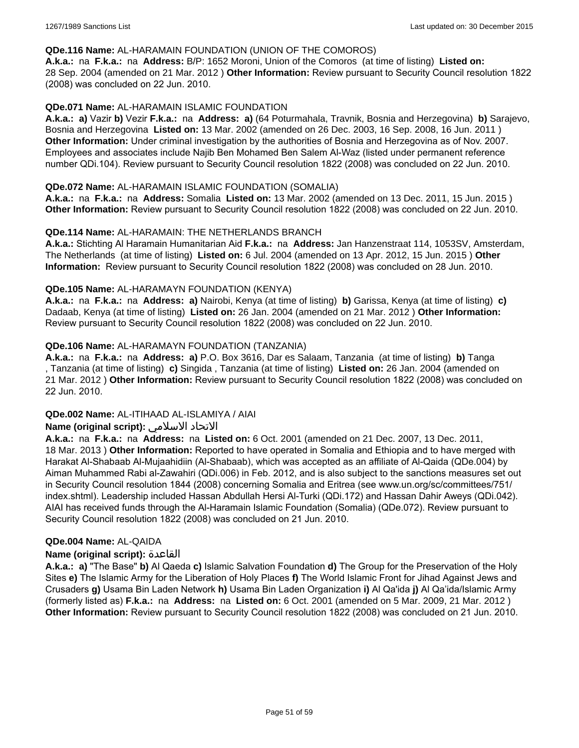#### **QDe.116 Name:** AL-HARAMAIN FOUNDATION (UNION OF THE COMOROS)

**A.k.a.:** na **F.k.a.:** na **Address:** B/P: 1652 Moroni, Union of the Comoros (at time of listing) **Listed on:** 28 Sep. 2004 (amended on 21 Mar. 2012 ) **Other Information:** Review pursuant to Security Council resolution 1822 (2008) was concluded on 22 Jun. 2010.

### **QDe.071 Name:** AL-HARAMAIN ISLAMIC FOUNDATION

**A.k.a.: a)** Vazir **b)** Vezir **F.k.a.:** na **Address: a)** (64 Poturmahala, Travnik, Bosnia and Herzegovina) **b)** Sarajevo, Bosnia and Herzegovina **Listed on:** 13 Mar. 2002 (amended on 26 Dec. 2003, 16 Sep. 2008, 16 Jun. 2011 ) **Other Information:** Under criminal investigation by the authorities of Bosnia and Herzegovina as of Nov. 2007. Employees and associates include Najib Ben Mohamed Ben Salem Al-Waz (listed under permanent reference number QDi.104). Review pursuant to Security Council resolution 1822 (2008) was concluded on 22 Jun. 2010.

#### **QDe.072 Name:** AL-HARAMAIN ISLAMIC FOUNDATION (SOMALIA)

**A.k.a.:** na **F.k.a.:** na **Address:** Somalia **Listed on:** 13 Mar. 2002 (amended on 13 Dec. 2011, 15 Jun. 2015 ) **Other Information:** Review pursuant to Security Council resolution 1822 (2008) was concluded on 22 Jun. 2010.

### **QDe.114 Name:** AL-HARAMAIN: THE NETHERLANDS BRANCH

**A.k.a.:** Stichting Al Haramain Humanitarian Aid **F.k.a.:** na **Address:** Jan Hanzenstraat 114, 1053SV, Amsterdam, The Netherlands (at time of listing) **Listed on:** 6 Jul. 2004 (amended on 13 Apr. 2012, 15 Jun. 2015 ) **Other Information:** Review pursuant to Security Council resolution 1822 (2008) was concluded on 28 Jun. 2010.

### **QDe.105 Name:** AL-HARAMAYN FOUNDATION (KENYA)

**A.k.a.:** na **F.k.a.:** na **Address: a)** Nairobi, Kenya (at time of listing) **b)** Garissa, Kenya (at time of listing) **c)** Dadaab, Kenya (at time of listing) **Listed on:** 26 Jan. 2004 (amended on 21 Mar. 2012 ) **Other Information:** Review pursuant to Security Council resolution 1822 (2008) was concluded on 22 Jun. 2010.

### **QDe.106 Name:** AL-HARAMAYN FOUNDATION (TANZANIA)

**A.k.a.:** na **F.k.a.:** na **Address: a)** P.O. Box 3616, Dar es Salaam, Tanzania (at time of listing) **b)** Tanga , Tanzania (at time of listing) **c)** Singida , Tanzania (at time of listing) **Listed on:** 26 Jan. 2004 (amended on 21 Mar. 2012 ) **Other Information:** Review pursuant to Security Council resolution 1822 (2008) was concluded on 22 Jun. 2010.

#### **QDe.002 Name:** AL-ITIHAAD AL-ISLAMIYA / AIAI

### **Name (original script):** الاسلامي الاتحاد

**A.k.a.:** na **F.k.a.:** na **Address:** na **Listed on:** 6 Oct. 2001 (amended on 21 Dec. 2007, 13 Dec. 2011, 18 Mar. 2013 ) **Other Information:** Reported to have operated in Somalia and Ethiopia and to have merged with Harakat Al-Shabaab Al-Mujaahidiin (Al-Shabaab), which was accepted as an affiliate of Al-Qaida (QDe.004) by Aiman Muhammed Rabi al-Zawahiri (QDi.006) in Feb. 2012, and is also subject to the sanctions measures set out in Security Council resolution 1844 (2008) concerning Somalia and Eritrea (see www.un.org/sc/committees/751/ index.shtml). Leadership included Hassan Abdullah Hersi Al-Turki (QDi.172) and Hassan Dahir Aweys (QDi.042). AIAI has received funds through the Al-Haramain Islamic Foundation (Somalia) (QDe.072). Review pursuant to Security Council resolution 1822 (2008) was concluded on 21 Jun. 2010.

#### **QDe.004 Name:** AL-QAIDA

#### **Name (original script):** القاعدة

**A.k.a.: a)** "The Base" **b)** Al Qaeda **c)** Islamic Salvation Foundation **d)** The Group for the Preservation of the Holy Sites **e)** The Islamic Army for the Liberation of Holy Places **f)** The World Islamic Front for Jihad Against Jews and Crusaders **g)** Usama Bin Laden Network **h)** Usama Bin Laden Organization **i)** Al Qa'ida **j)** Al Qa'ida/Islamic Army (formerly listed as) **F.k.a.:** na **Address:** na **Listed on:** 6 Oct. 2001 (amended on 5 Mar. 2009, 21 Mar. 2012 ) **Other Information:** Review pursuant to Security Council resolution 1822 (2008) was concluded on 21 Jun. 2010.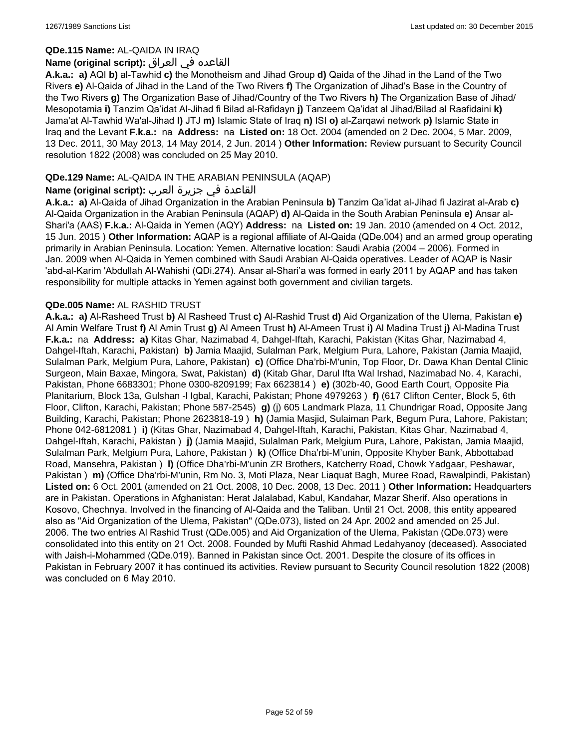#### **QDe.115 Name:** AL-QAIDA IN IRAQ

### القاعده في العراق **:(script original (Name**

**A.k.a.: a)** AQI **b)** al-Tawhid **c)** the Monotheism and Jihad Group **d)** Qaida of the Jihad in the Land of the Two Rivers **e)** Al-Qaida of Jihad in the Land of the Two Rivers **f)** The Organization of Jihad's Base in the Country of the Two Rivers **g)** The Organization Base of Jihad/Country of the Two Rivers **h)** The Organization Base of Jihad/ Mesopotamia **i)** Tanzim Qa'idat Al-Jihad fi Bilad al-Rafidayn **j)** Tanzeem Qa'idat al Jihad/Bilad al Raafidaini **k)** Jama'at Al-Tawhid Wa'al-Jihad **l)** JTJ **m)** Islamic State of Iraq **n)** ISI **o)** al-Zarqawi network **p)** Islamic State in Iraq and the Levant **F.k.a.:** na **Address:** na **Listed on:** 18 Oct. 2004 (amended on 2 Dec. 2004, 5 Mar. 2009, 13 Dec. 2011, 30 May 2013, 14 May 2014, 2 Jun. 2014 ) **Other Information:** Review pursuant to Security Council resolution 1822 (2008) was concluded on 25 May 2010.

### **QDe.129 Name:** AL-QAIDA IN THE ARABIAN PENINSULA (AQAP)

### القاعدة في جزيرة العرب **:(script original (Name**

**A.k.a.: a)** Al-Qaida of Jihad Organization in the Arabian Peninsula **b)** Tanzim Qa'idat al-Jihad fi Jazirat al-Arab **c)** Al-Qaida Organization in the Arabian Peninsula (AQAP) **d)** Al-Qaida in the South Arabian Peninsula **e)** Ansar al-Shari'a (AAS) **F.k.a.:** Al-Qaida in Yemen (AQY) **Address:** na **Listed on:** 19 Jan. 2010 (amended on 4 Oct. 2012, 15 Jun. 2015 ) **Other Information:** AQAP is a regional affiliate of Al-Qaida (QDe.004) and an armed group operating primarily in Arabian Peninsula. Location: Yemen. Alternative location: Saudi Arabia (2004 – 2006). Formed in Jan. 2009 when Al-Qaida in Yemen combined with Saudi Arabian Al-Qaida operatives. Leader of AQAP is Nasir 'abd-al-Karim 'Abdullah Al-Wahishi (QDi.274). Ansar al-Shari'a was formed in early 2011 by AQAP and has taken responsibility for multiple attacks in Yemen against both government and civilian targets.

### **QDe.005 Name:** AL RASHID TRUST

**A.k.a.: a)** Al-Rasheed Trust **b)** Al Rasheed Trust **c)** Al-Rashid Trust **d)** Aid Organization of the Ulema, Pakistan **e)** Al Amin Welfare Trust **f)** Al Amin Trust **g)** Al Ameen Trust **h)** Al-Ameen Trust **i)** Al Madina Trust **j)** Al-Madina Trust **F.k.a.:** na **Address: a)** Kitas Ghar, Nazimabad 4, Dahgel-Iftah, Karachi, Pakistan (Kitas Ghar, Nazimabad 4, Dahgel-Iftah, Karachi, Pakistan) **b)** Jamia Maajid, Sulalman Park, Melgium Pura, Lahore, Pakistan (Jamia Maajid, Sulalman Park, Melgium Pura, Lahore, Pakistan) **c)** (Office Dha'rbi-M'unin, Top Floor, Dr. Dawa Khan Dental Clinic Surgeon, Main Baxae, Mingora, Swat, Pakistan) **d)** (Kitab Ghar, Darul Ifta Wal Irshad, Nazimabad No. 4, Karachi, Pakistan, Phone 6683301; Phone 0300-8209199; Fax 6623814 ) **e)** (302b-40, Good Earth Court, Opposite Pia Planitarium, Block 13a, Gulshan -l Igbal, Karachi, Pakistan; Phone 4979263 ) **f)** (617 Clifton Center, Block 5, 6th Floor, Clifton, Karachi, Pakistan; Phone 587-2545) **g)** (j) 605 Landmark Plaza, 11 Chundrigar Road, Opposite Jang Building, Karachi, Pakistan; Phone 2623818-19 ) **h)** (Jamia Masjid, Sulaiman Park, Begum Pura, Lahore, Pakistan; Phone 042-6812081 ) **i)** (Kitas Ghar, Nazimabad 4, Dahgel-Iftah, Karachi, Pakistan, Kitas Ghar, Nazimabad 4, Dahgel-Iftah, Karachi, Pakistan ) **j)** (Jamia Maajid, Sulalman Park, Melgium Pura, Lahore, Pakistan, Jamia Maajid, Sulalman Park, Melgium Pura, Lahore, Pakistan ) **k)** (Office Dha'rbi-M'unin, Opposite Khyber Bank, Abbottabad Road, Mansehra, Pakistan ) **l)** (Office Dha'rbi-M'unin ZR Brothers, Katcherry Road, Chowk Yadgaar, Peshawar, Pakistan ) **m)** (Office Dha'rbi-M'unin, Rm No. 3, Moti Plaza, Near Liaquat Bagh, Muree Road, Rawalpindi, Pakistan) **Listed on:** 6 Oct. 2001 (amended on 21 Oct. 2008, 10 Dec. 2008, 13 Dec. 2011 ) **Other Information:** Headquarters are in Pakistan. Operations in Afghanistan: Herat Jalalabad, Kabul, Kandahar, Mazar Sherif. Also operations in Kosovo, Chechnya. Involved in the financing of Al-Qaida and the Taliban. Until 21 Oct. 2008, this entity appeared also as "Aid Organization of the Ulema, Pakistan" (QDe.073), listed on 24 Apr. 2002 and amended on 25 Jul. 2006. The two entries Al Rashid Trust (QDe.005) and Aid Organization of the Ulema, Pakistan (QDe.073) were consolidated into this entity on 21 Oct. 2008. Founded by Mufti Rashid Ahmad Ledahyanoy (deceased). Associated with Jaish-i-Mohammed (QDe.019). Banned in Pakistan since Oct. 2001. Despite the closure of its offices in Pakistan in February 2007 it has continued its activities. Review pursuant to Security Council resolution 1822 (2008) was concluded on 6 May 2010.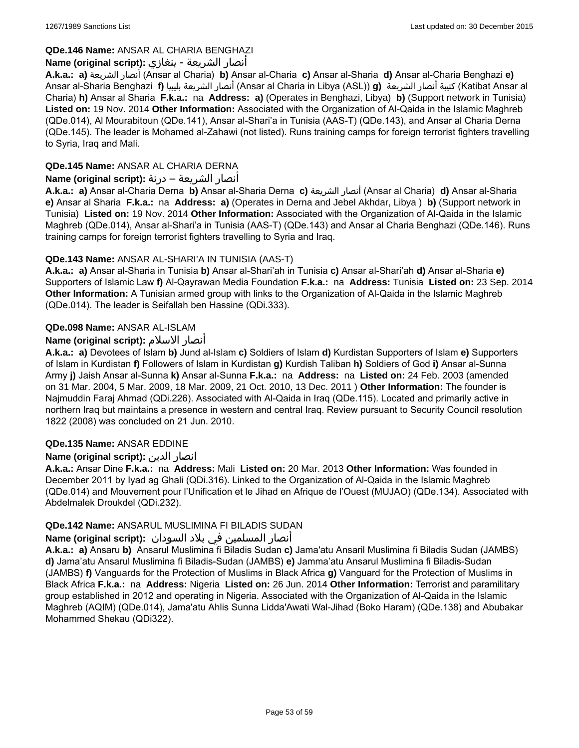## **QDe.146 Name:** ANSAR AL CHARIA BENGHAZI

### أنصار الشريعة - بنغازي **:(script original (Name**

**A.k.a.: a)** الشريعة أنصار) Ansar al Charia) **b)** Ansar al-Charia **c)** Ansar al-Sharia **d)** Ansar al-Charia Benghazi **e)** Ansar al-Sharia Benghazi **f)** بليبيا الشريعة أنصار) Ansar al Charia in Libya (ASL)) **g)** الشريعة أنصار كتيبة) Katibat Ansar al Charia) **h)** Ansar al Sharia **F.k.a.:** na **Address: a)** (Operates in Benghazi, Libya) **b)** (Support network in Tunisia) **Listed on:** 19 Nov. 2014 **Other Information:** Associated with the Organization of Al-Qaida in the Islamic Maghreb (QDe.014), Al Mourabitoun (QDe.141), Ansar al-Shari'a in Tunisia (AAS-T) (QDe.143), and Ansar al Charia Derna (QDe.145). The leader is Mohamed al-Zahawi (not listed). Runs training camps for foreign terrorist fighters travelling to Syria, Iraq and Mali.

# **QDe.145 Name:** ANSAR AL CHARIA DERNA

## أنصار الشريعة – درنة **:(script original (Name**

**A.k.a.: a)** Ansar al-Charia Derna **b)** Ansar al-Sharia Derna **c)** الشريعة أنصار) Ansar al Charia) **d)** Ansar al-Sharia **e)** Ansar al Sharia **F.k.a.:** na **Address: a)** (Operates in Derna and Jebel Akhdar, Libya ) **b)** (Support network in Tunisia) **Listed on:** 19 Nov. 2014 **Other Information:** Associated with the Organization of Al-Qaida in the Islamic Maghreb (QDe.014), Ansar al-Shari'a in Tunisia (AAS-T) (QDe.143) and Ansar al Charia Benghazi (QDe.146). Runs training camps for foreign terrorist fighters travelling to Syria and Iraq.

# **QDe.143 Name:** ANSAR AL-SHARI'A IN TUNISIA (AAS-T)

**A.k.a.: a)** Ansar al-Sharia in Tunisia **b)** Ansar al-Shari'ah in Tunisia **c)** Ansar al-Shari'ah **d)** Ansar al-Sharia **e)** Supporters of Islamic Law **f)** Al-Qayrawan Media Foundation **F.k.a.:** na **Address:** Tunisia **Listed on:** 23 Sep. 2014 **Other Information:** A Tunisian armed group with links to the Organization of Al-Qaida in the Islamic Maghreb (QDe.014). The leader is Seifallah ben Hassine (QDi.333).

# **QDe.098 Name:** ANSAR AL-ISLAM

# **Name (original script):** الاسلام أنصار

**A.k.a.: a)** Devotees of Islam **b)** Jund al-Islam **c)** Soldiers of Islam **d)** Kurdistan Supporters of Islam **e)** Supporters of Islam in Kurdistan **f)** Followers of Islam in Kurdistan **g)** Kurdish Taliban **h)** Soldiers of God **i)** Ansar al-Sunna Army **j)** Jaish Ansar al-Sunna **k)** Ansar al-Sunna **F.k.a.:** na **Address:** na **Listed on:** 24 Feb. 2003 (amended on 31 Mar. 2004, 5 Mar. 2009, 18 Mar. 2009, 21 Oct. 2010, 13 Dec. 2011 ) **Other Information:** The founder is Najmuddin Faraj Ahmad (QDi.226). Associated with Al-Qaida in Iraq (QDe.115). Located and primarily active in northern Iraq but maintains a presence in western and central Iraq. Review pursuant to Security Council resolution 1822 (2008) was concluded on 21 Jun. 2010.

### **QDe.135 Name:** ANSAR EDDINE

### **Name (original script):** الدين انصار

**A.k.a.:** Ansar Dine **F.k.a.:** na **Address:** Mali **Listed on:** 20 Mar. 2013 **Other Information:** Was founded in December 2011 by Iyad ag Ghali (QDi.316). Linked to the Organization of Al-Qaida in the Islamic Maghreb (QDe.014) and Mouvement pour l'Unification et le Jihad en Afrique de l'Ouest (MUJAO) (QDe.134). Associated with Abdelmalek Droukdel (QDi.232).

### **QDe.142 Name:** ANSARUL MUSLIMINA FI BILADIS SUDAN

## أنصار المسلمین في بلاد السودان **:(script original (Name**

**A.k.a.: a)** Ansaru **b)** Ansarul Muslimina fi Biladis Sudan **c)** Jama'atu Ansaril Muslimina fi Biladis Sudan (JAMBS) **d)** Jama'atu Ansarul Muslimina fi Biladis-Sudan (JAMBS) **e)** Jamma'atu Ansarul Muslimina fi Biladis-Sudan (JAMBS) **f)** Vanguards for the Protection of Muslims in Black Africa **g)** Vanguard for the Protection of Muslims in Black Africa **F.k.a.:** na **Address:** Nigeria **Listed on:** 26 Jun. 2014 **Other Information:** Terrorist and paramilitary group established in 2012 and operating in Nigeria. Associated with the Organization of Al-Qaida in the Islamic Maghreb (AQIM) (QDe.014), Jama'atu Ahlis Sunna Lidda'Awati Wal-Jihad (Boko Haram) (QDe.138) and Abubakar Mohammed Shekau (QDi322).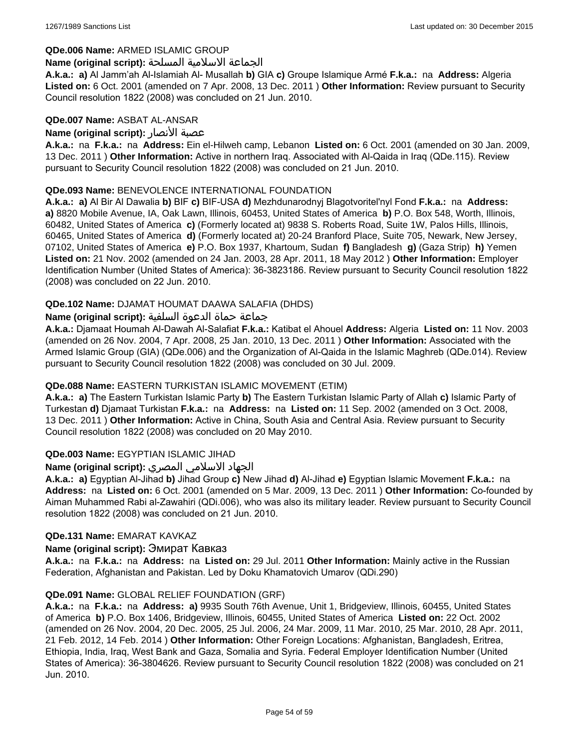### **QDe.006 Name:** ARMED ISLAMIC GROUP

#### الجماعة الاسلامية المسلحة **:(script original (Name**

**A.k.a.: a)** Al Jamm'ah Al-Islamiah Al- Musallah **b)** GIA **c)** Groupe Islamique Armé **F.k.a.:** na **Address:** Algeria **Listed on:** 6 Oct. 2001 (amended on 7 Apr. 2008, 13 Dec. 2011 ) **Other Information:** Review pursuant to Security Council resolution 1822 (2008) was concluded on 21 Jun. 2010.

### **QDe.007 Name:** ASBAT AL-ANSAR

### **Name (original script):** الأنصار عصبة

**A.k.a.:** na **F.k.a.:** na **Address:** Ein el-Hilweh camp, Lebanon **Listed on:** 6 Oct. 2001 (amended on 30 Jan. 2009, 13 Dec. 2011 ) **Other Information:** Active in northern Iraq. Associated with Al-Qaida in Iraq (QDe.115). Review pursuant to Security Council resolution 1822 (2008) was concluded on 21 Jun. 2010.

### **QDe.093 Name:** BENEVOLENCE INTERNATIONAL FOUNDATION

**A.k.a.: a)** Al Bir Al Dawalia **b)** BIF **c)** BIF-USA **d)** Mezhdunarodnyj Blagotvoritel'nyl Fond **F.k.a.:** na **Address: a)** 8820 Mobile Avenue, IA, Oak Lawn, Illinois, 60453, United States of America **b)** P.O. Box 548, Worth, Illinois, 60482, United States of America **c)** (Formerly located at) 9838 S. Roberts Road, Suite 1W, Palos Hills, Illinois, 60465, United States of America **d)** (Formerly located at) 20-24 Branford Place, Suite 705, Newark, New Jersey, 07102, United States of America **e)** P.O. Box 1937, Khartoum, Sudan **f)** Bangladesh **g)** (Gaza Strip) **h)** Yemen **Listed on:** 21 Nov. 2002 (amended on 24 Jan. 2003, 28 Apr. 2011, 18 May 2012 ) **Other Information:** Employer Identification Number (United States of America): 36-3823186. Review pursuant to Security Council resolution 1822 (2008) was concluded on 22 Jun. 2010.

### **QDe.102 Name:** DJAMAT HOUMAT DAAWA SALAFIA (DHDS)

### جماعة حماة الدعوة السلفية **:(script original (Name**

**A.k.a.:** Djamaat Houmah Al-Dawah Al-Salafiat **F.k.a.:** Katibat el Ahouel **Address:** Algeria **Listed on:** 11 Nov. 2003 (amended on 26 Nov. 2004, 7 Apr. 2008, 25 Jan. 2010, 13 Dec. 2011 ) **Other Information:** Associated with the Armed Islamic Group (GIA) (QDe.006) and the Organization of Al-Qaida in the Islamic Maghreb (QDe.014). Review pursuant to Security Council resolution 1822 (2008) was concluded on 30 Jul. 2009.

### **QDe.088 Name:** EASTERN TURKISTAN ISLAMIC MOVEMENT (ETIM)

**A.k.a.: a)** The Eastern Turkistan Islamic Party **b)** The Eastern Turkistan Islamic Party of Allah **c)** Islamic Party of Turkestan **d)** Djamaat Turkistan **F.k.a.:** na **Address:** na **Listed on:** 11 Sep. 2002 (amended on 3 Oct. 2008, 13 Dec. 2011 ) **Other Information:** Active in China, South Asia and Central Asia. Review pursuant to Security Council resolution 1822 (2008) was concluded on 20 May 2010.

### **QDe.003 Name:** EGYPTIAN ISLAMIC JIHAD

### الجهاد الاسلامي المصري **:(script original (Name**

**A.k.a.: a)** Egyptian Al-Jihad **b)** Jihad Group **c)** New Jihad **d)** Al-Jihad **e)** Egyptian Islamic Movement **F.k.a.:** na **Address:** na **Listed on:** 6 Oct. 2001 (amended on 5 Mar. 2009, 13 Dec. 2011 ) **Other Information:** Co-founded by Aiman Muhammed Rabi al-Zawahiri (QDi.006), who was also its military leader. Review pursuant to Security Council resolution 1822 (2008) was concluded on 21 Jun. 2010.

#### **QDe.131 Name:** EMARAT KAVKAZ

#### **Name (original script):** Эмират Кавказ

**A.k.a.:** na **F.k.a.:** na **Address:** na **Listed on:** 29 Jul. 2011 **Other Information:** Mainly active in the Russian Federation, Afghanistan and Pakistan. Led by Doku Khamatovich Umarov (QDi.290)

#### **QDe.091 Name:** GLOBAL RELIEF FOUNDATION (GRF)

**A.k.a.:** na **F.k.a.:** na **Address: a)** 9935 South 76th Avenue, Unit 1, Bridgeview, Illinois, 60455, United States of America **b)** P.O. Box 1406, Bridgeview, Illinois, 60455, United States of America **Listed on:** 22 Oct. 2002 (amended on 26 Nov. 2004, 20 Dec. 2005, 25 Jul. 2006, 24 Mar. 2009, 11 Mar. 2010, 25 Mar. 2010, 28 Apr. 2011, 21 Feb. 2012, 14 Feb. 2014 ) **Other Information:** Other Foreign Locations: Afghanistan, Bangladesh, Eritrea, Ethiopia, India, Iraq, West Bank and Gaza, Somalia and Syria. Federal Employer Identification Number (United States of America): 36-3804626. Review pursuant to Security Council resolution 1822 (2008) was concluded on 21 Jun. 2010.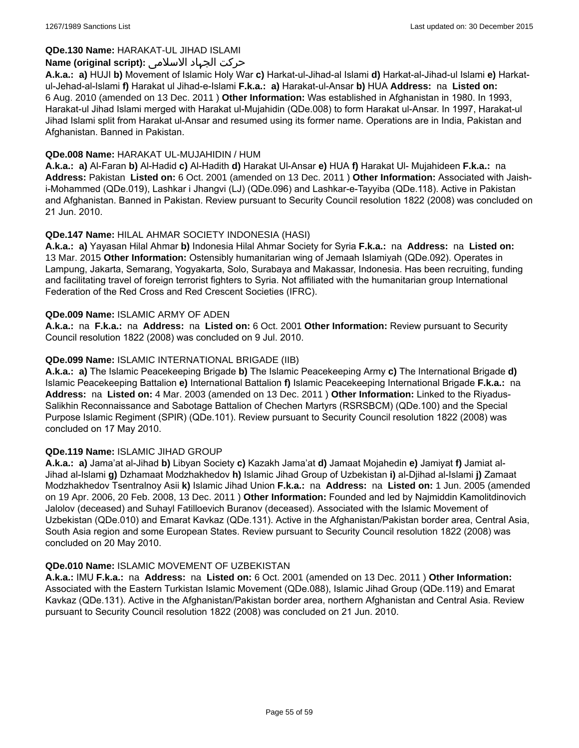### **QDe.130 Name:** HARAKAT-UL JIHAD ISLAMI

### حرکت الجہاد الاسلامی **:(script original (Name**

**A.k.a.: a)** HUJI **b)** Movement of Islamic Holy War **c)** Harkat-ul-Jihad-al Islami **d)** Harkat-al-Jihad-ul Islami **e)** Harkatul-Jehad-al-Islami **f)** Harakat ul Jihad-e-Islami **F.k.a.: a)** Harakat-ul-Ansar **b)** HUA **Address:** na **Listed on:** 6 Aug. 2010 (amended on 13 Dec. 2011 ) **Other Information:** Was established in Afghanistan in 1980. In 1993, Harakat-ul Jihad Islami merged with Harakat ul-Mujahidin (QDe.008) to form Harakat ul-Ansar. In 1997, Harakat-ul Jihad Islami split from Harakat ul-Ansar and resumed using its former name. Operations are in India, Pakistan and Afghanistan. Banned in Pakistan.

### **QDe.008 Name:** HARAKAT UL-MUJAHIDIN / HUM

**A.k.a.: a)** Al-Faran **b)** Al-Hadid **c)** Al-Hadith **d)** Harakat Ul-Ansar **e)** HUA **f)** Harakat Ul- Mujahideen **F.k.a.:** na **Address:** Pakistan **Listed on:** 6 Oct. 2001 (amended on 13 Dec. 2011 ) **Other Information:** Associated with Jaishi-Mohammed (QDe.019), Lashkar i Jhangvi (LJ) (QDe.096) and Lashkar-e-Tayyiba (QDe.118). Active in Pakistan and Afghanistan. Banned in Pakistan. Review pursuant to Security Council resolution 1822 (2008) was concluded on 21 Jun. 2010.

### **QDe.147 Name:** HILAL AHMAR SOCIETY INDONESIA (HASI)

**A.k.a.: a)** Yayasan Hilal Ahmar **b)** Indonesia Hilal Ahmar Society for Syria **F.k.a.:** na **Address:** na **Listed on:** 13 Mar. 2015 **Other Information:** Ostensibly humanitarian wing of Jemaah Islamiyah (QDe.092). Operates in Lampung, Jakarta, Semarang, Yogyakarta, Solo, Surabaya and Makassar, Indonesia. Has been recruiting, funding and facilitating travel of foreign terrorist fighters to Syria. Not affiliated with the humanitarian group International Federation of the Red Cross and Red Crescent Societies (IFRC).

#### **QDe.009 Name:** ISLAMIC ARMY OF ADEN

**A.k.a.:** na **F.k.a.:** na **Address:** na **Listed on:** 6 Oct. 2001 **Other Information:** Review pursuant to Security Council resolution 1822 (2008) was concluded on 9 Jul. 2010.

### **QDe.099 Name:** ISLAMIC INTERNATIONAL BRIGADE (IIB)

**A.k.a.: a)** The Islamic Peacekeeping Brigade **b)** The Islamic Peacekeeping Army **c)** The International Brigade **d)** Islamic Peacekeeping Battalion **e)** International Battalion **f)** Islamic Peacekeeping International Brigade **F.k.a.:** na **Address:** na **Listed on:** 4 Mar. 2003 (amended on 13 Dec. 2011 ) **Other Information:** Linked to the Riyadus-Salikhin Reconnaissance and Sabotage Battalion of Chechen Martyrs (RSRSBCM) (QDe.100) and the Special Purpose Islamic Regiment (SPIR) (QDe.101). Review pursuant to Security Council resolution 1822 (2008) was concluded on 17 May 2010.

#### **QDe.119 Name:** ISLAMIC JIHAD GROUP

**A.k.a.: a)** Jama'at al-Jihad **b)** Libyan Society **c)** Kazakh Jama'at **d)** Jamaat Mojahedin **e)** Jamiyat **f)** Jamiat al-Jihad al-Islami **g)** Dzhamaat Modzhakhedov **h)** Islamic Jihad Group of Uzbekistan **i)** al-Djihad al-Islami **j)** Zamaat Modzhakhedov Tsentralnoy Asii **k)** Islamic Jihad Union **F.k.a.:** na **Address:** na **Listed on:** 1 Jun. 2005 (amended on 19 Apr. 2006, 20 Feb. 2008, 13 Dec. 2011 ) **Other Information:** Founded and led by Najmiddin Kamolitdinovich Jalolov (deceased) and Suhayl Fatilloevich Buranov (deceased). Associated with the Islamic Movement of Uzbekistan (QDe.010) and Emarat Kavkaz (QDe.131). Active in the Afghanistan/Pakistan border area, Central Asia, South Asia region and some European States. Review pursuant to Security Council resolution 1822 (2008) was concluded on 20 May 2010.

#### **QDe.010 Name:** ISLAMIC MOVEMENT OF UZBEKISTAN

**A.k.a.:** IMU **F.k.a.:** na **Address:** na **Listed on:** 6 Oct. 2001 (amended on 13 Dec. 2011 ) **Other Information:** Associated with the Eastern Turkistan Islamic Movement (QDe.088), Islamic Jihad Group (QDe.119) and Emarat Kavkaz (QDe.131). Active in the Afghanistan/Pakistan border area, northern Afghanistan and Central Asia. Review pursuant to Security Council resolution 1822 (2008) was concluded on 21 Jun. 2010.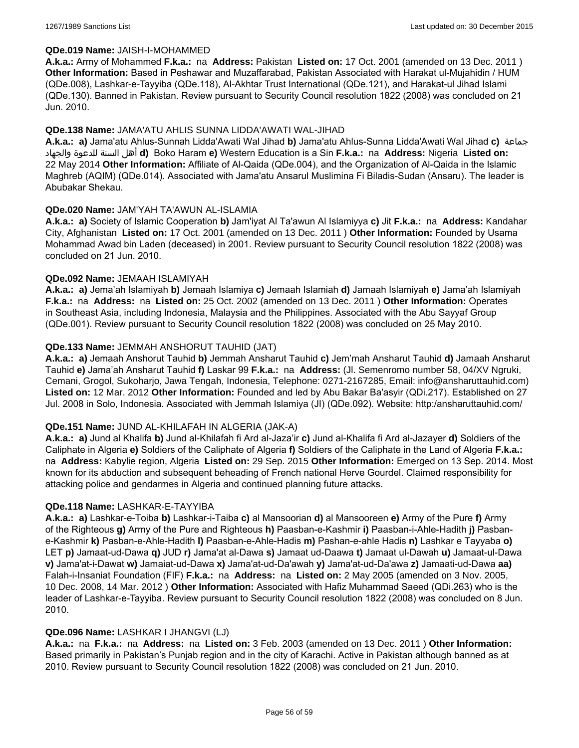#### **QDe.019 Name:** JAISH-I-MOHAMMED

**A.k.a.:** Army of Mohammed **F.k.a.:** na **Address:** Pakistan **Listed on:** 17 Oct. 2001 (amended on 13 Dec. 2011 ) **Other Information:** Based in Peshawar and Muzaffarabad, Pakistan Associated with Harakat ul-Mujahidin / HUM (QDe.008), Lashkar-e-Tayyiba (QDe.118), Al-Akhtar Trust International (QDe.121), and Harakat-ul Jihad Islami (QDe.130). Banned in Pakistan. Review pursuant to Security Council resolution 1822 (2008) was concluded on 21 Jun. 2010.

### **QDe.138 Name:** JAMA'ATU AHLIS SUNNA LIDDA'AWATI WAL-JIHAD

**A.k.a.: a)** Jama'atu Ahlus-Sunnah Lidda'Awati Wal Jihad **b)** Jama'atu Ahlus-Sunna Lidda'Awati Wal Jihad **c)** جماعة والجهاد للدعوة السنة أهل **d)** Boko Haram **e)** Western Education is a Sin **F.k.a.:** na **Address:** Nigeria **Listed on:** 22 May 2014 **Other Information:** Affiliate of Al-Qaida (QDe.004), and the Organization of Al-Qaida in the Islamic Maghreb (AQIM) (QDe.014). Associated with Jama'atu Ansarul Muslimina Fi Biladis-Sudan (Ansaru). The leader is Abubakar Shekau.

### **QDe.020 Name:** JAM'YAH TA'AWUN AL-ISLAMIA

**A.k.a.: a)** Society of Islamic Cooperation **b)** Jam'iyat Al Ta'awun Al Islamiyya **c)** Jit **F.k.a.:** na **Address:** Kandahar City, Afghanistan **Listed on:** 17 Oct. 2001 (amended on 13 Dec. 2011 ) **Other Information:** Founded by Usama Mohammad Awad bin Laden (deceased) in 2001. Review pursuant to Security Council resolution 1822 (2008) was concluded on 21 Jun. 2010.

### **QDe.092 Name:** JEMAAH ISLAMIYAH

**A.k.a.: a)** Jema'ah Islamiyah **b)** Jemaah Islamiya **c)** Jemaah Islamiah **d)** Jamaah Islamiyah **e)** Jama'ah Islamiyah **F.k.a.:** na **Address:** na **Listed on:** 25 Oct. 2002 (amended on 13 Dec. 2011 ) **Other Information:** Operates in Southeast Asia, including Indonesia, Malaysia and the Philippines. Associated with the Abu Sayyaf Group (QDe.001). Review pursuant to Security Council resolution 1822 (2008) was concluded on 25 May 2010.

### **QDe.133 Name:** JEMMAH ANSHORUT TAUHID (JAT)

**A.k.a.: a)** Jemaah Anshorut Tauhid **b)** Jemmah Ansharut Tauhid **c)** Jem'mah Ansharut Tauhid **d)** Jamaah Ansharut Tauhid **e)** Jama'ah Ansharut Tauhid **f)** Laskar 99 **F.k.a.:** na **Address:** (Jl. Semenromo number 58, 04/XV Ngruki, Cemani, Grogol, Sukoharjo, Jawa Tengah, Indonesia, Telephone: 0271-2167285, Email: info@ansharuttauhid.com) **Listed on:** 12 Mar. 2012 **Other Information:** Founded and led by Abu Bakar Ba'asyir (QDi.217). Established on 27 Jul. 2008 in Solo, Indonesia. Associated with Jemmah Islamiya (JI) (QDe.092). Website: http:/ansharuttauhid.com/

#### **QDe.151 Name:** JUND AL-KHILAFAH IN ALGERIA (JAK-A)

**A.k.a.: a)** Jund al Khalifa **b)** Jund al-Khilafah fi Ard al-Jaza'ir **c)** Jund al-Khalifa fi Ard al-Jazayer **d)** Soldiers of the Caliphate in Algeria **e)** Soldiers of the Caliphate of Algeria **f)** Soldiers of the Caliphate in the Land of Algeria **F.k.a.:**  na **Address:** Kabylie region, Algeria **Listed on:** 29 Sep. 2015 **Other Information:** Emerged on 13 Sep. 2014. Most known for its abduction and subsequent beheading of French national Herve Gourdel. Claimed responsibility for attacking police and gendarmes in Algeria and continued planning future attacks.

#### **QDe.118 Name:** LASHKAR-E-TAYYIBA

**A.k.a.: a)** Lashkar-e-Toiba **b)** Lashkar-i-Taiba **c)** al Mansoorian **d)** al Mansooreen **e)** Army of the Pure **f)** Army of the Righteous **g)** Army of the Pure and Righteous **h)** Paasban-e-Kashmir **i)** Paasban-i-Ahle-Hadith **j)** Pasbane-Kashmir **k)** Pasban-e-Ahle-Hadith **l)** Paasban-e-Ahle-Hadis **m)** Pashan-e-ahle Hadis **n)** Lashkar e Tayyaba **o)** LET **p)** Jamaat-ud-Dawa **q)** JUD **r)** Jama'at al-Dawa **s)** Jamaat ud-Daawa **t)** Jamaat ul-Dawah **u)** Jamaat-ul-Dawa **v)** Jama'at-i-Dawat **w)** Jamaiat-ud-Dawa **x)** Jama'at-ud-Da'awah **y)** Jama'at-ud-Da'awa **z)** Jamaati-ud-Dawa **aa)** Falah-i-Insaniat Foundation (FIF) **F.k.a.:** na **Address:** na **Listed on:** 2 May 2005 (amended on 3 Nov. 2005, 10 Dec. 2008, 14 Mar. 2012 ) **Other Information:** Associated with Hafiz Muhammad Saeed (QDi.263) who is the leader of Lashkar-e-Tayyiba. Review pursuant to Security Council resolution 1822 (2008) was concluded on 8 Jun. 2010.

#### **QDe.096 Name:** LASHKAR I JHANGVI (LJ)

**A.k.a.:** na **F.k.a.:** na **Address:** na **Listed on:** 3 Feb. 2003 (amended on 13 Dec. 2011 ) **Other Information:** Based primarily in Pakistan's Punjab region and in the city of Karachi. Active in Pakistan although banned as at 2010. Review pursuant to Security Council resolution 1822 (2008) was concluded on 21 Jun. 2010.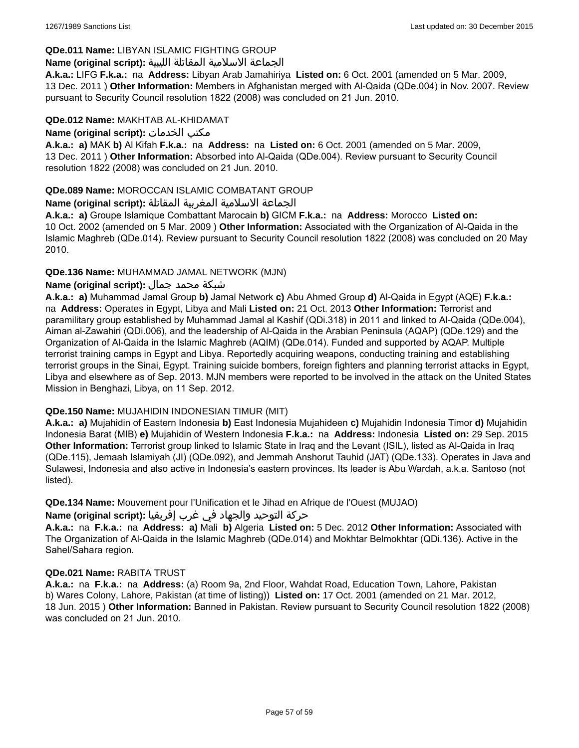## **QDe.011 Name:** LIBYAN ISLAMIC FIGHTING GROUP

## الجماعة الاسلامية المقاتلة الليبية **:(script original (Name**

**A.k.a.:** LIFG **F.k.a.:** na **Address:** Libyan Arab Jamahiriya **Listed on:** 6 Oct. 2001 (amended on 5 Mar. 2009, 13 Dec. 2011 ) **Other Information:** Members in Afghanistan merged with Al-Qaida (QDe.004) in Nov. 2007. Review pursuant to Security Council resolution 1822 (2008) was concluded on 21 Jun. 2010.

### **QDe.012 Name:** MAKHTAB AL-KHIDAMAT

**Name (original script):** الخدمات مكتب

**A.k.a.: a)** MAK **b)** Al Kifah **F.k.a.:** na **Address:** na **Listed on:** 6 Oct. 2001 (amended on 5 Mar. 2009, 13 Dec. 2011 ) **Other Information:** Absorbed into Al-Qaida (QDe.004). Review pursuant to Security Council resolution 1822 (2008) was concluded on 21 Jun. 2010.

### **QDe.089 Name:** MOROCCAN ISLAMIC COMBATANT GROUP

### الجماعة الاسلامية المغربية المقاتلة **:(script original (Name**

**A.k.a.: a)** Groupe Islamique Combattant Marocain **b)** GICM **F.k.a.:** na **Address:** Morocco **Listed on:** 10 Oct. 2002 (amended on 5 Mar. 2009 ) **Other Information:** Associated with the Organization of Al-Qaida in the Islamic Maghreb (QDe.014). Review pursuant to Security Council resolution 1822 (2008) was concluded on 20 May 2010.

### **QDe.136 Name:** MUHAMMAD JAMAL NETWORK (MJN)

# شبكة محمد جمال **:(script original (Name**

**A.k.a.: a)** Muhammad Jamal Group **b)** Jamal Network **c)** Abu Ahmed Group **d)** Al-Qaida in Egypt (AQE) **F.k.a.:**  na **Address:** Operates in Egypt, Libya and Mali **Listed on:** 21 Oct. 2013 **Other Information:** Terrorist and paramilitary group established by Muhammad Jamal al Kashif (QDi.318) in 2011 and linked to Al-Qaida (QDe.004), Aiman al-Zawahiri (QDi.006), and the leadership of Al-Qaida in the Arabian Peninsula (AQAP) (QDe.129) and the Organization of Al-Qaida in the Islamic Maghreb (AQIM) (QDe.014). Funded and supported by AQAP. Multiple terrorist training camps in Egypt and Libya. Reportedly acquiring weapons, conducting training and establishing terrorist groups in the Sinai, Egypt. Training suicide bombers, foreign fighters and planning terrorist attacks in Egypt, Libya and elsewhere as of Sep. 2013. MJN members were reported to be involved in the attack on the United States Mission in Benghazi, Libya, on 11 Sep. 2012.

### **QDe.150 Name:** MUJAHIDIN INDONESIAN TIMUR (MIT)

**A.k.a.: a)** Mujahidin of Eastern Indonesia **b)** East Indonesia Mujahideen **c)** Mujahidin Indonesia Timor **d)** Mujahidin Indonesia Barat (MIB) **e)** Mujahidin of Western Indonesia **F.k.a.:** na **Address:** Indonesia **Listed on:** 29 Sep. 2015 **Other Information:** Terrorist group linked to Islamic State in Iraq and the Levant (ISIL), listed as Al-Qaida in Iraq (QDe.115), Jemaah Islamiyah (JI) (QDe.092), and Jemmah Anshorut Tauhid (JAT) (QDe.133). Operates in Java and Sulawesi, Indonesia and also active in Indonesia's eastern provinces. Its leader is Abu Wardah, a.k.a. Santoso (not listed).

**QDe.134 Name:** Mouvement pour l'Unification et le Jihad en Afrique de l'Ouest (MUJAO)

### حركة التوحيد والجهاد في غرب إفريقيا **:Name (original script)**

**A.k.a.:** na **F.k.a.:** na **Address: a)** Mali **b)** Algeria **Listed on:** 5 Dec. 2012 **Other Information:** Associated with The Organization of Al-Qaida in the Islamic Maghreb (QDe.014) and Mokhtar Belmokhtar (QDi.136). Active in the Sahel/Sahara region.

### **QDe.021 Name:** RABITA TRUST

**A.k.a.:** na **F.k.a.:** na **Address:** (a) Room 9a, 2nd Floor, Wahdat Road, Education Town, Lahore, Pakistan b) Wares Colony, Lahore, Pakistan (at time of listing)) **Listed on:** 17 Oct. 2001 (amended on 21 Mar. 2012, 18 Jun. 2015 ) **Other Information:** Banned in Pakistan. Review pursuant to Security Council resolution 1822 (2008) was concluded on 21 Jun. 2010.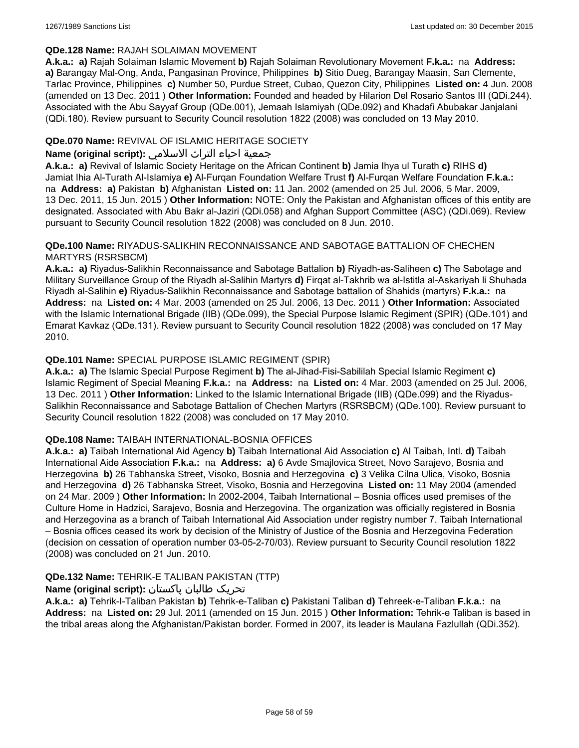### **QDe.128 Name:** RAJAH SOLAIMAN MOVEMENT

**A.k.a.: a)** Rajah Solaiman Islamic Movement **b)** Rajah Solaiman Revolutionary Movement **F.k.a.:** na **Address: a)** Barangay Mal-Ong, Anda, Pangasinan Province, Philippines **b)** Sitio Dueg, Barangay Maasin, San Clemente, Tarlac Province, Philippines **c)** Number 50, Purdue Street, Cubao, Quezon City, Philippines **Listed on:** 4 Jun. 2008 (amended on 13 Dec. 2011 ) **Other Information:** Founded and headed by Hilarion Del Rosario Santos III (QDi.244). Associated with the Abu Sayyaf Group (QDe.001), Jemaah Islamiyah (QDe.092) and Khadafi Abubakar Janjalani (QDi.180). Review pursuant to Security Council resolution 1822 (2008) was concluded on 13 May 2010.

## **QDe.070 Name:** REVIVAL OF ISLAMIC HERITAGE SOCIETY

### جمعية احياء التراث الاسلامي **:(script original (Name**

**A.k.a.: a)** Revival of Islamic Society Heritage on the African Continent **b)** Jamia Ihya ul Turath **c)** RIHS **d)** Jamiat Ihia Al-Turath Al-Islamiya **e)** Al-Furqan Foundation Welfare Trust **f)** Al-Furqan Welfare Foundation **F.k.a.:**  na **Address: a)** Pakistan **b)** Afghanistan **Listed on:** 11 Jan. 2002 (amended on 25 Jul. 2006, 5 Mar. 2009, 13 Dec. 2011, 15 Jun. 2015 ) **Other Information:** NOTE: Only the Pakistan and Afghanistan offices of this entity are designated. Associated with Abu Bakr al-Jaziri (QDi.058) and Afghan Support Committee (ASC) (QDi.069). Review pursuant to Security Council resolution 1822 (2008) was concluded on 8 Jun. 2010.

### **QDe.100 Name:** RIYADUS-SALIKHIN RECONNAISSANCE AND SABOTAGE BATTALION OF CHECHEN MARTYRS (RSRSBCM)

**A.k.a.: a)** Riyadus-Salikhin Reconnaissance and Sabotage Battalion **b)** Riyadh-as-Saliheen **c)** The Sabotage and Military Surveillance Group of the Riyadh al-Salihin Martyrs **d)** Firqat al-Takhrib wa al-Istitla al-Askariyah li Shuhada Riyadh al-Salihin **e)** Riyadus-Salikhin Reconnaissance and Sabotage battalion of Shahids (martyrs) **F.k.a.:** na **Address:** na **Listed on:** 4 Mar. 2003 (amended on 25 Jul. 2006, 13 Dec. 2011 ) **Other Information:** Associated with the Islamic International Brigade (IIB) (QDe.099), the Special Purpose Islamic Regiment (SPIR) (QDe.101) and Emarat Kavkaz (QDe.131). Review pursuant to Security Council resolution 1822 (2008) was concluded on 17 May 2010.

# **QDe.101 Name:** SPECIAL PURPOSE ISLAMIC REGIMENT (SPIR)

**A.k.a.: a)** The Islamic Special Purpose Regiment **b)** The al-Jihad-Fisi-Sabililah Special Islamic Regiment **c)** Islamic Regiment of Special Meaning **F.k.a.:** na **Address:** na **Listed on:** 4 Mar. 2003 (amended on 25 Jul. 2006, 13 Dec. 2011 ) **Other Information:** Linked to the Islamic International Brigade (IIB) (QDe.099) and the Riyadus-Salikhin Reconnaissance and Sabotage Battalion of Chechen Martyrs (RSRSBCM) (QDe.100). Review pursuant to Security Council resolution 1822 (2008) was concluded on 17 May 2010.

### **QDe.108 Name:** TAIBAH INTERNATIONAL-BOSNIA OFFICES

**A.k.a.: a)** Taibah International Aid Agency **b)** Taibah International Aid Association **c)** Al Taibah, Intl. **d)** Taibah International Aide Association **F.k.a.:** na **Address: a)** 6 Avde Smajlovica Street, Novo Sarajevo, Bosnia and Herzegovina **b)** 26 Tabhanska Street, Visoko, Bosnia and Herzegovina **c)** 3 Velika Cilna Ulica, Visoko, Bosnia and Herzegovina **d)** 26 Tabhanska Street, Visoko, Bosnia and Herzegovina **Listed on:** 11 May 2004 (amended on 24 Mar. 2009 ) **Other Information:** In 2002-2004, Taibah International – Bosnia offices used premises of the Culture Home in Hadzici, Sarajevo, Bosnia and Herzegovina. The organization was officially registered in Bosnia and Herzegovina as a branch of Taibah International Aid Association under registry number 7. Taibah International – Bosnia offices ceased its work by decision of the Ministry of Justice of the Bosnia and Herzegovina Federation (decision on cessation of operation number 03-05-2-70/03). Review pursuant to Security Council resolution 1822 (2008) was concluded on 21 Jun. 2010.

### **QDe.132 Name:** TEHRIK-E TALIBAN PAKISTAN (TTP)

# تحریک طالبان پاکستان **:(script original (Name**

**A.k.a.: a)** Tehrik-I-Taliban Pakistan **b)** Tehrik-e-Taliban **c)** Pakistani Taliban **d)** Tehreek-e-Taliban **F.k.a.:** na **Address:** na **Listed on:** 29 Jul. 2011 (amended on 15 Jun. 2015 ) **Other Information:** Tehrik-e Taliban is based in the tribal areas along the Afghanistan/Pakistan border. Formed in 2007, its leader is Maulana Fazlullah (QDi.352).